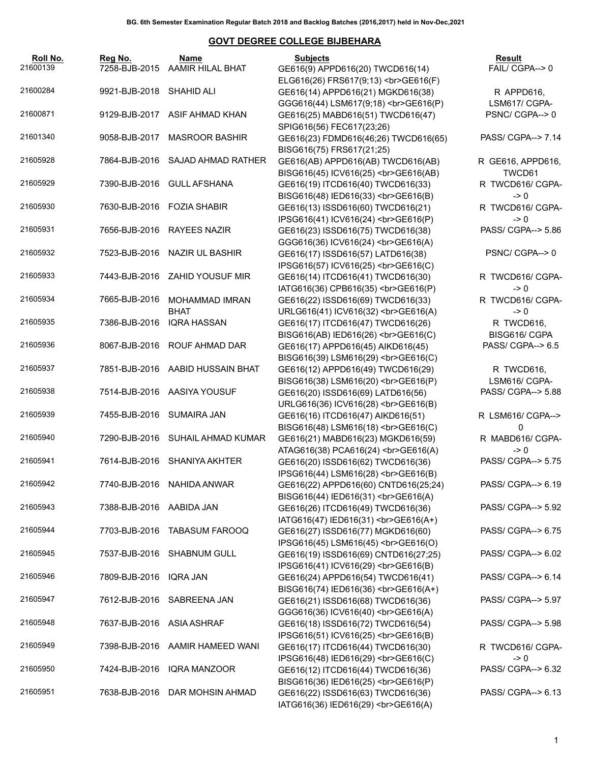| Roll No.<br>21600139 | Reg No.                   | Name<br>7258-BJB-2015 AAMIR HILAL BHAT | <b>Subjects</b><br>GE616(9) APPD616(20) TWCD616(14)                                                           | Result<br>FAIL/ CGPA--> 0           |
|----------------------|---------------------------|----------------------------------------|---------------------------------------------------------------------------------------------------------------|-------------------------------------|
|                      |                           |                                        | ELG616(26) FRS617(9;13)<br>GE616(F)                                                                           |                                     |
| 21600284             | 9921-BJB-2018 SHAHID ALI  |                                        | GE616(14) APPD616(21) MGKD616(38)                                                                             | R APPD616,                          |
|                      |                           |                                        | GGG616(44) LSM617(9;18)<br>><br>GGG616(P)                                                                     | LSM617/ CGPA-                       |
| 21600871             |                           | 9129-BJB-2017 ASIF AHMAD KHAN          | GE616(25) MABD616(51) TWCD616(47)<br>SPIG616(56) FEC617(23;26)                                                | PSNC/CGPA-->0                       |
| 21601340             |                           | 9058-BJB-2017 MASROOR BASHIR           | GE616(23) FDMD616(46;26) TWCD616(65)<br>BISG616(75) FRS617(21;25)                                             | PASS/ CGPA--> 7.14                  |
| 21605928             |                           | 7864-BJB-2016 SAJAD AHMAD RATHER       | GE616(AB) APPD616(AB) TWCD616(AB)<br>BISG616(45) ICV616(25)<br>GE616(AB)                                      | R GE616, APPD616,<br>TWCD61         |
| 21605929             |                           | 7390-BJB-2016 GULL AFSHANA             | GE616(19) ITCD616(40) TWCD616(33)<br>BISG616(48) IED616(33)<br>GE616(B)                                       | R TWCD616/ CGPA-<br>$\geq 0$        |
| 21605930             |                           | 7630-BJB-2016 FOZIA SHABIR             | GE616(13) ISSD616(60) TWCD616(21)                                                                             | R TWCD616/ CGPA-                    |
| 21605931             |                           | 7656-BJB-2016 RAYEES NAZIR             | IPSG616(41) ICV616(24)<br>GE616(P)<br>GE616(23) ISSD616(75) TWCD616(38)                                       | $\geq 0$<br>PASS/ CGPA--> 5.86      |
| 21605932             |                           | 7523-BJB-2016 NAZIR UL BASHIR          | GGG616(36) ICV616(24)<br>><br>GE616(A)<br>GE616(17) ISSD616(57) LATD616(38)                                   | PSNC/CGPA-->0                       |
| 21605933             |                           | 7443-BJB-2016 ZAHID YOUSUF MIR         | IPSG616(57) ICV616(25)<br>GE616(C)<br>GE616(14) ITCD616(41) TWCD616(30)                                       | R TWCD616/ CGPA-                    |
| 21605934             | 7665-BJB-2016             | <b>MOHAMMAD IMRAN</b>                  | IATG616(36) CPB616(35)<br>GE616(P)<br>GE616(22) ISSD616(69) TWCD616(33)                                       | -> 0<br>R TWCD616/ CGPA-            |
| 21605935             | 7386-BJB-2016             | BHAT<br><b>IQRA HASSAN</b>             | URLG616(41) ICV616(32)<br>GE616(A)<br>GE616(17) ITCD616(47) TWCD616(26)                                       | $\geq 0$<br>R TWCD616,              |
| 21605936             |                           | 8067-BJB-2016 ROUF AHMAD DAR           | BISG616(AB) IED616(26)<br>GE616(C)<br>GE616(17) APPD616(45) AIKD616(45)                                       | BISG616/ CGPA<br>PASS/ CGPA--> 6.5  |
| 21605937             |                           | 7851-BJB-2016 AABID HUSSAIN BHAT       | BISG616(39) LSM616(29)<br>GE616(C)<br>GE616(12) APPD616(49) TWCD616(29)                                       | R TWCD616,                          |
| 21605938             |                           | 7514-BJB-2016 AASIYA YOUSUF            | BISG616(38) LSM616(20)<br>GE616(P)<br>GE616(20) ISSD616(69) LATD616(56)                                       | LSM616/ CGPA-<br>PASS/ CGPA--> 5.88 |
| 21605939             | 7455-BJB-2016 SUMAIRA JAN |                                        | URLG616(36) ICV616(28)<br>GE616(B)<br>GE616(16) ITCD616(47) AIKD616(51)                                       | R LSM616/ CGPA-->                   |
| 21605940             |                           | 7290-BJB-2016 SUHAIL AHMAD KUMAR       | BISG616(48) LSM616(18)<br>GE616(C)<br>GE616(21) MABD616(23) MGKD616(59)                                       | 0<br>R MABD616/ CGPA-               |
| 21605941             |                           | 7614-BJB-2016 SHANIYA AKHTER           | ATAG616(38) PCA616(24)<br><br>GE616(A)<br>GE616(20) ISSD616(62) TWCD616(36)                                   | -> 0<br>PASS/ CGPA--> 5.75          |
| 21605942             |                           | 7740-BJB-2016 NAHIDA ANWAR             | IPSG616(44) LSM616(28)<br>GE616(B)<br>GE616(22) APPD616(60) CNTD616(25;24)                                    | PASS/ CGPA--> 6.19                  |
| 21605943             | 7388-BJB-2016 AABIDA JAN  |                                        | BISG616(44) IED616(31)<br>GE616(A)<br>GE616(26) ITCD616(49) TWCD616(36)                                       | PASS/ CGPA--> 5.92                  |
| 21605944             |                           | 7703-BJB-2016 TABASUM FAROOQ           | IATG616(47) IED616(31)<br>GE616(A+)<br>GE616(27) ISSD616(77) MGKD616(60)                                      | PASS/ CGPA--> 6.75                  |
| 21605945             |                           | 7537-BJB-2016 SHABNUM GULL             | IPSG616(45) LSM616(45)<br>GE616(O)<br>GE616(19) ISSD616(69) CNTD616(27;25)                                    | PASS/ CGPA--> 6.02                  |
| 21605946             | 7809-BJB-2016             | IQRA JAN                               | IPSG616(41) ICV616(29)<br>GE616(B)<br>GE616(24) APPD616(54) TWCD616(41)                                       | PASS/ CGPA--> 6.14                  |
| 21605947             | 7612-BJB-2016             | SABREENA JAN                           | BISG616(74) IED616(36)<br>GE616(A+)<br>GE616(21) ISSD616(68) TWCD616(36)                                      | PASS/ CGPA--> 5.97                  |
| 21605948             | 7637-BJB-2016             | ASIA ASHRAF                            | GGG616(36) ICV616(40)<br>><br>GE616(A)<br>GE616(18) ISSD616(72) TWCD616(54)                                   | PASS/ CGPA--> 5.98                  |
| 21605949             | 7398-BJB-2016             | AAMIR HAMEED WANI                      | IPSG616(51) ICV616(25)<br>GE616(B)<br>GE616(17) ITCD616(44) TWCD616(30)                                       | R TWCD616/ CGPA-                    |
| 21605950             | 7424-BJB-2016             | <b>IQRA MANZOOR</b>                    | IPSG616(48) IED616(29)<br>GE616(C)<br>GE616(12) ITCD616(44) TWCD616(36)                                       | -> 0<br>PASS/ CGPA--> 6.32          |
| 21605951             | 7638-BJB-2016             | DAR MOHSIN AHMAD                       | BISG616(36) IED616(25)<br>GE616(P)<br>GE616(22) ISSD616(63) TWCD616(36)<br>IATG616(36) IED616(29)<br>GE616(A) | PASS/ CGPA--> 6.13                  |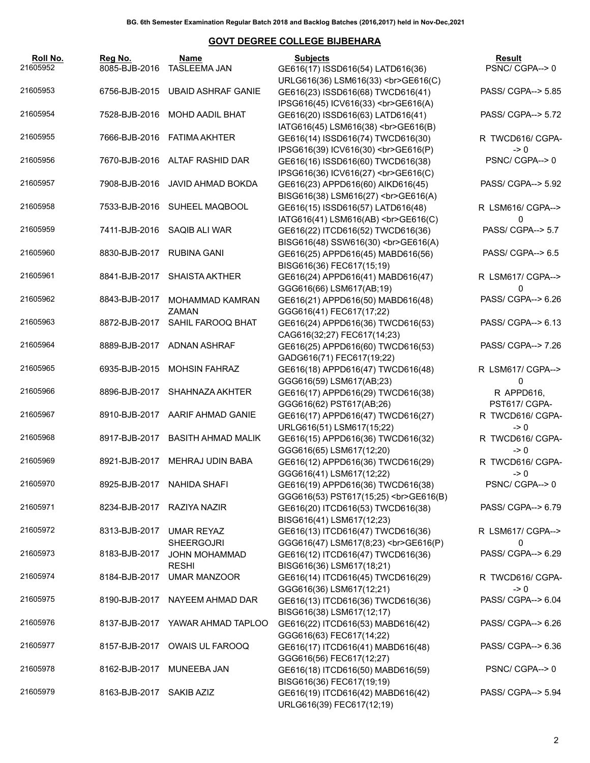| Roll No.<br>21605952 | Reg No.<br>8085-BJB-2016   | Name<br><b>TASLEEMA JAN</b>     | <b>Subjects</b><br>GE616(17) ISSD616(54) LATD616(36)                      | Result<br>PSNC/CGPA-->0           |
|----------------------|----------------------------|---------------------------------|---------------------------------------------------------------------------|-----------------------------------|
|                      |                            |                                 | URLG616(36) LSM616(33)<br>GE616(C)                                        |                                   |
| 21605953             | 6756-BJB-2015              | <b>UBAID ASHRAF GANIE</b>       | GE616(23) ISSD616(68) TWCD616(41)                                         | PASS/ CGPA--> 5.85                |
|                      |                            |                                 | IPSG616(45) ICV616(33)<br>GE616(A)                                        |                                   |
| 21605954             | 7528-BJB-2016              | MOHD AADIL BHAT                 | GE616(20) ISSD616(63) LATD616(41)                                         | PASS/ CGPA--> 5.72                |
|                      |                            |                                 | IATG616(45) LSM616(38)<br>GE616(B)                                        |                                   |
| 21605955             |                            | 7666-BJB-2016 FATIMA AKHTER     | GE616(14) ISSD616(74) TWCD616(30)                                         | R TWCD616/ CGPA-                  |
|                      |                            |                                 | IPSG616(39) ICV616(30)<br>GE616(P)                                        | $\rightarrow 0$                   |
| 21605956             |                            | 7670-BJB-2016 ALTAF RASHID DAR  | GE616(16) ISSD616(60) TWCD616(38)                                         | PSNC/CGPA--> 0                    |
|                      |                            |                                 | IPSG616(36) ICV616(27)<br>GE616(C)                                        |                                   |
| 21605957             |                            | 7908-BJB-2016 JAVID AHMAD BOKDA | GE616(23) APPD616(60) AIKD616(45)                                         | PASS/ CGPA--> 5.92                |
|                      |                            |                                 | BISG616(38) LSM616(27)<br>GE616(A)                                        |                                   |
| 21605958             |                            | 7533-BJB-2016 SUHEEL MAQBOOL    | GE616(15) ISSD616(57) LATD616(48)                                         | R LSM616/ CGPA-->                 |
|                      |                            |                                 | IATG616(41) LSM616(AB)<br>GE616(C)                                        | 0                                 |
| 21605959             |                            | 7411-BJB-2016 SAQIB ALI WAR     | GE616(22) ITCD616(52) TWCD616(36)                                         | PASS/ CGPA--> 5.7                 |
| 21605960             | 8830-BJB-2017 RUBINA GANI  |                                 | BISG616(48) SSW616(30)<br>GE616(A)                                        | PASS/ CGPA--> 6.5                 |
|                      |                            |                                 | GE616(25) APPD616(45) MABD616(56)<br>BISG616(36) FEC617(15;19)            |                                   |
| 21605961             | 8841-BJB-2017              | <b>SHAISTA AKTHER</b>           | GE616(24) APPD616(41) MABD616(47)                                         | R LSM617/ CGPA-->                 |
|                      |                            |                                 | GGG616(66) LSM617(AB;19)                                                  | 0                                 |
| 21605962             | 8843-BJB-2017              | MOHAMMAD KAMRAN                 | GE616(21) APPD616(50) MABD616(48)                                         | PASS/ CGPA--> 6.26                |
|                      |                            | ZAMAN                           | GGG616(41) FEC617(17;22)                                                  |                                   |
| 21605963             | 8872-BJB-2017              | SAHIL FAROOQ BHAT               | GE616(24) APPD616(36) TWCD616(53)                                         | PASS/ CGPA--> 6.13                |
|                      |                            |                                 | CAG616(32;27) FEC617(14;23)                                               |                                   |
| 21605964             |                            | 8889-BJB-2017 ADNAN ASHRAF      | GE616(25) APPD616(60) TWCD616(53)                                         | PASS/ CGPA--> 7.26                |
|                      |                            |                                 | GADG616(71) FEC617(19;22)                                                 |                                   |
| 21605965             | 6935-BJB-2015              | <b>MOHSIN FAHRAZ</b>            | GE616(18) APPD616(47) TWCD616(48)                                         | R LSM617/ CGPA-->                 |
|                      |                            |                                 | GGG616(59) LSM617(AB;23)                                                  | 0                                 |
| 21605966             | 8896-BJB-2017              | SHAHNAZA AKHTER                 | GE616(17) APPD616(29) TWCD616(38)                                         | R APPD616,                        |
|                      |                            |                                 | GGG616(62) PST617(AB;26)                                                  | PST617/ CGPA-                     |
| 21605967             |                            | 8910-BJB-2017 AARIF AHMAD GANIE | GE616(17) APPD616(47) TWCD616(27)                                         | R TWCD616/ CGPA-                  |
|                      |                            |                                 | URLG616(51) LSM617(15;22)                                                 | $\geq 0$                          |
| 21605968             | 8917-BJB-2017              | <b>BASITH AHMAD MALIK</b>       | GE616(15) APPD616(36) TWCD616(32)                                         | R TWCD616/ CGPA-                  |
|                      |                            |                                 | GGG616(65) LSM617(12;20)                                                  | $\geq 0$                          |
| 21605969             | 8921-BJB-2017              | MEHRAJ UDIN BABA                | GE616(12) APPD616(36) TWCD616(29)                                         | R TWCD616/ CGPA-                  |
| 21605970             |                            |                                 | GGG616(41) LSM617(12;22)                                                  | $\rightarrow 0$<br>PSNC/CGPA--> 0 |
|                      |                            | 8925-BJB-2017 NAHIDA SHAFI      | GE616(19) APPD616(36) TWCD616(38)<br>GGG616(53) PST617(15;25)<br>GE616(B) |                                   |
| 21605971             | 8234-BJB-2017 RAZIYA NAZIR |                                 | GE616(20) ITCD616(53) TWCD616(38)                                         | PASS/ CGPA--> 6.79                |
|                      |                            |                                 | BISG616(41) LSM617(12;23)                                                 |                                   |
| 21605972             | 8313-BJB-2017              | <b>UMAR REYAZ</b>               | GE616(13) ITCD616(47) TWCD616(36)                                         | R LSM617/ CGPA-->                 |
|                      |                            | <b>SHEERGOJRI</b>               | GGG616(47) LSM617(8;23)<br>GE616(P)                                       | 0                                 |
| 21605973             | 8183-BJB-2017              | <b>JOHN MOHAMMAD</b>            | GE616(12) ITCD616(47) TWCD616(36)                                         | PASS/ CGPA--> 6.29                |
|                      |                            | <b>RESHI</b>                    | BISG616(36) LSM617(18;21)                                                 |                                   |
| 21605974             | 8184-BJB-2017              | <b>UMAR MANZOOR</b>             | GE616(14) ITCD616(45) TWCD616(29)                                         | R TWCD616/ CGPA-                  |
|                      |                            |                                 | GGG616(36) LSM617(12;21)                                                  | $\rightarrow 0$                   |
| 21605975             | 8190-BJB-2017              | NAYEEM AHMAD DAR                | GE616(13) ITCD616(36) TWCD616(36)                                         | PASS/ CGPA--> 6.04                |
|                      |                            |                                 | BISG616(38) LSM617(12;17)                                                 |                                   |
| 21605976             | 8137-BJB-2017              | YAWAR AHMAD TAPLOO              | GE616(22) ITCD616(53) MABD616(42)                                         | PASS/ CGPA--> 6.26                |
|                      |                            |                                 | GGG616(63) FEC617(14;22)                                                  |                                   |
| 21605977             | 8157-BJB-2017              | OWAIS UL FAROOQ                 | GE616(17) ITCD616(41) MABD616(48)                                         | PASS/ CGPA--> 6.36                |
|                      |                            |                                 | GGG616(56) FEC617(12;27)                                                  |                                   |
| 21605978             | 8162-BJB-2017              | MUNEEBA JAN                     | GE616(18) ITCD616(50) MABD616(59)                                         | PSNC/CGPA-->0                     |
| 21605979             | 8163-BJB-2017              | SAKIB AZIZ                      | BISG616(36) FEC617(19;19)                                                 | PASS/ CGPA--> 5.94                |
|                      |                            |                                 | GE616(19) ITCD616(42) MABD616(42)<br>URLG616(39) FEC617(12;19)            |                                   |
|                      |                            |                                 |                                                                           |                                   |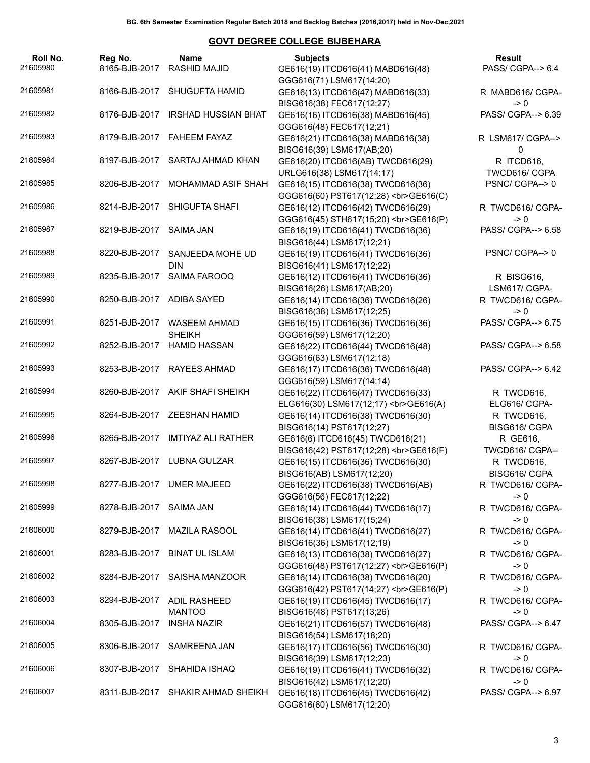| Roll No.<br>21605980 | Reg No.                   | Name<br>8165-BJB-2017 RASHID MAJID          | <b>Subjects</b><br>GE616(19) ITCD616(41) MABD616(48)                                       | Result<br>PASS/ CGPA--> 6.4    |
|----------------------|---------------------------|---------------------------------------------|--------------------------------------------------------------------------------------------|--------------------------------|
| 21605981             |                           | 8166-BJB-2017 SHUGUFTA HAMID                | GGG616(71) LSM617(14;20)<br>GE616(13) ITCD616(47) MABD616(33)                              | R MABD616/ CGPA-               |
| 21605982             |                           | 8176-BJB-2017 IRSHAD HUSSIAN BHAT           | BISG616(38) FEC617(12;27)<br>GE616(16) ITCD616(38) MABD616(45)                             | $\geq 0$<br>PASS/ CGPA--> 6.39 |
| 21605983             |                           | 8179-BJB-2017 FAHEEM FAYAZ                  | GGG616(48) FEC617(12;21)<br>GE616(21) ITCD616(38) MABD616(38)<br>BISG616(39) LSM617(AB;20) | R LSM617/ CGPA--><br>0         |
| 21605984             |                           | 8197-BJB-2017 SARTAJ AHMAD KHAN             | GE616(20) ITCD616(AB) TWCD616(29)<br>URLG616(38) LSM617(14;17)                             | R ITCD616,<br>TWCD616/ CGPA    |
| 21605985             | 8206-BJB-2017             | MOHAMMAD ASIF SHAH                          | GE616(15) ITCD616(38) TWCD616(36)<br>GGG616(60) PST617(12;28)<br>GE616(C)                  | PSNC/CGPA-->0                  |
| 21605986             |                           | 8214-BJB-2017 SHIGUFTA SHAFI                | GE616(12) ITCD616(42) TWCD616(29)<br>GGG616(45) STH617(15;20)<br>>br>GE616(P)              | R TWCD616/ CGPA-<br>$\geq 0$   |
| 21605987             | 8219-BJB-2017 SAIMA JAN   |                                             | GE616(19) ITCD616(41) TWCD616(36)<br>BISG616(44) LSM617(12;21)                             | PASS/ CGPA--> 6.58             |
| 21605988             | 8220-BJB-2017             | SANJEEDA MOHE UD<br><b>DIN</b>              | GE616(19) ITCD616(41) TWCD616(36)<br>BISG616(41) LSM617(12;22)                             | PSNC/CGPA-->0                  |
| 21605989             | 8235-BJB-2017             | SAIMA FAROOQ                                | GE616(12) ITCD616(41) TWCD616(36)<br>BISG616(26) LSM617(AB;20)                             | R BISG616,<br>LSM617/ CGPA-    |
| 21605990             | 8250-BJB-2017 ADIBA SAYED |                                             | GE616(14) ITCD616(36) TWCD616(26)<br>BISG616(38) LSM617(12;25)                             | R TWCD616/ CGPA-<br>$\geq 0$   |
| 21605991             |                           | 8251-BJB-2017 WASEEM AHMAD<br><b>SHEIKH</b> | GE616(15) ITCD616(36) TWCD616(36)<br>GGG616(59) LSM617(12;20)                              | PASS/ CGPA--> 6.75             |
| 21605992             |                           | 8252-BJB-2017 HAMID HASSAN                  | GE616(22) ITCD616(44) TWCD616(48)<br>GGG616(63) LSM617(12;18)                              | PASS/ CGPA--> 6.58             |
| 21605993             |                           | 8253-BJB-2017 RAYEES AHMAD                  | GE616(17) ITCD616(36) TWCD616(48)<br>GGG616(59) LSM617(14;14)                              | PASS/ CGPA--> 6.42             |
| 21605994             |                           | 8260-BJB-2017 AKIF SHAFI SHEIKH             | GE616(22) ITCD616(47) TWCD616(33)<br>ELG616(30) LSM617(12;17)<br>GE616(A)                  | R TWCD616,<br>ELG616/ CGPA-    |
| 21605995             |                           | 8264-BJB-2017 ZEESHAN HAMID                 | GE616(14) ITCD616(38) TWCD616(30)<br>BISG616(14) PST617(12;27)                             | R TWCD616,<br>BISG616/ CGPA    |
| 21605996             |                           | 8265-BJB-2017 IMTIYAZ ALI RATHER            | GE616(6) ITCD616(45) TWCD616(21)<br>BISG616(42) PST617(12;28)<br>GE616(F)                  | R GE616,<br>TWCD616/ CGPA--    |
| 21605997             |                           | 8267-BJB-2017 LUBNA GULZAR                  | GE616(15) ITCD616(36) TWCD616(30)<br>BISG616(AB) LSM617(12;20)                             | R TWCD616,<br>BISG616/ CGPA    |
| 21605998             |                           | 8277-BJB-2017 UMER MAJEED                   | GE616(22) ITCD616(38) TWCD616(AB)<br>GGG616(56) FEC617(12;22)                              | R TWCD616/ CGPA-<br>-> 0       |
| 21605999             | 8278-BJB-2017 SAIMA JAN   |                                             | GE616(14) ITCD616(44) TWCD616(17)<br>BISG616(38) LSM617(15;24)                             | R TWCD616/ CGPA-<br>-> 0       |
| 21606000             | 8279-BJB-2017             | <b>MAZILA RASOOL</b>                        | GE616(14) ITCD616(41) TWCD616(27)<br>BISG616(36) LSM617(12;19)                             | R TWCD616/ CGPA-<br>$\geq 0$   |
| 21606001             | 8283-BJB-2017             | <b>BINAT UL ISLAM</b>                       | GE616(13) ITCD616(38) TWCD616(27)<br>GGG616(48) PST617(12;27)<br>GE616(P)                  | R TWCD616/ CGPA-<br>$\geq 0$   |
| 21606002             |                           | 8284-BJB-2017 SAISHA MANZOOR                | GE616(14) ITCD616(38) TWCD616(20)<br>GGG616(42) PST617(14;27)<br>GE616(P)                  | R TWCD616/ CGPA-<br>-> 0       |
| 21606003             | 8294-BJB-2017             | ADIL RASHEED<br><b>MANTOO</b>               | GE616(19) ITCD616(45) TWCD616(17)<br>BISG616(48) PST617(13;26)                             | R TWCD616/ CGPA-<br>-> 0       |
| 21606004             | 8305-BJB-2017             | <b>INSHA NAZIR</b>                          | GE616(21) ITCD616(57) TWCD616(48)<br>BISG616(54) LSM617(18;20)                             | PASS/ CGPA--> 6.47             |
| 21606005             | 8306-BJB-2017             | SAMREENA JAN                                | GE616(17) ITCD616(56) TWCD616(30)<br>BISG616(39) LSM617(12;23)                             | R TWCD616/ CGPA-<br>-> 0       |
| 21606006             | 8307-BJB-2017             | SHAHIDA ISHAQ                               | GE616(19) ITCD616(41) TWCD616(32)<br>BISG616(42) LSM617(12;20)                             | R TWCD616/ CGPA-<br>-> 0       |
| 21606007             |                           | 8311-BJB-2017 SHAKIR AHMAD SHEIKH           | GE616(18) ITCD616(45) TWCD616(42)<br>GGG616(60) LSM617(12;20)                              | PASS/ CGPA--> 6.97             |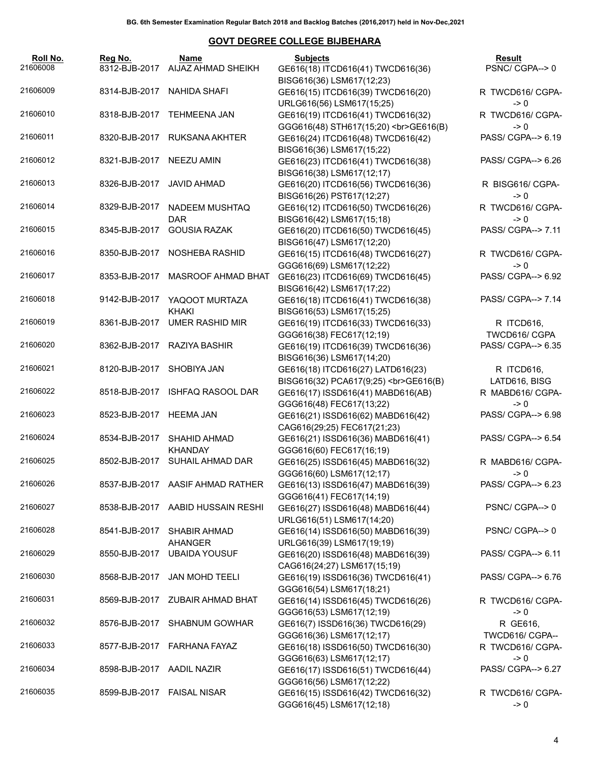| Roll No.<br>21606008 | Reg No.<br>8312-BJB-2017   | Name<br>AIJAZ AHMAD SHEIKH            | <b>Subjects</b><br>GE616(18) ITCD616(41) TWCD616(36)<br>BISG616(36) LSM617(12;23) | Result<br>PSNC/CGPA-->0             |
|----------------------|----------------------------|---------------------------------------|-----------------------------------------------------------------------------------|-------------------------------------|
| 21606009             | 8314-BJB-2017              | NAHIDA SHAFI                          | GE616(15) ITCD616(39) TWCD616(20)<br>URLG616(56) LSM617(15;25)                    | R TWCD616/ CGPA-<br>$\rightarrow 0$ |
| 21606010             |                            | 8318-BJB-2017 TEHMEENA JAN            | GE616(19) ITCD616(41) TWCD616(32)<br>GGG616(48) STH617(15;20)<br>>br>GE616(B)     | R TWCD616/ CGPA-<br>$\rightarrow 0$ |
| 21606011             |                            | 8320-BJB-2017 RUKSANA AKHTER          | GE616(24) ITCD616(48) TWCD616(42)<br>BISG616(36) LSM617(15;22)                    | PASS/ CGPA--> 6.19                  |
| 21606012             | 8321-BJB-2017              | NEEZU AMIN                            | GE616(23) ITCD616(41) TWCD616(38)<br>BISG616(38) LSM617(12;17)                    | PASS/ CGPA--> 6.26                  |
| 21606013             | 8326-BJB-2017              | JAVID AHMAD                           | GE616(20) ITCD616(56) TWCD616(36)<br>BISG616(26) PST617(12;27)                    | R BISG616/ CGPA-<br>$\rightarrow 0$ |
| 21606014             | 8329-BJB-2017              | NADEEM MUSHTAQ<br><b>DAR</b>          | GE616(12) ITCD616(50) TWCD616(26)<br>BISG616(42) LSM617(15;18)                    | R TWCD616/ CGPA-<br>$\rightarrow 0$ |
| 21606015             | 8345-BJB-2017              | <b>GOUSIA RAZAK</b>                   | GE616(20) ITCD616(50) TWCD616(45)<br>BISG616(47) LSM617(12;20)                    | PASS/ CGPA--> 7.11                  |
| 21606016             | 8350-BJB-2017              | NOSHEBA RASHID                        | GE616(15) ITCD616(48) TWCD616(27)<br>GGG616(69) LSM617(12;22)                     | R TWCD616/ CGPA-<br>$\rightarrow 0$ |
| 21606017             | 8353-BJB-2017              | <b>MASROOF AHMAD BHAT</b>             | GE616(23) ITCD616(69) TWCD616(45)<br>BISG616(42) LSM617(17;22)                    | PASS/ CGPA--> 6.92                  |
| 21606018             | 9142-BJB-2017              | YAQOOT MURTAZA<br><b>KHAKI</b>        | GE616(18) ITCD616(41) TWCD616(38)<br>BISG616(53) LSM617(15;25)                    | PASS/ CGPA--> 7.14                  |
| 21606019             | 8361-BJB-2017              | <b>UMER RASHID MIR</b>                | GE616(19) ITCD616(33) TWCD616(33)<br>GGG616(38) FEC617(12;19)                     | R ITCD616,<br>TWCD616/ CGPA         |
| 21606020             | 8362-BJB-2017              | RAZIYA BASHIR                         | GE616(19) ITCD616(39) TWCD616(36)<br>BISG616(36) LSM617(14;20)                    | PASS/ CGPA--> 6.35                  |
| 21606021             | 8120-BJB-2017              | SHOBIYA JAN                           | GE616(18) ITCD616(27) LATD616(23)<br>BISG616(32) PCA617(9;25)<br>GE616(B)         | R ITCD616,<br>LATD616, BISG         |
| 21606022             | 8518-BJB-2017              | <b>ISHFAQ RASOOL DAR</b>              | GE616(17) ISSD616(41) MABD616(AB)<br>GGG616(48) FEC617(13;22)                     | R MABD616/ CGPA-<br>$\rightarrow 0$ |
| 21606023             | 8523-BJB-2017 HEEMA JAN    |                                       | GE616(21) ISSD616(62) MABD616(42)<br>CAG616(29;25) FEC617(21;23)                  | PASS/ CGPA--> 6.98                  |
| 21606024             | 8534-BJB-2017              | <b>SHAHID AHMAD</b><br><b>KHANDAY</b> | GE616(21) ISSD616(36) MABD616(41)<br>GGG616(60) FEC617(16;19)                     | PASS/ CGPA--> 6.54                  |
| 21606025             | 8502-BJB-2017              | SUHAIL AHMAD DAR                      | GE616(25) ISSD616(45) MABD616(32)<br>GGG616(60) LSM617(12;17)                     | R MABD616/ CGPA-<br>$\rightarrow 0$ |
| 21606026             |                            | 8537-BJB-2017 AASIF AHMAD RATHER      | GE616(13) ISSD616(47) MABD616(39)<br>GGG616(41) FEC617(14;19)                     | PASS/ CGPA--> 6.23                  |
| 21606027             | 8538-BJB-2017              | AABID HUSSAIN RESHI                   | GE616(27) ISSD616(48) MABD616(44)<br>URLG616(51) LSM617(14;20)                    | PSNC/CGPA-->0                       |
| 21606028             | 8541-BJB-2017              | SHABIR AHMAD<br>AHANGER               | GE616(14) ISSD616(50) MABD616(39)<br>URLG616(39) LSM617(19;19)                    | PSNC/CGPA-->0                       |
| 21606029             | 8550-BJB-2017              | <b>UBAIDA YOUSUF</b>                  | GE616(20) ISSD616(48) MABD616(39)<br>CAG616(24;27) LSM617(15;19)                  | PASS/ CGPA--> 6.11                  |
| 21606030             | 8568-BJB-2017              | JAN MOHD TEELI                        | GE616(19) ISSD616(36) TWCD616(41)<br>GGG616(54) LSM617(18;21)                     | PASS/ CGPA--> 6.76                  |
| 21606031             |                            | 8569-BJB-2017 ZUBAIR AHMAD BHAT       | GE616(14) ISSD616(45) TWCD616(26)<br>GGG616(53) LSM617(12;19)                     | R TWCD616/ CGPA-<br>$\geq 0$        |
| 21606032             | 8576-BJB-2017              | <b>SHABNUM GOWHAR</b>                 | GE616(7) ISSD616(36) TWCD616(29)<br>GGG616(36) LSM617(12;17)                      | R GE616,<br>TWCD616/ CGPA--         |
| 21606033             |                            | 8577-BJB-2017 FARHANA FAYAZ           | GE616(18) ISSD616(50) TWCD616(30)<br>GGG616(63) LSM617(12;17)                     | R TWCD616/ CGPA-<br>$\rightarrow 0$ |
| 21606034             | 8598-BJB-2017              | AADIL NAZIR                           | GE616(17) ISSD616(51) TWCD616(44)<br>GGG616(56) LSM617(12;22)                     | PASS/ CGPA--> 6.27                  |
| 21606035             | 8599-BJB-2017 FAISAL NISAR |                                       | GE616(15) ISSD616(42) TWCD616(32)<br>GGG616(45) LSM617(12;18)                     | R TWCD616/ CGPA-<br>$\geq 0$        |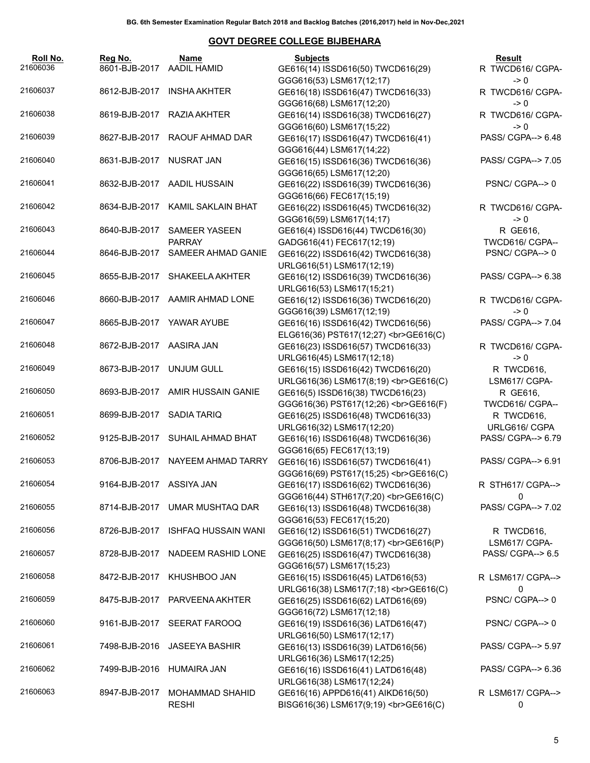| Roll No.<br>21606036 | Reg No.<br>8601-BJB-2017       | Name<br><b>AADIL HAMID</b>                     | <b>Subjects</b><br>GE616(14) ISSD616(50) TWCD616(29)                                               | Result<br>R TWCD616/ CGPA-                       |
|----------------------|--------------------------------|------------------------------------------------|----------------------------------------------------------------------------------------------------|--------------------------------------------------|
| 21606037             | 8612-BJB-2017                  | INSHA AKHTER                                   | GGG616(53) LSM617(12;17)<br>GE616(18) ISSD616(47) TWCD616(33)                                      | -> 0<br>R TWCD616/ CGPA-                         |
| 21606038             | 8619-BJB-2017                  | RAZIA AKHTER                                   | GGG616(68) LSM617(12;20)<br>GE616(14) ISSD616(38) TWCD616(27)                                      | -> 0<br>R TWCD616/ CGPA-                         |
| 21606039             | 8627-BJB-2017                  | RAOUF AHMAD DAR                                | GGG616(60) LSM617(15;22)<br>GE616(17) ISSD616(47) TWCD616(41)                                      | -> 0<br>PASS/ CGPA--> 6.48                       |
| 21606040             | 8631-BJB-2017                  | <b>NUSRAT JAN</b>                              | GGG616(44) LSM617(14;22)<br>GE616(15) ISSD616(36) TWCD616(36)<br>GGG616(65) LSM617(12;20)          | PASS/ CGPA--> 7.05                               |
| 21606041             |                                | 8632-BJB-2017 AADIL HUSSAIN                    | GE616(22) ISSD616(39) TWCD616(36)<br>GGG616(66) FEC617(15;19)                                      | PSNC/CGPA-->0                                    |
| 21606042             | 8634-BJB-2017                  | KAMIL SAKLAIN BHAT                             | GE616(22) ISSD616(45) TWCD616(32)<br>GGG616(59) LSM617(14;17)                                      | R TWCD616/ CGPA-<br>$\rightarrow 0$              |
| 21606043             | 8640-BJB-2017                  | <b>SAMEER YASEEN</b><br><b>PARRAY</b>          | GE616(4) ISSD616(44) TWCD616(30)<br>GADG616(41) FEC617(12;19)                                      | R GE616,<br>TWCD616/ CGPA--                      |
| 21606044             | 8646-BJB-2017                  | SAMEER AHMAD GANIE                             | GE616(22) ISSD616(42) TWCD616(38)<br>URLG616(51) LSM617(12;19)                                     | PSNC/CGPA-->0                                    |
| 21606045             |                                | 8655-BJB-2017 SHAKEELA AKHTER                  | GE616(12) ISSD616(39) TWCD616(36)<br>URLG616(53) LSM617(15;21)                                     | PASS/ CGPA--> 6.38                               |
| 21606046             |                                | 8660-BJB-2017 AAMIR AHMAD LONE                 | GE616(12) ISSD616(36) TWCD616(20)<br>GGG616(39) LSM617(12;19)                                      | R TWCD616/ CGPA-<br>-> 0                         |
| 21606047             |                                | 8665-BJB-2017 YAWAR AYUBE                      | GE616(16) ISSD616(42) TWCD616(56)<br>ELG616(36) PST617(12;27)<br>GE616(C)                          | PASS/ CGPA--> 7.04                               |
| 21606048             | 8672-BJB-2017 AASIRA JAN       |                                                | GE616(23) ISSD616(57) TWCD616(33)<br>URLG616(45) LSM617(12;18)                                     | R TWCD616/ CGPA-<br>$\rightarrow 0$              |
| 21606049             | 8673-BJB-2017                  | UNJUM GULL                                     | GE616(15) ISSD616(42) TWCD616(20)<br>URLG616(36) LSM617(8;19)<br>GE616(C)                          | R TWCD616,<br>LSM617/ CGPA-                      |
| 21606050             | 8693-BJB-2017                  | AMIR HUSSAIN GANIE                             | GE616(5) ISSD616(38) TWCD616(23)<br>GGG616(36) PST617(12;26)<br>><br>GE616(F)                      | R GE616,<br>TWCD616/ CGPA--                      |
| 21606051             | 8699-BJB-2017                  | SADIA TARIQ                                    | GE616(25) ISSD616(48) TWCD616(33)<br>URLG616(32) LSM617(12;20)                                     | R TWCD616,<br>URLG616/ CGPA                      |
| 21606052             |                                | 9125-BJB-2017 SUHAIL AHMAD BHAT                | GE616(16) ISSD616(48) TWCD616(36)<br>GGG616(65) FEC617(13;19)                                      | PASS/ CGPA--> 6.79                               |
| 21606053             |                                | 8706-BJB-2017 NAYEEM AHMAD TARRY               | GE616(16) ISSD616(57) TWCD616(41)<br>GGG616(69) PST617(15;25)<br>GE616(C)                          | PASS/ CGPA--> 6.91                               |
| 21606054             | 9164-BJB-2017 ASSIYA JAN       |                                                | GE616(17) ISSD616(62) TWCD616(36)<br>GGG616(44) STH617(7;20)<br>GE616(C)                           | R STH617/ CGPA--><br>0                           |
| 21606055<br>21606056 | 8714-BJB-2017<br>8726-BJB-2017 | UMAR MUSHTAQ DAR<br><b>ISHFAQ HUSSAIN WANI</b> | GE616(13) ISSD616(48) TWCD616(38)<br>GGG616(53) FEC617(15;20)                                      | PASS/ CGPA--> 7.02                               |
| 21606057             | 8728-BJB-2017                  | NADEEM RASHID LONE                             | GE616(12) ISSD616(51) TWCD616(27)<br>GGG616(50) LSM617(8;17)<br>GE616(P)                           | R TWCD616,<br>LSM617/ CGPA-<br>PASS/ CGPA--> 6.5 |
| 21606058             | 8472-BJB-2017                  | KHUSHBOO JAN                                   | GE616(25) ISSD616(47) TWCD616(38)<br>GGG616(57) LSM617(15;23)<br>GE616(15) ISSD616(45) LATD616(53) | R LSM617/ CGPA-->                                |
| 21606059             | 8475-BJB-2017                  | PARVEENA AKHTER                                | URLG616(38) LSM617(7;18)<br>GE616(C)<br>GE616(25) ISSD616(62) LATD616(69)                          | 0<br>PSNC/CGPA-->0                               |
| 21606060             | 9161-BJB-2017                  | SEERAT FAROOQ                                  | GGG616(72) LSM617(12;18)<br>GE616(19) ISSD616(36) LATD616(47)                                      | PSNC/CGPA-->0                                    |
| 21606061             | 7498-BJB-2016                  | JASEEYA BASHIR                                 | URLG616(50) LSM617(12;17)<br>GE616(13) ISSD616(39) LATD616(56)                                     | PASS/ CGPA--> 5.97                               |
| 21606062             | 7499-BJB-2016                  | <b>HUMAIRA JAN</b>                             | URLG616(36) LSM617(12;25)<br>GE616(16) ISSD616(41) LATD616(48)                                     | PASS/ CGPA--> 6.36                               |
| 21606063             | 8947-BJB-2017                  | <b>MOHAMMAD SHAHID</b>                         | URLG616(38) LSM617(12;24)<br>GE616(16) APPD616(41) AIKD616(50)                                     | R LSM617/ CGPA-->                                |
|                      |                                | <b>RESHI</b>                                   | BISG616(36) LSM617(9;19)<br>GE616(C)                                                               | 0                                                |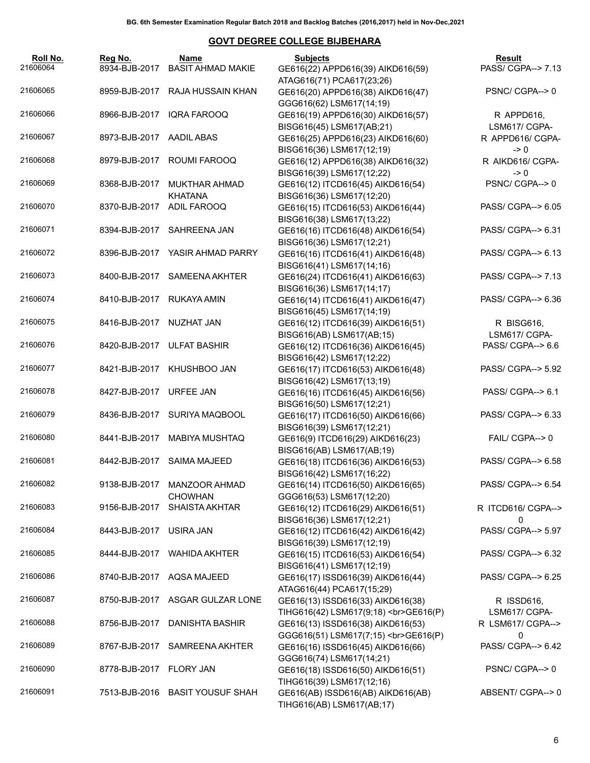| Roll No.<br>21606064 | Reg No.<br>8934-BJB-2017 | Name<br><b>BASIT AHMAD MAKIE</b>       | <b>Subjects</b><br>GE616(22) APPD616(39) AIKD616(59)                                        | Result<br>PASS/ CGPA--> 7.13        |
|----------------------|--------------------------|----------------------------------------|---------------------------------------------------------------------------------------------|-------------------------------------|
| 21606065             | 8959-BJB-2017            | RAJA HUSSAIN KHAN                      | ATAG616(71) PCA617(23;26)<br>GE616(20) APPD616(38) AIKD616(47)                              | PSNC/CGPA-->0                       |
| 21606066             | 8966-BJB-2017            | IQRA FAROOQ                            | GGG616(62) LSM617(14;19)<br>GE616(19) APPD616(30) AIKD616(57)                               | R APPD616,                          |
| 21606067             | 8973-BJB-2017            | AADIL ABAS                             | BISG616(45) LSM617(AB;21)<br>GE616(25) APPD616(23) AIKD616(60)                              | LSM617/ CGPA-<br>R APPD616/ CGPA-   |
| 21606068             | 8979-BJB-2017            | ROUMI FAROOQ                           | BISG616(36) LSM617(12;19)<br>GE616(12) APPD616(38) AIKD616(32)                              | $\rightarrow 0$<br>R AIKD616/ CGPA- |
| 21606069             | 8368-BJB-2017            | <b>MUKTHAR AHMAD</b>                   | BISG616(39) LSM617(12;22)<br>GE616(12) ITCD616(45) AIKD616(54)                              | $\rightarrow 0$<br>PSNC/CGPA-->0    |
| 21606070             | 8370-BJB-2017            | <b>KHATANA</b><br>ADIL FAROOQ          | BISG616(36) LSM617(12;20)<br>GE616(15) ITCD616(53) AIKD616(44)                              | PASS/ CGPA--> 6.05                  |
| 21606071             |                          | 8394-BJB-2017 SAHREENA JAN             | BISG616(38) LSM617(13;22)<br>GE616(16) ITCD616(48) AIKD616(54)                              | PASS/ CGPA--> 6.31                  |
| 21606072             |                          | 8396-BJB-2017 YASIR AHMAD PARRY        | BISG616(36) LSM617(12;21)<br>GE616(16) ITCD616(41) AIKD616(48)                              | PASS/ CGPA--> 6.13                  |
| 21606073             | 8400-BJB-2017            | <b>SAMEENA AKHTER</b>                  | BISG616(41) LSM617(14;16)<br>GE616(24) ITCD616(41) AIKD616(63)                              | PASS/ CGPA--> 7.13                  |
| 21606074             | 8410-BJB-2017            | RUKAYA AMIN                            | BISG616(36) LSM617(14;17)<br>GE616(14) ITCD616(41) AIKD616(47)<br>BISG616(45) LSM617(14;19) | PASS/ CGPA--> 6.36                  |
| 21606075             | 8416-BJB-2017 NUZHAT JAN |                                        | GE616(12) ITCD616(39) AIKD616(51)<br>BISG616(AB) LSM617(AB;15)                              | R BISG616,<br>LSM617/ CGPA-         |
| 21606076             |                          | 8420-BJB-2017 ULFAT BASHIR             | GE616(12) ITCD616(36) AIKD616(45)<br>BISG616(42) LSM617(12;22)                              | PASS/ CGPA--> 6.6                   |
| 21606077             | 8421-BJB-2017            | KHUSHBOO JAN                           | GE616(17) ITCD616(53) AIKD616(48)<br>BISG616(42) LSM617(13;19)                              | PASS/ CGPA--> 5.92                  |
| 21606078             | 8427-BJB-2017            | <b>URFEE JAN</b>                       | GE616(16) ITCD616(45) AIKD616(56)<br>BISG616(50) LSM617(12;21)                              | PASS/ CGPA--> 6.1                   |
| 21606079             |                          | 8436-BJB-2017 SURIYA MAQBOOL           | GE616(17) ITCD616(50) AIKD616(66)<br>BISG616(39) LSM617(12;21)                              | PASS/ CGPA--> 6.33                  |
| 21606080             |                          | 8441-BJB-2017 MABIYA MUSHTAQ           | GE616(9) ITCD616(29) AIKD616(23)<br>BISG616(AB) LSM617(AB;19)                               | FAIL/ CGPA--> 0                     |
| 21606081             |                          | 8442-BJB-2017 SAIMA MAJEED             | GE616(18) ITCD616(36) AIKD616(53)<br>BISG616(42) LSM617(16;22)                              | PASS/ CGPA--> 6.58                  |
| 21606082             | 9138-BJB-2017            | <b>MANZOOR AHMAD</b><br><b>CHOWHAN</b> | GE616(14) ITCD616(50) AIKD616(65)<br>GGG616(53) LSM617(12;20)                               | PASS/ CGPA--> 6.54                  |
| 21606083             | 9156-BJB-2017            | <b>SHAISTA AKHTAR</b>                  | GE616(12) ITCD616(29) AIKD616(51)<br>BISG616(36) LSM617(12;21)                              | R ITCD616/ CGPA--><br>0             |
| 21606084             | 8443-BJB-2017            | USIRA JAN                              | GE616(12) ITCD616(42) AIKD616(42)<br>BISG616(39) LSM617(12;19)                              | PASS/ CGPA--> 5.97                  |
| 21606085             | 8444-BJB-2017            | <b>WAHIDA AKHTER</b>                   | GE616(15) ITCD616(53) AIKD616(54)<br>BISG616(41) LSM617(12;19)                              | PASS/ CGPA--> 6.32                  |
| 21606086             | 8740-BJB-2017            | AQSA MAJEED                            | GE616(17) ISSD616(39) AIKD616(44)<br>ATAG616(44) PCA617(15;29)                              | PASS/ CGPA--> 6.25                  |
| 21606087             | 8750-BJB-2017            | ASGAR GULZAR LONE                      | GE616(13) ISSD616(33) AIKD616(38)<br>TIHG616(42) LSM617(9;18)<br>GE616(P)                   | R ISSD616,<br>LSM617/ CGPA-         |
| 21606088             | 8756-BJB-2017            | <b>DANISHTA BASHIR</b>                 | GE616(13) ISSD616(38) AIKD616(53)<br>GGG616(51) LSM617(7;15)<br>GE616(P)                    | R LSM617/ CGPA--><br>0              |
| 21606089             | 8767-BJB-2017            | SAMREENA AKHTER                        | GE616(16) ISSD616(45) AIKD616(66)<br>GGG616(74) LSM617(14;21)                               | PASS/ CGPA--> 6.42                  |
| 21606090             | 8778-BJB-2017            | <b>FLORY JAN</b>                       | GE616(18) ISSD616(50) AIKD616(51)<br>TIHG616(39) LSM617(12;16)                              | PSNC/CGPA-->0                       |
| 21606091             | 7513-BJB-2016            | <b>BASIT YOUSUF SHAH</b>               | GE616(AB) ISSD616(AB) AIKD616(AB)<br>TIHG616(AB) LSM617(AB;17)                              | ABSENT/ CGPA--> 0                   |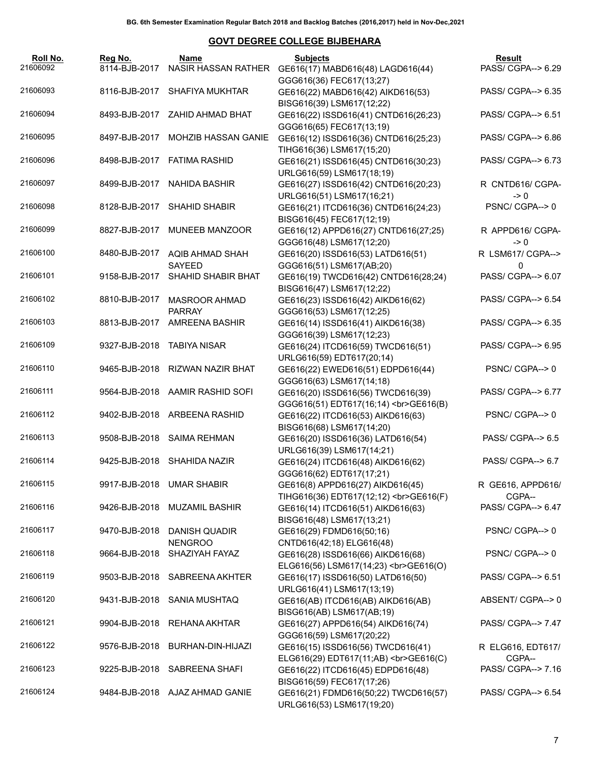| Roll No.<br>21606092 | Reg No.<br>8114-BJB-2017   | Name<br>NASIR HASSAN RATHER            | <b>Subjects</b><br>GE616(17) MABD616(48) LAGD616(44)                                       | Result<br>PASS/ CGPA--> 6.29         |
|----------------------|----------------------------|----------------------------------------|--------------------------------------------------------------------------------------------|--------------------------------------|
| 21606093             |                            | 8116-BJB-2017 SHAFIYA MUKHTAR          | GGG616(36) FEC617(13;27)<br>GE616(22) MABD616(42) AIKD616(53)                              | PASS/ CGPA--> 6.35                   |
| 21606094             |                            | 8493-BJB-2017 ZAHID AHMAD BHAT         | BISG616(39) LSM617(12;22)<br>GE616(22) ISSD616(41) CNTD616(26;23)                          | PASS/ CGPA--> 6.51                   |
| 21606095             |                            | 8497-BJB-2017 MOHZIB HASSAN GANIE      | GGG616(65) FEC617(13;19)<br>GE616(12) ISSD616(36) CNTD616(25;23)                           | PASS/ CGPA--> 6.86                   |
| 21606096             |                            | 8498-BJB-2017 FATIMA RASHID            | TIHG616(36) LSM617(15;20)<br>GE616(21) ISSD616(45) CNTD616(30;23)                          | PASS/ CGPA--> 6.73                   |
| 21606097             |                            | 8499-BJB-2017 NAHIDA BASHIR            | URLG616(59) LSM617(18;19)<br>GE616(27) ISSD616(42) CNTD616(20;23)                          | R CNTD616/ CGPA-                     |
| 21606098             |                            | 8128-BJB-2017 SHAHID SHABIR            | URLG616(51) LSM617(16;21)<br>GE616(21) ITCD616(36) CNTD616(24;23)                          | $\rightarrow 0$<br>PSNC/CGPA-->0     |
| 21606099             |                            | 8827-BJB-2017 MUNEEB MANZOOR           | BISG616(45) FEC617(12;19)<br>GE616(12) APPD616(27) CNTD616(27;25)                          | R APPD616/ CGPA-                     |
| 21606100             | 8480-BJB-2017              | AQIB AHMAD SHAH                        | GGG616(48) LSM617(12;20)<br>GE616(20) ISSD616(53) LATD616(51)                              | $\rightarrow 0$<br>R LSM617/ CGPA--> |
| 21606101             | 9158-BJB-2017              | <b>SAYEED</b><br>SHAHID SHABIR BHAT    | GGG616(51) LSM617(AB;20)<br>GE616(19) TWCD616(42) CNTD616(28;24)                           | 0<br>PASS/ CGPA--> 6.07              |
| 21606102             | 8810-BJB-2017              | <b>MASROOR AHMAD</b><br><b>PARRAY</b>  | BISG616(47) LSM617(12;22)<br>GE616(23) ISSD616(42) AIKD616(62)<br>GGG616(53) LSM617(12;25) | PASS/ CGPA--> 6.54                   |
| 21606103             | 8813-BJB-2017              | <b>AMREENA BASHIR</b>                  | GE616(14) ISSD616(41) AIKD616(38)<br>GGG616(39) LSM617(12;23)                              | PASS/ CGPA--> 6.35                   |
| 21606109             | 9327-BJB-2018 TABIYA NISAR |                                        | GE616(24) ITCD616(59) TWCD616(51)<br>URLG616(59) EDT617(20;14)                             | PASS/ CGPA--> 6.95                   |
| 21606110             |                            | 9465-BJB-2018 RIZWAN NAZIR BHAT        | GE616(22) EWED616(51) EDPD616(44)<br>GGG616(63) LSM617(14;18)                              | PSNC/CGPA-->0                        |
| 21606111             |                            | 9564-BJB-2018 AAMIR RASHID SOFI        | GE616(20) ISSD616(56) TWCD616(39)<br>GGG616(51) EDT617(16;14)<br>><br>GGG616(B)            | PASS/ CGPA--> 6.77                   |
| 21606112             |                            | 9402-BJB-2018 ARBEENA RASHID           | GE616(22) ITCD616(53) AIKD616(63)<br>BISG616(68) LSM617(14;20)                             | PSNC/CGPA-->0                        |
| 21606113             |                            | 9508-BJB-2018 SAIMA REHMAN             | GE616(20) ISSD616(36) LATD616(54)<br>URLG616(39) LSM617(14;21)                             | PASS/ CGPA--> 6.5                    |
| 21606114             |                            | 9425-BJB-2018 SHAHIDA NAZIR            | GE616(24) ITCD616(48) AIKD616(62)<br>GGG616(62) EDT617(17;21)                              | PASS/ CGPA--> 6.7                    |
| 21606115             |                            | 9917-BJB-2018 UMAR SHABIR              | GE616(8) APPD616(27) AIKD616(45)<br>TIHG616(36) EDT617(12;12)<br>GE616(F)                  | R GE616, APPD616/<br>CGPA--          |
| 21606116             |                            | 9426-BJB-2018 MUZAMIL BASHIR           | GE616(14) ITCD616(51) AIKD616(63)<br>BISG616(48) LSM617(13;21)                             | PASS/ CGPA--> 6.47                   |
| 21606117             | 9470-BJB-2018              | <b>DANISH QUADIR</b><br><b>NENGROO</b> | GE616(29) FDMD616(50;16)<br>CNTD616(42;18) ELG616(48)                                      | PSNC/CGPA-->0                        |
| 21606118             | 9664-BJB-2018              | SHAZIYAH FAYAZ                         | GE616(28) ISSD616(66) AIKD616(68)<br>ELG616(56) LSM617(14;23)<br>GE616(O)                  | PSNC/CGPA-->0                        |
| 21606119             |                            | 9503-BJB-2018 SABREENA AKHTER          | GE616(17) ISSD616(50) LATD616(50)<br>URLG616(41) LSM617(13;19)                             | PASS/ CGPA--> 6.51                   |
| 21606120             | 9431-BJB-2018              | SANIA MUSHTAQ                          | GE616(AB) ITCD616(AB) AIKD616(AB)<br>BISG616(AB) LSM617(AB;19)                             | ABSENT/CGPA--> 0                     |
| 21606121             | 9904-BJB-2018              | REHANA AKHTAR                          | GE616(27) APPD616(54) AIKD616(74)<br>GGG616(59) LSM617(20;22)                              | PASS/ CGPA--> 7.47                   |
| 21606122             | 9576-BJB-2018              | BURHAN-DIN-HIJAZI                      | GE616(15) ISSD616(56) TWCD616(41)<br>ELG616(29) EDT617(11;AB)<br>GE616(C)                  | R ELG616, EDT617/<br>CGPA--          |
| 21606123             |                            | 9225-BJB-2018 SABREENA SHAFI           | GE616(22) ITCD616(45) EDPD616(48)<br>BISG616(59) FEC617(17;26)                             | PASS/ CGPA--> 7.16                   |
| 21606124             |                            | 9484-BJB-2018 AJAZ AHMAD GANIE         | GE616(21) FDMD616(50;22) TWCD616(57)<br>URLG616(53) LSM617(19;20)                          | PASS/ CGPA--> 6.54                   |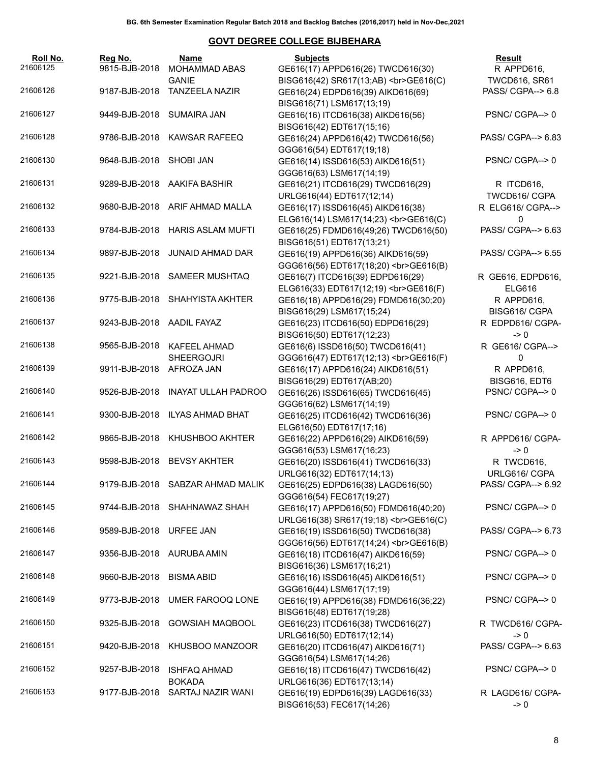| Roll No.<br>21606125 | Reg No.<br>9815-BJB-2018 | Name<br>MOHAMMAD ABAS                 | <b>Subjects</b><br>GE616(17) APPD616(26) TWCD616(30)                                       | Result<br>R APPD616,                      |
|----------------------|--------------------------|---------------------------------------|--------------------------------------------------------------------------------------------|-------------------------------------------|
| 21606126             | 9187-BJB-2018            | <b>GANIE</b><br><b>TANZEELA NAZIR</b> | BISG616(42) SR617(13;AB)<br>><br>GE616(C)<br>GE616(24) EDPD616(39) AIKD616(69)             | <b>TWCD616, SR61</b><br>PASS/ CGPA--> 6.8 |
| 21606127             | 9449-BJB-2018            | <b>SUMAIRA JAN</b>                    | BISG616(71) LSM617(13;19)<br>GE616(16) ITCD616(38) AIKD616(56)                             | PSNC/CGPA-->0                             |
| 21606128             | 9786-BJB-2018            | <b>KAWSAR RAFEEQ</b>                  | BISG616(42) EDT617(15;16)<br>GE616(24) APPD616(42) TWCD616(56)<br>GGG616(54) EDT617(19;18) | PASS/ CGPA--> 6.83                        |
| 21606130             | 9648-BJB-2018            | <b>SHOBI JAN</b>                      | GE616(14) ISSD616(53) AIKD616(51)<br>GGG616(63) LSM617(14;19)                              | PSNC/CGPA-->0                             |
| 21606131             | 9289-BJB-2018            | AAKIFA BASHIR                         | GE616(21) ITCD616(29) TWCD616(29)<br>URLG616(44) EDT617(12;14)                             | R ITCD616,<br>TWCD616/ CGPA               |
| 21606132             | 9680-BJB-2018            | ARIF AHMAD MALLA                      | GE616(17) ISSD616(45) AIKD616(38)<br>ELG616(14) LSM617(14;23)<br>GE616(C)                  | R ELG616/ CGPA--><br>$\mathbf{0}$         |
| 21606133             | 9784-BJB-2018            | <b>HARIS ASLAM MUFTI</b>              | GE616(25) FDMD616(49;26) TWCD616(50)<br>BISG616(51) EDT617(13;21)                          | PASS/ CGPA--> 6.63                        |
| 21606134             | 9897-BJB-2018            | <b>JUNAID AHMAD DAR</b>               | GE616(19) APPD616(36) AIKD616(59)<br>GGG616(56) EDT617(18;20)<br>><br>GGG616(B)            | PASS/ CGPA--> 6.55                        |
| 21606135             | 9221-BJB-2018            | SAMEER MUSHTAQ                        | GE616(7) ITCD616(39) EDPD616(29)<br>ELG616(33) EDT617(12;19)<br>GE616(F)                   | R GE616, EDPD616,<br><b>ELG616</b>        |
| 21606136             | 9775-BJB-2018            | SHAHYISTA AKHTER                      | GE616(18) APPD616(29) FDMD616(30;20)<br>BISG616(29) LSM617(15;24)                          | R APPD616,<br>BISG616/ CGPA               |
| 21606137             | 9243-BJB-2018            | AADIL FAYAZ                           | GE616(23) ITCD616(50) EDPD616(29)<br>BISG616(50) EDT617(12;23)                             | R EDPD616/ CGPA-<br>$\geq 0$              |
| 21606138             | 9565-BJB-2018            | KAFEEL AHMAD<br><b>SHEERGOJRI</b>     | GE616(6) ISSD616(50) TWCD616(41)<br>GGG616(47) EDT617(12;13)<br>GE616(F)                   | R GE616/ CGPA--><br>$\mathbf{0}$          |
| 21606139             | 9911-BJB-2018            | AFROZA JAN                            | GE616(17) APPD616(24) AIKD616(51)<br>BISG616(29) EDT617(AB;20)                             | R APPD616,<br>BISG616, EDT6               |
| 21606140             | 9526-BJB-2018            | <b>INAYAT ULLAH PADROO</b>            | GE616(26) ISSD616(65) TWCD616(45)<br>GGG616(62) LSM617(14;19)                              | PSNC/CGPA--> 0                            |
| 21606141             | 9300-BJB-2018            | <b>ILYAS AHMAD BHAT</b>               | GE616(25) ITCD616(42) TWCD616(36)<br>ELG616(50) EDT617(17;16)                              | PSNC/CGPA-->0                             |
| 21606142             | 9865-BJB-2018            | KHUSHBOO AKHTER                       | GE616(22) APPD616(29) AIKD616(59)<br>GGG616(53) LSM617(16;23)                              | R APPD616/ CGPA-<br>-> 0                  |
| 21606143             | 9598-BJB-2018            | <b>BEVSY AKHTER</b>                   | GE616(20) ISSD616(41) TWCD616(33)<br>URLG616(32) EDT617(14;13)                             | R TWCD616,<br>URLG616/ CGPA               |
| 21606144             |                          | 9179-BJB-2018 SABZAR AHMAD MALIK      | GE616(25) EDPD616(38) LAGD616(50)<br>GGG616(54) FEC617(19;27)                              | PASS/ CGPA--> 6.92                        |
| 21606145             | 9744-BJB-2018            | SHAHNAWAZ SHAH                        | GE616(17) APPD616(50) FDMD616(40;20)<br>URLG616(38) SR617(19;18)<br>GE616(C)               | PSNC/CGPA-->0                             |
| 21606146             | 9589-BJB-2018            | URFEE JAN                             | GE616(19) ISSD616(50) TWCD616(38)<br>GGG616(56) EDT617(14;24)<br>><br>GGG616(B)            | PASS/ CGPA--> 6.73                        |
| 21606147             | 9356-BJB-2018            | AURUBA AMIN                           | GE616(18) ITCD616(47) AIKD616(59)<br>BISG616(36) LSM617(16;21)                             | PSNC/CGPA-->0                             |
| 21606148             | 9660-BJB-2018            | <b>BISMA ABID</b>                     | GE616(16) ISSD616(45) AIKD616(51)<br>GGG616(44) LSM617(17;19)                              | PSNC/CGPA-->0                             |
| 21606149             | 9773-BJB-2018            | UMER FAROOQ LONE                      | GE616(19) APPD616(38) FDMD616(36;22)<br>BISG616(48) EDT617(19;28)                          | PSNC/CGPA-->0                             |
| 21606150             | 9325-BJB-2018            | <b>GOWSIAH MAQBOOL</b>                | GE616(23) ITCD616(38) TWCD616(27)<br>URLG616(50) EDT617(12;14)                             | R TWCD616/ CGPA-<br>-> 0                  |
| 21606151             | 9420-BJB-2018            | KHUSBOO MANZOOR                       | GE616(20) ITCD616(47) AIKD616(71)<br>GGG616(54) LSM617(14;26)                              | PASS/ CGPA--> 6.63                        |
| 21606152             | 9257-BJB-2018            | <b>ISHFAQ AHMAD</b><br><b>BOKADA</b>  | GE616(18) ITCD616(47) TWCD616(42)<br>URLG616(36) EDT617(13;14)                             | PSNC/CGPA-->0                             |
| 21606153             | 9177-BJB-2018            | SARTAJ NAZIR WANI                     | GE616(19) EDPD616(39) LAGD616(33)<br>BISG616(53) FEC617(14;26)                             | R LAGD616/ CGPA-<br>-> 0                  |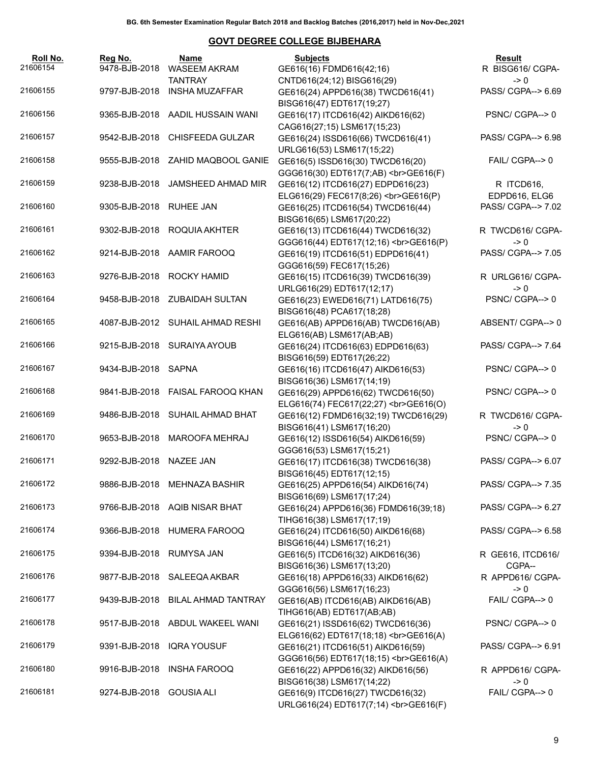| Roll No.<br>21606154 | Reg No.<br>9478-BJB-2018 | <b>Name</b><br><b>WASEEM AKRAM</b> | <b>Subjects</b><br>GE616(16) FDMD616(42;16)                                                           | Result<br>R BISG616/ CGPA-            |
|----------------------|--------------------------|------------------------------------|-------------------------------------------------------------------------------------------------------|---------------------------------------|
| 21606155             | 9797-BJB-2018            | <b>TANTRAY</b><br>INSHA MUZAFFAR   | CNTD616(24;12) BISG616(29)<br>GE616(24) APPD616(38) TWCD616(41)                                       | $\rightarrow 0$<br>PASS/ CGPA--> 6.69 |
| 21606156             |                          | 9365-BJB-2018 AADIL HUSSAIN WANI   | BISG616(47) EDT617(19;27)<br>GE616(17) ITCD616(42) AIKD616(62)                                        | PSNC/CGPA-->0                         |
| 21606157             |                          | 9542-BJB-2018 CHISFEEDA GULZAR     | CAG616(27;15) LSM617(15;23)<br>GE616(24) ISSD616(66) TWCD616(41)                                      | PASS/ CGPA--> 6.98                    |
| 21606158             |                          | 9555-BJB-2018 ZAHID MAQBOOL GANIE  | URLG616(53) LSM617(15;22)<br>GE616(5) ISSD616(30) TWCD616(20)                                         | FAIL/ CGPA--> 0                       |
| 21606159             | 9238-BJB-2018            | JAMSHEED AHMAD MIR                 | GGG616(30) EDT617(7;AB)<br>><br>GGG616(F)<br>GE616(12) ITCD616(27) EDPD616(23)                        | R ITCD616,                            |
| 21606160             | 9305-BJB-2018 RUHEE JAN  |                                    | ELG616(29) FEC617(8;26)<br>GE616(P)<br>GE616(25) ITCD616(54) TWCD616(44)                              | EDPD616, ELG6<br>PASS/ CGPA--> 7.02   |
| 21606161             |                          | 9302-BJB-2018 ROQUIA AKHTER        | BISG616(65) LSM617(20;22)<br>GE616(13) ITCD616(44) TWCD616(32)                                        | R TWCD616/ CGPA-<br>$\rightarrow 0$   |
| 21606162             |                          | 9214-BJB-2018 AAMIR FAROOQ         | GGG616(44) EDT617(12;16)<br>GE616(P)<br>GE616(19) ITCD616(51) EDPD616(41)<br>GGG616(59) FEC617(15;26) | PASS/ CGPA--> 7.05                    |
| 21606163             |                          | 9276-BJB-2018 ROCKY HAMID          | GE616(15) ITCD616(39) TWCD616(39)<br>URLG616(29) EDT617(12;17)                                        | R URLG616/ CGPA-<br>$\rightarrow 0$   |
| 21606164             |                          | 9458-BJB-2018 ZUBAIDAH SULTAN      | GE616(23) EWED616(71) LATD616(75)<br>BISG616(48) PCA617(18;28)                                        | PSNC/CGPA--> 0                        |
| 21606165             |                          | 4087-BJB-2012 SUHAIL AHMAD RESHI   | GE616(AB) APPD616(AB) TWCD616(AB)<br>ELG616(AB) LSM617(AB;AB)                                         | ABSENT/ CGPA--> 0                     |
| 21606166             |                          | 9215-BJB-2018 SURAIYA AYOUB        | GE616(24) ITCD616(63) EDPD616(63)<br>BISG616(59) EDT617(26;22)                                        | PASS/ CGPA--> 7.64                    |
| 21606167             | 9434-BJB-2018 SAPNA      |                                    | GE616(16) ITCD616(47) AIKD616(53)<br>BISG616(36) LSM617(14;19)                                        | PSNC/CGPA-->0                         |
| 21606168             |                          | 9841-BJB-2018 FAISAL FAROOQ KHAN   | GE616(29) APPD616(62) TWCD616(50)<br>ELG616(74) FEC617(22;27)<br>GE616(O)                             | PSNC/CGPA-->0                         |
| 21606169             |                          | 9486-BJB-2018 SUHAIL AHMAD BHAT    | GE616(12) FDMD616(32;19) TWCD616(29)<br>BISG616(41) LSM617(16;20)                                     | R TWCD616/ CGPA-<br>$\rightarrow 0$   |
| 21606170             | 9653-BJB-2018            | MAROOFA MEHRAJ                     | GE616(12) ISSD616(54) AIKD616(59)<br>GGG616(53) LSM617(15;21)                                         | PSNC/CGPA--> 0                        |
| 21606171             | 9292-BJB-2018 NAZEE JAN  |                                    | GE616(17) ITCD616(38) TWCD616(38)<br>BISG616(45) EDT617(12;15)                                        | PASS/ CGPA--> 6.07                    |
| 21606172             |                          | 9886-BJB-2018 MEHNAZA BASHIR       | GE616(25) APPD616(54) AIKD616(74)<br>BISG616(69) LSM617(17;24)                                        | PASS/ CGPA--> 7.35                    |
| 21606173             |                          | 9766-BJB-2018 AQIB NISAR BHAT      | GE616(24) APPD616(36) FDMD616(39;18)<br>TIHG616(38) LSM617(17;19)                                     | PASS/ CGPA--> 6.27                    |
| 21606174             | 9366-BJB-2018            | <b>HUMERA FAROOQ</b>               | GE616(24) ITCD616(50) AIKD616(68)<br>BISG616(44) LSM617(16;21)                                        | PASS/ CGPA--> 6.58                    |
| 21606175             | 9394-BJB-2018            | <b>RUMYSA JAN</b>                  | GE616(5) ITCD616(32) AIKD616(36)<br>BISG616(36) LSM617(13;20)                                         | R GE616, ITCD616/<br>CGPA--           |
| 21606176             | 9877-BJB-2018            | SALEEQA AKBAR                      | GE616(18) APPD616(33) AIKD616(62)<br>GGG616(56) LSM617(16;23)                                         | R APPD616/ CGPA-<br>$\rightarrow 0$   |
| 21606177             | 9439-BJB-2018            | <b>BILAL AHMAD TANTRAY</b>         | GE616(AB) ITCD616(AB) AIKD616(AB)<br>TIHG616(AB) EDT617(AB;AB)                                        | FAIL/ CGPA--> 0                       |
| 21606178             | 9517-BJB-2018            | ABDUL WAKEEL WANI                  | GE616(21) ISSD616(62) TWCD616(36)<br>ELG616(62) EDT617(18;18)<br>GE616(A)                             | PSNC/CGPA-->0                         |
| 21606179             | 9391-BJB-2018            | <b>IQRA YOUSUF</b>                 | GE616(21) ITCD616(51) AIKD616(59)<br>GGG616(56) EDT617(18;15)<br>><br>GE616(A)                        | PASS/ CGPA--> 6.91                    |
| 21606180             | 9916-BJB-2018            | <b>INSHA FAROOQ</b>                | GE616(22) APPD616(32) AIKD616(56)<br>BISG616(38) LSM617(14;22)                                        | R APPD616/ CGPA-<br>$\rightarrow 0$   |
| 21606181             | 9274-BJB-2018            | <b>GOUSIA ALI</b>                  | GE616(9) ITCD616(27) TWCD616(32)<br>URLG616(24) EDT617(7;14)<br>GE616(F)                              | FAIL/ CGPA--> 0                       |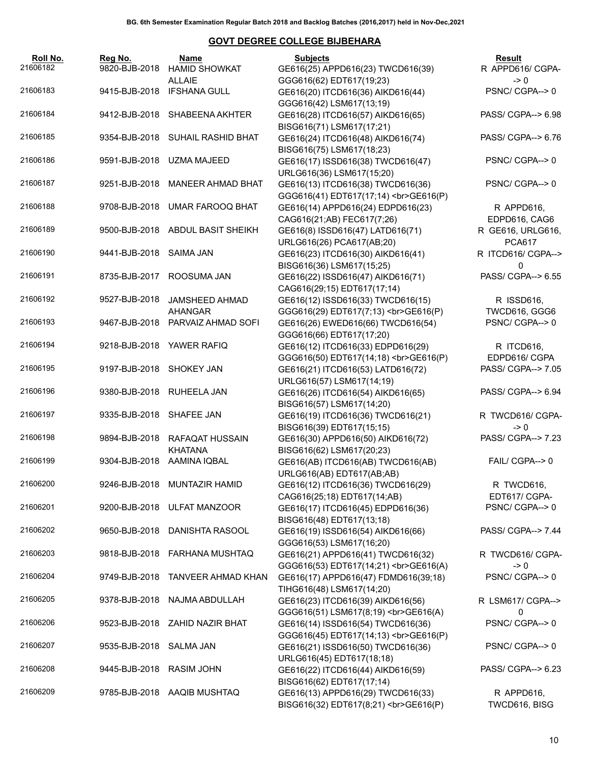| Roll No. | Reg No.                  | Name                                         | <b>Subjects</b>                                                                                                                                                                            | <b>Result</b>                      |
|----------|--------------------------|----------------------------------------------|--------------------------------------------------------------------------------------------------------------------------------------------------------------------------------------------|------------------------------------|
| 21606182 | 9820-BJB-2018            | <b>HAMID SHOWKAT</b>                         | GE616(25) APPD616(23) TWCD616(39)                                                                                                                                                          | R APPD616/ CGPA-                   |
|          |                          | <b>ALLAIE</b>                                | GGG616(62) EDT617(19;23)                                                                                                                                                                   | $\rightarrow 0$                    |
| 21606183 |                          | 9415-BJB-2018 IFSHANA GULL                   | GE616(20) ITCD616(36) AIKD616(44)                                                                                                                                                          | PSNC/CGPA-->0                      |
| 21606184 | 9412-BJB-2018            | SHABEENA AKHTER                              | GGG616(42) LSM617(13;19)<br>GE616(28) ITCD616(57) AIKD616(65)                                                                                                                              | PASS/ CGPA--> 6.98                 |
|          |                          |                                              | BISG616(71) LSM617(17;21)                                                                                                                                                                  |                                    |
| 21606185 |                          | 9354-BJB-2018 SUHAIL RASHID BHAT             | GE616(24) ITCD616(48) AIKD616(74)                                                                                                                                                          | PASS/ CGPA--> 6.76                 |
|          |                          |                                              | BISG616(75) LSM617(18;23)                                                                                                                                                                  |                                    |
| 21606186 | 9591-BJB-2018            | UZMA MAJEED                                  | GE616(17) ISSD616(38) TWCD616(47)                                                                                                                                                          | PSNC/CGPA-->0                      |
|          |                          |                                              | URLG616(36) LSM617(15;20)                                                                                                                                                                  |                                    |
| 21606187 | 9251-BJB-2018            | <b>MANEER AHMAD BHAT</b>                     | GE616(13) ITCD616(38) TWCD616(36)                                                                                                                                                          | PSNC/CGPA-->0                      |
|          |                          |                                              | GGG616(41) EDT617(17;14)<br>><br>GGG616(P)                                                                                                                                                 |                                    |
| 21606188 | 9708-BJB-2018            | <b>UMAR FAROOQ BHAT</b>                      | GE616(14) APPD616(24) EDPD616(23)                                                                                                                                                          | R APPD616,                         |
| 21606189 | 9500-BJB-2018            | ABDUL BASIT SHEIKH                           | CAG616(21;AB) FEC617(7;26)<br>GE616(8) ISSD616(47) LATD616(71)                                                                                                                             | EDPD616, CAG6<br>R GE616, URLG616, |
|          |                          |                                              | URLG616(26) PCA617(AB;20)                                                                                                                                                                  | <b>PCA617</b>                      |
| 21606190 | 9441-BJB-2018            | SAIMA JAN                                    | GE616(23) ITCD616(30) AIKD616(41)                                                                                                                                                          | R ITCD616/ CGPA-->                 |
|          |                          |                                              | BISG616(36) LSM617(15;25)                                                                                                                                                                  | $\Omega$                           |
| 21606191 | 8735-BJB-2017            | ROOSUMA JAN                                  | GE616(22) ISSD616(47) AIKD616(71)                                                                                                                                                          | PASS/ CGPA--> 6.55                 |
|          |                          |                                              | CAG616(29;15) EDT617(17;14)                                                                                                                                                                |                                    |
| 21606192 | 9527-BJB-2018            | JAMSHEED AHMAD                               | GE616(12) ISSD616(33) TWCD616(15)                                                                                                                                                          | R ISSD616,                         |
|          |                          | <b>AHANGAR</b>                               | GGG616(29) EDT617(7;13)<br>><br>GGG616(P)                                                                                                                                                  | TWCD616, GGG6                      |
| 21606193 |                          | 9467-BJB-2018 PARVAIZ AHMAD SOFI             | GE616(26) EWED616(66) TWCD616(54)                                                                                                                                                          | PSNC/CGPA-->0                      |
| 21606194 |                          | 9218-BJB-2018 YAWER RAFIQ                    | GGG616(66) EDT617(17;20)                                                                                                                                                                   |                                    |
|          |                          |                                              | GE616(12) ITCD616(33) EDPD616(29)<br>GGG616(50) EDT617(14;18)<br>><br>GE616(P)                                                                                                             | R ITCD616,<br>EDPD616/ CGPA        |
| 21606195 | 9197-BJB-2018 SHOKEY JAN |                                              | GE616(21) ITCD616(53) LATD616(72)                                                                                                                                                          | PASS/ CGPA--> 7.05                 |
|          |                          |                                              | URLG616(57) LSM617(14;19)                                                                                                                                                                  |                                    |
| 21606196 | 9380-BJB-2018            | RUHEELA JAN                                  | GE616(26) ITCD616(54) AIKD616(65)                                                                                                                                                          | PASS/ CGPA--> 6.94                 |
|          |                          |                                              | BISG616(57) LSM617(14;20)                                                                                                                                                                  |                                    |
| 21606197 | 9335-BJB-2018 SHAFEE JAN |                                              | GE616(19) ITCD616(36) TWCD616(21)                                                                                                                                                          | R TWCD616/ CGPA-                   |
|          |                          |                                              | BISG616(39) EDT617(15;15)                                                                                                                                                                  | $\rightarrow 0$                    |
| 21606198 | 9894-BJB-2018            | RAFAQAT HUSSAIN                              | GE616(30) APPD616(50) AIKD616(72)                                                                                                                                                          | PASS/ CGPA--> 7.23                 |
| 21606199 |                          | <b>KHATANA</b><br>9304-BJB-2018 AAMINA IQBAL | BISG616(62) LSM617(20;23)<br>GE616(AB) ITCD616(AB) TWCD616(AB)                                                                                                                             | FAIL/ CGPA--> 0                    |
|          |                          |                                              | URLG616(AB) EDT617(AB;AB)                                                                                                                                                                  |                                    |
| 21606200 |                          | 9246-BJB-2018 MUNTAZIR HAMID                 | GE616(12) ITCD616(36) TWCD616(29)                                                                                                                                                          | R TWCD616,                         |
|          |                          |                                              | CAG616(25;18) EDT617(14;AB)                                                                                                                                                                | EDT617/ CGPA-                      |
| 21606201 |                          | 9200-BJB-2018 ULFAT MANZOOR                  | GE616(17) ITCD616(45) EDPD616(36)                                                                                                                                                          | PSNC/CGPA-->0                      |
|          |                          |                                              | BISG616(48) EDT617(13;18)                                                                                                                                                                  |                                    |
| 21606202 |                          | 9650-BJB-2018 DANISHTA RASOOL                | GE616(19) ISSD616(54) AIKD616(66)                                                                                                                                                          | PASS/ CGPA--> 7.44                 |
|          |                          |                                              | GGG616(53) LSM617(16;20)                                                                                                                                                                   |                                    |
| 21606203 |                          | 9818-BJB-2018 FARHANA MUSHTAQ                | GE616(21) APPD616(41) TWCD616(32)                                                                                                                                                          | R TWCD616/ CGPA-                   |
| 21606204 |                          | 9749-BJB-2018 TANVEER AHMAD KHAN             | GGG616(53) EDT617(14;21)<br>><br><br><br><br><br><br><br><br><br><br><br><br><br><br><br><br><br><br><br><br><br><br><br><br><br><br><br><b<br>GE616(17) APPD616(47) FDMD616(39;18)</b<br> | $\rightarrow 0$<br>PSNC/ CGPA--> 0 |
|          |                          |                                              | TIHG616(48) LSM617(14;20)                                                                                                                                                                  |                                    |
| 21606205 |                          | 9378-BJB-2018 NAJMA ABDULLAH                 | GE616(23) ITCD616(39) AIKD616(56)                                                                                                                                                          | R LSM617/ CGPA-->                  |
|          |                          |                                              | GGG616(51) LSM617(8;19)<br>GE616(A)                                                                                                                                                        | 0                                  |
| 21606206 |                          | 9523-BJB-2018 ZAHID NAZIR BHAT               | GE616(14) ISSD616(54) TWCD616(36)                                                                                                                                                          | PSNC/CGPA-->0                      |
|          |                          |                                              | GGG616(45) EDT617(14;13)<br>GE616(P)                                                                                                                                                       |                                    |
| 21606207 | 9535-BJB-2018 SALMA JAN  |                                              | GE616(21) ISSD616(50) TWCD616(36)                                                                                                                                                          | PSNC/ CGPA--> 0                    |
|          |                          |                                              | URLG616(45) EDT617(18;18)                                                                                                                                                                  |                                    |
| 21606208 | 9445-BJB-2018 RASIM JOHN |                                              | GE616(22) ITCD616(44) AIKD616(59)                                                                                                                                                          | PASS/ CGPA--> 6.23                 |
| 21606209 |                          | 9785-BJB-2018 AAQIB MUSHTAQ                  | BISG616(62) EDT617(17;14)<br>GE616(13) APPD616(29) TWCD616(33)                                                                                                                             | R APPD616,                         |
|          |                          |                                              | BISG616(32) EDT617(8;21)<br>GE616(P)                                                                                                                                                       | TWCD616, BISG                      |
|          |                          |                                              |                                                                                                                                                                                            |                                    |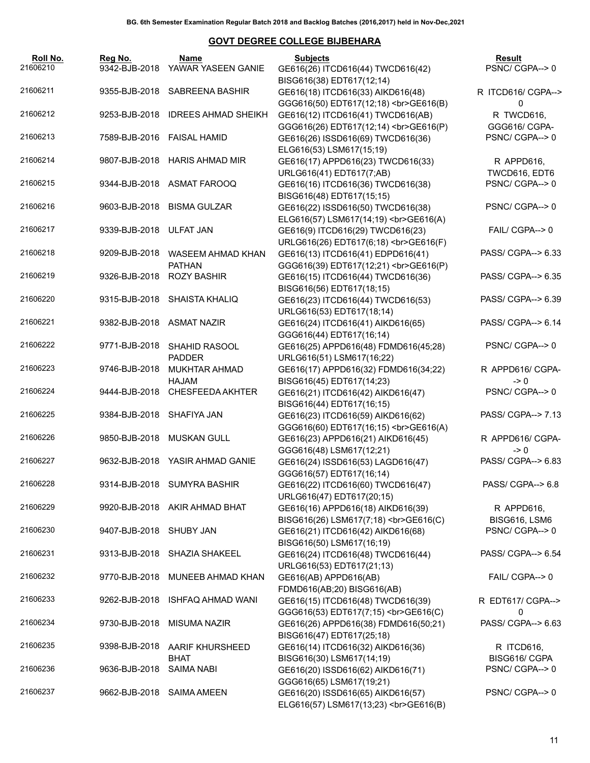| Roll No.<br>21606210 | Reg No.                    | Name<br>9342-BJB-2018 YAWAR YASEEN GANIE | <b>Subjects</b><br>GE616(26) ITCD616(44) TWCD616(42)                                                       | <b>Result</b><br>PSNC/ CGPA--> 0 |
|----------------------|----------------------------|------------------------------------------|------------------------------------------------------------------------------------------------------------|----------------------------------|
| 21606211             |                            | 9355-BJB-2018 SABREENA BASHIR            | BISG616(38) EDT617(12;14)<br>GE616(18) ITCD616(33) AIKD616(48)                                             | R ITCD616/ CGPA-->               |
| 21606212             |                            | 9253-BJB-2018 IDREES AHMAD SHEIKH        | GGG616(50) EDT617(12;18)<br>><br>GGG616(B)<br>GE616(12) ITCD616(41) TWCD616(AB)                            | 0<br>R TWCD616,<br>GGG616/ CGPA- |
| 21606213             | 7589-BJB-2016 FAISAL HAMID |                                          | GGG616(26) EDT617(12;14)<br>><br>GE616(P)<br>GE616(26) ISSD616(69) TWCD616(36)<br>ELG616(53) LSM617(15;19) | PSNC/CGPA-->0                    |
| 21606214             |                            | 9807-BJB-2018 HARIS AHMAD MIR            | GE616(17) APPD616(23) TWCD616(33)<br>URLG616(41) EDT617(7;AB)                                              | R APPD616,<br>TWCD616, EDT6      |
| 21606215             |                            | 9344-BJB-2018 ASMAT FAROOQ               | GE616(16) ITCD616(36) TWCD616(38)<br>BISG616(48) EDT617(15;15)                                             | PSNC/CGPA-->0                    |
| 21606216             |                            | 9603-BJB-2018 BISMA GULZAR               | GE616(22) ISSD616(50) TWCD616(38)<br>ELG616(57) LSM617(14;19)<br>GE616(A)                                  | PSNC/CGPA-->0                    |
| 21606217             | 9339-BJB-2018 ULFAT JAN    |                                          | GE616(9) ITCD616(29) TWCD616(23)<br>URLG616(26) EDT617(6;18)<br>GE616(F)                                   | FAIL/ CGPA--> 0                  |
| 21606218             | 9209-BJB-2018              | WASEEM AHMAD KHAN<br><b>PATHAN</b>       | GE616(13) ITCD616(41) EDPD616(41)<br>GGG616(39) EDT617(12;21)<br>GE616(P)                                  | PASS/ CGPA--> 6.33               |
| 21606219             | 9326-BJB-2018              | <b>ROZY BASHIR</b>                       | GE616(15) ITCD616(44) TWCD616(36)<br>BISG616(56) EDT617(18;15)                                             | PASS/ CGPA--> 6.35               |
| 21606220             |                            | 9315-BJB-2018 SHAISTA KHALIQ             | GE616(23) ITCD616(44) TWCD616(53)<br>URLG616(53) EDT617(18;14)                                             | PASS/ CGPA--> 6.39               |
| 21606221             | 9382-BJB-2018 ASMAT NAZIR  |                                          | GE616(24) ITCD616(41) AIKD616(65)<br>GGG616(44) EDT617(16;14)                                              | PASS/ CGPA--> 6.14               |
| 21606222             | 9771-BJB-2018              | <b>SHAHID RASOOL</b><br><b>PADDER</b>    | GE616(25) APPD616(48) FDMD616(45;28)<br>URLG616(51) LSM617(16;22)                                          | PSNC/CGPA-->0                    |
| 21606223             | 9746-BJB-2018              | <b>MUKHTAR AHMAD</b><br>HAJAM            | GE616(17) APPD616(32) FDMD616(34;22)<br>BISG616(45) EDT617(14;23)                                          | R APPD616/ CGPA-<br>-> 0         |
| 21606224             | 9444-BJB-2018              | CHESFEEDA AKHTER                         | GE616(21) ITCD616(42) AIKD616(47)<br>BISG616(44) EDT617(16;15)                                             | PSNC/CGPA-->0                    |
| 21606225             | 9384-BJB-2018 SHAFIYA JAN  |                                          | GE616(23) ITCD616(59) AIKD616(62)<br>GGG616(60) EDT617(16;15)<br>GE616(A)                                  | PASS/ CGPA--> 7.13               |
| 21606226             |                            | 9850-BJB-2018 MUSKAN GULL                | GE616(23) APPD616(21) AIKD616(45)<br>GGG616(48) LSM617(12;21)                                              | R APPD616/ CGPA-<br>-> 0         |
| 21606227             |                            | 9632-BJB-2018 YASIR AHMAD GANIE          | GE616(24) ISSD616(53) LAGD616(47)<br>GGG616(57) EDT617(16;14)                                              | PASS/ CGPA--> 6.83               |
| 21606228             |                            | 9314-BJB-2018 SUMYRA BASHIR              | GE616(22) ITCD616(60) TWCD616(47)<br>URLG616(47) EDT617(20;15)                                             | PASS/ CGPA--> 6.8                |
| 21606229             |                            | 9920-BJB-2018 AKIR AHMAD BHAT            | GE616(16) APPD616(18) AIKD616(39)<br>BISG616(26) LSM617(7;18)<br>GE616(C)                                  | R APPD616,<br>BISG616, LSM6      |
| 21606230             | 9407-BJB-2018 SHUBY JAN    |                                          | GE616(21) ITCD616(42) AIKD616(68)<br>BISG616(50) LSM617(16;19)                                             | PSNC/CGPA-->0                    |
| 21606231             |                            | 9313-BJB-2018 SHAZIA SHAKEEL             | GE616(24) ITCD616(48) TWCD616(44)<br>URLG616(53) EDT617(21;13)                                             | PASS/ CGPA--> 6.54               |
| 21606232             | 9770-BJB-2018              | MUNEEB AHMAD KHAN                        | GE616(AB) APPD616(AB)<br>FDMD616(AB;20) BISG616(AB)                                                        | FAIL/ CGPA--> 0                  |
| 21606233             | 9262-BJB-2018              | ISHFAQ AHMAD WANI                        | GE616(15) ITCD616(48) TWCD616(39)<br>GGG616(53) EDT617(7;15)<br>GE616(C)                                   | R EDT617/ CGPA--><br>0           |
| 21606234             | 9730-BJB-2018              | MISUMA NAZIR                             | GE616(26) APPD616(38) FDMD616(50;21)<br>BISG616(47) EDT617(25;18)                                          | PASS/ CGPA--> 6.63               |
| 21606235             | 9398-BJB-2018              | AARIF KHURSHEED<br>BHAT                  | GE616(14) ITCD616(32) AIKD616(36)<br>BISG616(30) LSM617(14;19)                                             | R ITCD616,<br>BISG616/ CGPA      |
| 21606236             | 9636-BJB-2018              | <b>SAIMA NABI</b>                        | GE616(20) ISSD616(62) AIKD616(71)<br>GGG616(65) LSM617(19;21)                                              | PSNC/ CGPA--> 0                  |
| 21606237             | 9662-BJB-2018              | SAIMA AMEEN                              | GE616(20) ISSD616(65) AIKD616(57)<br>ELG616(57) LSM617(13;23)<br>GE616(B)                                  | PSNC/CGPA-->0                    |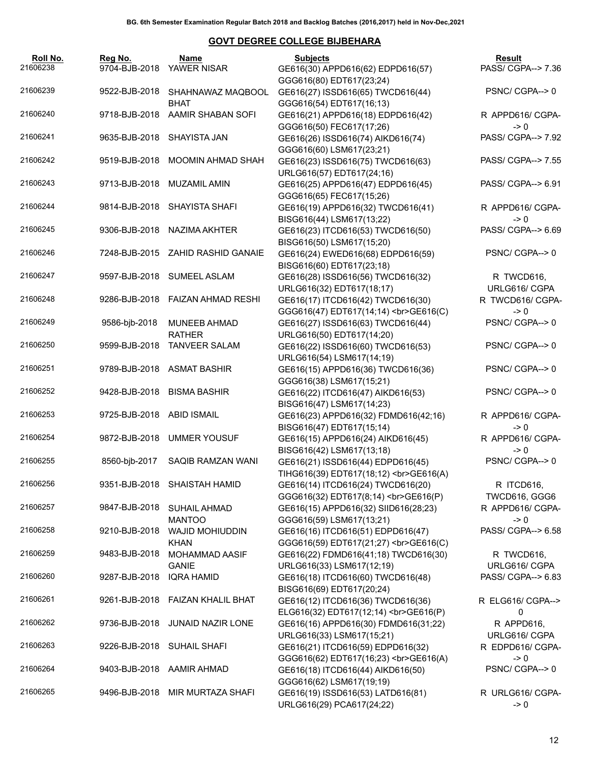| Roll No.<br>21606238 | Reg No.       | Name<br>9704-BJB-2018 YAWER NISAR     | Subjects<br>GE616(30) APPD616(62) EDPD616(57)                                              | Result<br>PASS/ CGPA--> 7.36          |
|----------------------|---------------|---------------------------------------|--------------------------------------------------------------------------------------------|---------------------------------------|
| 21606239             | 9522-BJB-2018 | SHAHNAWAZ MAQBOOL                     | GGG616(80) EDT617(23;24)<br>GE616(27) ISSD616(65) TWCD616(44)                              | PSNC/CGPA-->0                         |
| 21606240             | 9718-BJB-2018 | <b>BHAT</b><br>AAMIR SHABAN SOFI      | GGG616(54) EDT617(16;13)<br>GE616(21) APPD616(18) EDPD616(42)                              | R APPD616/ CGPA-                      |
| 21606241             | 9635-BJB-2018 | SHAYISTA JAN                          | GGG616(50) FEC617(17;26)<br>GE616(26) ISSD616(74) AIKD616(74)                              | $\rightarrow 0$<br>PASS/ CGPA--> 7.92 |
| 21606242             | 9519-BJB-2018 | MOOMIN AHMAD SHAH                     | GGG616(60) LSM617(23;21)<br>GE616(23) ISSD616(75) TWCD616(63)<br>URLG616(57) EDT617(24;16) | PASS/ CGPA--> 7.55                    |
| 21606243             | 9713-BJB-2018 | MUZAMIL AMIN                          | GE616(25) APPD616(47) EDPD616(45)<br>GGG616(65) FEC617(15;26)                              | PASS/ CGPA--> 6.91                    |
| 21606244             | 9814-BJB-2018 | SHAYISTA SHAFI                        | GE616(19) APPD616(32) TWCD616(41)<br>BISG616(44) LSM617(13;22)                             | R APPD616/ CGPA-<br>$\rightarrow 0$   |
| 21606245             | 9306-BJB-2018 | NAZIMA AKHTER                         | GE616(23) ITCD616(53) TWCD616(50)<br>BISG616(50) LSM617(15;20)                             | PASS/ CGPA--> 6.69                    |
| 21606246             |               | 7248-BJB-2015 ZAHID RASHID GANAIE     | GE616(24) EWED616(68) EDPD616(59)<br>BISG616(60) EDT617(23;18)                             | PSNC/CGPA-->0                         |
| 21606247             | 9597-BJB-2018 | <b>SUMEEL ASLAM</b>                   | GE616(28) ISSD616(56) TWCD616(32)<br>URLG616(32) EDT617(18;17)                             | R TWCD616,<br>URLG616/ CGPA           |
| 21606248             | 9286-BJB-2018 | <b>FAIZAN AHMAD RESHI</b>             | GE616(17) ITCD616(42) TWCD616(30)<br>GGG616(47) EDT617(14;14)<br>><br>GGG616(C)            | R TWCD616/ CGPA-<br>$\rightarrow 0$   |
| 21606249             | 9586-bjb-2018 | <b>MUNEEB AHMAD</b><br><b>RATHER</b>  | GE616(27) ISSD616(63) TWCD616(44)<br>URLG616(50) EDT617(14;20)                             | PSNC/CGPA--> 0                        |
| 21606250             | 9599-BJB-2018 | <b>TANVEER SALAM</b>                  | GE616(22) ISSD616(60) TWCD616(53)<br>URLG616(54) LSM617(14;19)                             | PSNC/CGPA-->0                         |
| 21606251             |               | 9789-BJB-2018 ASMAT BASHIR            | GE616(15) APPD616(36) TWCD616(36)<br>GGG616(38) LSM617(15;21)                              | PSNC/CGPA-->0                         |
| 21606252             | 9428-BJB-2018 | <b>BISMA BASHIR</b>                   | GE616(22) ITCD616(47) AIKD616(53)<br>BISG616(47) LSM617(14;23)                             | PSNC/CGPA-->0                         |
| 21606253             | 9725-BJB-2018 | <b>ABID ISMAIL</b>                    | GE616(23) APPD616(32) FDMD616(42;16)<br>BISG616(47) EDT617(15;14)                          | R APPD616/ CGPA-<br>$\rightarrow 0$   |
| 21606254             | 9872-BJB-2018 | <b>UMMER YOUSUF</b>                   | GE616(15) APPD616(24) AIKD616(45)<br>BISG616(42) LSM617(13;18)                             | R APPD616/ CGPA-<br>$\rightarrow 0$   |
| 21606255             | 8560-bjb-2017 | SAQIB RAMZAN WANI                     | GE616(21) ISSD616(44) EDPD616(45)<br>TIHG616(39) EDT617(18;12)<br>GE616(A)                 | PSNC/CGPA--> 0                        |
| 21606256             |               | 9351-BJB-2018 SHAISTAH HAMID          | GE616(14) ITCD616(24) TWCD616(20)<br>GGG616(32) EDT617(8;14)<br>GE616(P)                   | R ITCD616,<br>TWCD616, GGG6           |
| 21606257             | 9847-BJB-2018 | <b>SUHAIL AHMAD</b><br><b>MANTOO</b>  | GE616(15) APPD616(32) SIID616(28;23)<br>GGG616(59) LSM617(13;21)                           | R APPD616/ CGPA-<br>$\geq 0$          |
| 21606258             | 9210-BJB-2018 | <b>WAJID MOHIUDDIN</b><br><b>KHAN</b> | GE616(16) ITCD616(51) EDPD616(47)<br>GGG616(59) EDT617(21;27)<br>GE616(C)                  | PASS/ CGPA--> 6.58                    |
| 21606259             | 9483-BJB-2018 | <b>MOHAMMAD AASIF</b><br><b>GANIE</b> | GE616(22) FDMD616(41;18) TWCD616(30)<br>URLG616(33) LSM617(12;19)                          | R TWCD616,<br>URLG616/ CGPA           |
| 21606260             | 9287-BJB-2018 | <b>IQRA HAMID</b>                     | GE616(18) ITCD616(60) TWCD616(48)<br>BISG616(69) EDT617(20;24)                             | PASS/ CGPA--> 6.83                    |
| 21606261             | 9261-BJB-2018 | <b>FAIZAN KHALIL BHAT</b>             | GE616(12) ITCD616(36) TWCD616(36)<br>ELG616(32) EDT617(12;14)<br>GE616(P)                  | R ELG616/ CGPA--><br>0                |
| 21606262             | 9736-BJB-2018 | <b>JUNAID NAZIR LONE</b>              | GE616(16) APPD616(30) FDMD616(31;22)<br>URLG616(33) LSM617(15;21)                          | R APPD616,<br>URLG616/ CGPA           |
| 21606263             | 9226-BJB-2018 | <b>SUHAIL SHAFI</b>                   | GE616(21) ITCD616(59) EDPD616(32)<br>GGG616(62) EDT617(16;23)<br>GE616(A)                  | R EDPD616/ CGPA-<br>$\geq 0$          |
| 21606264             | 9403-BJB-2018 | AAMIR AHMAD                           | GE616(18) ITCD616(44) AIKD616(50)<br>GGG616(62) LSM617(19;19)                              | PSNC/ CGPA--> 0                       |
| 21606265             | 9496-BJB-2018 | MIR MURTAZA SHAFI                     | GE616(19) ISSD616(53) LATD616(81)<br>URLG616(29) PCA617(24;22)                             | R URLG616/ CGPA-<br>$\geq 0$          |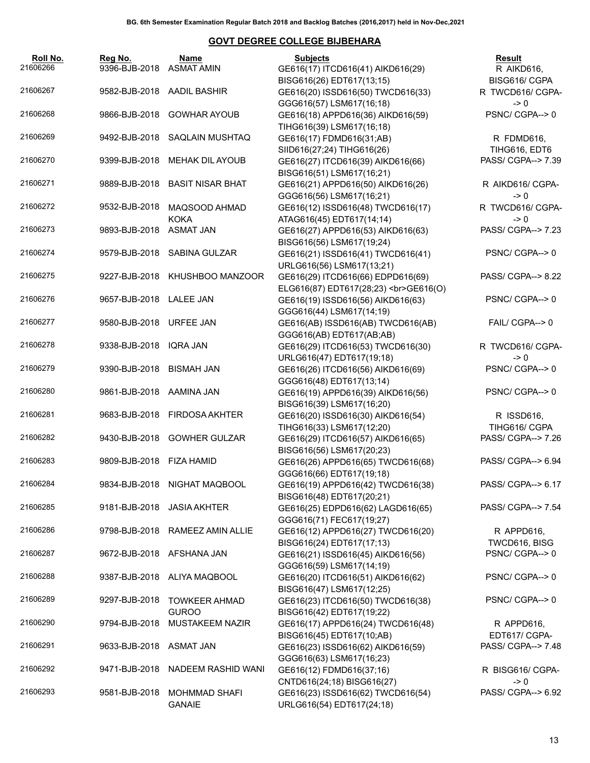| 21606266 | Roll No. | Reg No.<br>9396-BJB-2018  | Name<br><b>ASMAT AMIN</b>             | <b>Subjects</b><br>GE616(17) ITCD616(41) AIKD616(29)                                         | Result<br>R AIKD616,                |
|----------|----------|---------------------------|---------------------------------------|----------------------------------------------------------------------------------------------|-------------------------------------|
|          |          |                           |                                       | BISG616(26) EDT617(13;15)                                                                    | BISG616/ CGPA                       |
| 21606267 |          |                           | 9582-BJB-2018 AADIL BASHIR            | GE616(20) ISSD616(50) TWCD616(33)<br>GGG616(57) LSM617(16;18)                                | R TWCD616/ CGPA-<br>$\rightarrow 0$ |
| 21606268 |          | 9866-BJB-2018             | <b>GOWHAR AYOUB</b>                   | GE616(18) APPD616(36) AIKD616(59)<br>TIHG616(39) LSM617(16;18)                               | PSNC/CGPA-->0                       |
| 21606269 |          |                           | 9492-BJB-2018 SAQLAIN MUSHTAQ         | GE616(17) FDMD616(31;AB)                                                                     | R FDMD616,                          |
|          |          |                           |                                       | SIID616(27;24) TIHG616(26)                                                                   | TIHG616, EDT6                       |
| 21606270 |          | 9399-BJB-2018             | MEHAK DIL AYOUB                       | GE616(27) ITCD616(39) AIKD616(66)<br>BISG616(51) LSM617(16;21)                               | PASS/ CGPA--> 7.39                  |
| 21606271 |          | 9889-BJB-2018             | <b>BASIT NISAR BHAT</b>               | GE616(21) APPD616(50) AIKD616(26)<br>GGG616(56) LSM617(16;21)                                | R AIKD616/ CGPA-<br>$\rightarrow 0$ |
| 21606272 |          | 9532-BJB-2018             | MAQSOOD AHMAD<br><b>KOKA</b>          | GE616(12) ISSD616(48) TWCD616(17)<br>ATAG616(45) EDT617(14;14)                               | R TWCD616/ CGPA-<br>$\rightarrow 0$ |
| 21606273 |          | 9893-BJB-2018 ASMAT JAN   |                                       | GE616(27) APPD616(53) AIKD616(63)                                                            | PASS/ CGPA--> 7.23                  |
| 21606274 |          |                           | 9579-BJB-2018 SABINA GULZAR           | BISG616(56) LSM617(19;24)<br>GE616(21) ISSD616(41) TWCD616(41)                               | PSNC/CGPA-->0                       |
| 21606275 |          |                           | 9227-BJB-2018 KHUSHBOO MANZOOR        | URLG616(56) LSM617(13;21)<br>GE616(29) ITCD616(66) EDPD616(69)                               | PASS/ CGPA--> 8.22                  |
| 21606276 |          | 9657-BJB-2018 LALEE JAN   |                                       | ELG616(87) EDT617(28;23)<br>GE616(O)<br>GE616(19) ISSD616(56) AIKD616(63)                    | PSNC/CGPA-->0                       |
| 21606277 |          | 9580-BJB-2018 URFEE JAN   |                                       | GGG616(44) LSM617(14;19)<br>GE616(AB) ISSD616(AB) TWCD616(AB)<br>GGG616(AB) EDT617(AB;AB)    | FAIL/ CGPA--> 0                     |
| 21606278 |          | 9338-BJB-2018             | <b>IQRA JAN</b>                       | GE616(29) ITCD616(53) TWCD616(30)                                                            | R TWCD616/ CGPA-                    |
| 21606279 |          | 9390-BJB-2018             | BISMAH JAN                            | URLG616(47) EDT617(19;18)<br>GE616(26) ITCD616(56) AIKD616(69)                               | $\rightarrow 0$<br>PSNC/CGPA-->0    |
| 21606280 |          | 9861-BJB-2018 AAMINA JAN  |                                       | GGG616(48) EDT617(13;14)<br>GE616(19) APPD616(39) AIKD616(56)                                | PSNC/CGPA-->0                       |
| 21606281 |          |                           | 9683-BJB-2018 FIRDOSA AKHTER          | BISG616(39) LSM617(16;20)<br>GE616(20) ISSD616(30) AIKD616(54)                               | R ISSD616,                          |
|          |          |                           |                                       | TIHG616(33) LSM617(12;20)                                                                    | TIHG616/ CGPA                       |
| 21606282 |          |                           | 9430-BJB-2018 GOWHER GULZAR           | GE616(29) ITCD616(57) AIKD616(65)<br>BISG616(56) LSM617(20;23)                               | PASS/ CGPA--> 7.26                  |
| 21606283 |          | 9809-BJB-2018 FIZA HAMID  |                                       | GE616(26) APPD616(65) TWCD616(68)<br>GGG616(66) EDT617(19;18)                                | PASS/ CGPA--> 6.94                  |
| 21606284 |          |                           | 9834-BJB-2018 NIGHAT MAQBOOL          | GE616(19) APPD616(42) TWCD616(38)<br>BISG616(48) EDT617(20;21)                               | PASS/ CGPA--> 6.17                  |
| 21606285 |          |                           | 9181-BJB-2018 JASIA AKHTER            | GE616(25) EDPD616(62) LAGD616(65)<br>GGG616(71) FEC617(19;27)                                | PASS/ CGPA--> 7.54                  |
| 21606286 |          |                           | 9798-BJB-2018 RAMEEZ AMIN ALLIE       | GE616(12) APPD616(27) TWCD616(20)<br>BISG616(24) EDT617(17;13)                               | R APPD616,<br>TWCD616, BISG         |
| 21606287 |          | 9672-BJB-2018 AFSHANA JAN |                                       | GE616(21) ISSD616(45) AIKD616(56)<br>GGG616(59) LSM617(14;19)                                | PSNC/ CGPA--> 0                     |
| 21606288 |          |                           | 9387-BJB-2018 ALIYA MAQBOOL           | GE616(20) ITCD616(51) AIKD616(62)<br>BISG616(47) LSM617(12;25)                               | PSNC/CGPA-->0                       |
| 21606289 |          | 9297-BJB-2018             | <b>TOWKEER AHMAD</b><br><b>GUROO</b>  | GE616(23) ITCD616(50) TWCD616(38)<br>BISG616(42) EDT617(19;22)                               | PSNC/ CGPA--> 0                     |
| 21606290 |          | 9794-BJB-2018             | MUSTAKEEM NAZIR                       | GE616(17) APPD616(24) TWCD616(48)                                                            | R APPD616,                          |
| 21606291 |          | 9633-BJB-2018             | ASMAT JAN                             | BISG616(45) EDT617(10;AB)<br>GE616(23) ISSD616(62) AIKD616(59)                               | EDT617/ CGPA-<br>PASS/ CGPA--> 7.48 |
| 21606292 |          | 9471-BJB-2018             | NADEEM RASHID WANI                    | GGG616(63) LSM617(16;23)<br>GE616(12) FDMD616(37;16)                                         | R BISG616/ CGPA-<br>$\rightarrow 0$ |
| 21606293 |          | 9581-BJB-2018             | <b>MOHMMAD SHAFI</b><br><b>GANAIE</b> | CNTD616(24;18) BISG616(27)<br>GE616(23) ISSD616(62) TWCD616(54)<br>URLG616(54) EDT617(24;18) | PASS/ CGPA--> 6.92                  |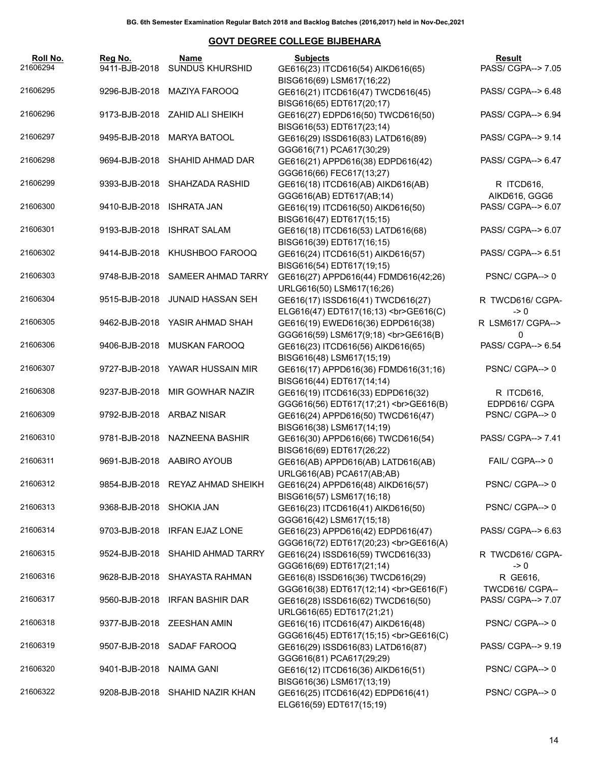| Roll No.<br>21606294 | Reg No.                   | Name<br>9411-BJB-2018 SUNDUS KHURSHID | <b>Subjects</b><br>GE616(23) ITCD616(54) AIKD616(65)                                                                                                                                    | Result<br>PASS/ CGPA--> 7.05          |
|----------------------|---------------------------|---------------------------------------|-----------------------------------------------------------------------------------------------------------------------------------------------------------------------------------------|---------------------------------------|
| 21606295             |                           | 9296-BJB-2018 MAZIYA FAROOQ           | BISG616(69) LSM617(16;22)<br>GE616(21) ITCD616(47) TWCD616(45)                                                                                                                          | PASS/ CGPA--> 6.48                    |
|                      |                           |                                       | BISG616(65) EDT617(20;17)                                                                                                                                                               |                                       |
| 21606296             |                           | 9173-BJB-2018 ZAHID ALI SHEIKH        | GE616(27) EDPD616(50) TWCD616(50)<br>BISG616(53) EDT617(23;14)                                                                                                                          | PASS/ CGPA--> 6.94                    |
| 21606297             |                           | 9495-BJB-2018 MARYA BATOOL            | GE616(29) ISSD616(83) LATD616(89)<br>GGG616(71) PCA617(30;29)                                                                                                                           | PASS/ CGPA--> 9.14                    |
| 21606298             |                           | 9694-BJB-2018 SHAHID AHMAD DAR        | GE616(21) APPD616(38) EDPD616(42)                                                                                                                                                       | PASS/ CGPA--> 6.47                    |
| 21606299             |                           | 9393-BJB-2018 SHAHZADA RASHID         | GGG616(66) FEC617(13;27)<br>GE616(18) ITCD616(AB) AIKD616(AB)                                                                                                                           | R ITCD616,                            |
| 21606300             | 9410-BJB-2018 ISHRATA JAN |                                       | GGG616(AB) EDT617(AB;14)<br>GE616(19) ITCD616(50) AIKD616(50)                                                                                                                           | AIKD616, GGG6<br>PASS/ CGPA--> 6.07   |
| 21606301             |                           | 9193-BJB-2018 ISHRAT SALAM            | BISG616(47) EDT617(15;15)<br>GE616(18) ITCD616(53) LATD616(68)                                                                                                                          | PASS/ CGPA--> 6.07                    |
| 21606302             |                           | 9414-BJB-2018 KHUSHBOO FAROOQ         | BISG616(39) EDT617(16;15)<br>GE616(24) ITCD616(51) AIKD616(57)                                                                                                                          | PASS/ CGPA--> 6.51                    |
|                      |                           |                                       | BISG616(54) EDT617(19;15)                                                                                                                                                               |                                       |
| 21606303             |                           | 9748-BJB-2018 SAMEER AHMAD TARRY      | GE616(27) APPD616(44) FDMD616(42;26)<br>URLG616(50) LSM617(16;26)                                                                                                                       | PSNC/CGPA-->0                         |
| 21606304             |                           | 9515-BJB-2018 JUNAID HASSAN SEH       | GE616(17) ISSD616(41) TWCD616(27)<br>ELG616(47) EDT617(16;13)<br>GE616(C)                                                                                                               | R TWCD616/ CGPA-<br>$\rightarrow 0$   |
| 21606305             |                           | 9462-BJB-2018 YASIR AHMAD SHAH        | GE616(19) EWED616(36) EDPD616(38)<br>GGG616(59) LSM617(9;18)<br>><br>GGG616(B)                                                                                                          | R LSM617/ CGPA--><br>0                |
| 21606306             | 9406-BJB-2018             | MUSKAN FAROOQ                         | GE616(23) ITCD616(56) AIKD616(65)                                                                                                                                                       | PASS/ CGPA--> 6.54                    |
| 21606307             |                           | 9727-BJB-2018 YAWAR HUSSAIN MIR       | BISG616(48) LSM617(15;19)<br>GE616(17) APPD616(36) FDMD616(31;16)                                                                                                                       | PSNC/CGPA-->0                         |
| 21606308             | 9237-BJB-2018             | MIR GOWHAR NAZIR                      | BISG616(44) EDT617(14;14)<br>GE616(19) ITCD616(33) EDPD616(32)                                                                                                                          | R ITCD616,                            |
| 21606309             |                           | 9792-BJB-2018 ARBAZ NISAR             | GGG616(56) EDT617(17;21)<br>><br><br><br><br><br><br><br><br><br><br><br><br><br><br><br><br><br><br><br><br><br><br><br><br><br><br><br><b<br>GE616(24) APPD616(50) TWCD616(47)</b<br> | EDPD616/ CGPA<br>PSNC/CGPA-->0        |
|                      |                           |                                       | BISG616(38) LSM617(14;19)                                                                                                                                                               |                                       |
| 21606310             |                           | 9781-BJB-2018 NAZNEENA BASHIR         | GE616(30) APPD616(66) TWCD616(54)<br>BISG616(69) EDT617(26;22)                                                                                                                          | PASS/ CGPA--> 7.41                    |
| 21606311             |                           | 9691-BJB-2018 AABIRO AYOUB            | GE616(AB) APPD616(AB) LATD616(AB)<br>URLG616(AB) PCA617(AB;AB)                                                                                                                          | FAIL/ CGPA--> 0                       |
| 21606312             |                           | 9854-BJB-2018 REYAZ AHMAD SHEIKH      | GE616(24) APPD616(48) AIKD616(57)<br>BISG616(57) LSM617(16;18)                                                                                                                          | PSNC/CGPA-->0                         |
| 21606313             | 9368-BJB-2018 SHOKIA JAN  |                                       | GE616(23) ITCD616(41) AIKD616(50)                                                                                                                                                       | PSNC/CGPA-->0                         |
| 21606314             | 9703-BJB-2018             | <b>IRFAN EJAZ LONE</b>                | GGG616(42) LSM617(15;18)<br>GE616(23) APPD616(42) EDPD616(47)                                                                                                                           | PASS/ CGPA--> 6.63                    |
| 21606315             |                           | 9524-BJB-2018 SHAHID AHMAD TARRY      | GGG616(72) EDT617(20;23)<br>GE616(A)<br>GE616(24) ISSD616(59) TWCD616(33)                                                                                                               | R TWCD616/ CGPA-                      |
| 21606316             | 9628-BJB-2018             | SHAYASTA RAHMAN                       | GGG616(69) EDT617(21;14)<br>GE616(8) ISSD616(36) TWCD616(29)                                                                                                                            | $\rightarrow 0$<br>R GE616,           |
| 21606317             | 9560-BJB-2018             | <b>IRFAN BASHIR DAR</b>               | GGG616(38) EDT617(12;14)<br>><br>GGG616(F)<br>GE616(28) ISSD616(62) TWCD616(50)                                                                                                         | TWCD616/ CGPA--<br>PASS/ CGPA--> 7.07 |
| 21606318             |                           | 9377-BJB-2018 ZEESHAN AMIN            | URLG616(65) EDT617(21;21)<br>GE616(16) ITCD616(47) AIKD616(48)                                                                                                                          | PSNC/CGPA-->0                         |
| 21606319             | 9507-BJB-2018             | SADAF FAROOQ                          | GGG616(45) EDT617(15;15)<br>GE616(C)<br>GE616(29) ISSD616(83) LATD616(87)                                                                                                               | PASS/ CGPA--> 9.19                    |
|                      |                           |                                       | GGG616(81) PCA617(29;29)                                                                                                                                                                |                                       |
| 21606320             | 9401-BJB-2018             | <b>NAIMA GANI</b>                     | GE616(12) ITCD616(36) AIKD616(51)<br>BISG616(36) LSM617(13;19)                                                                                                                          | PSNC/CGPA-->0                         |
| 21606322             |                           | 9208-BJB-2018 SHAHID NAZIR KHAN       | GE616(25) ITCD616(42) EDPD616(41)<br>ELG616(59) EDT617(15;19)                                                                                                                           | PSNC/CGPA-->0                         |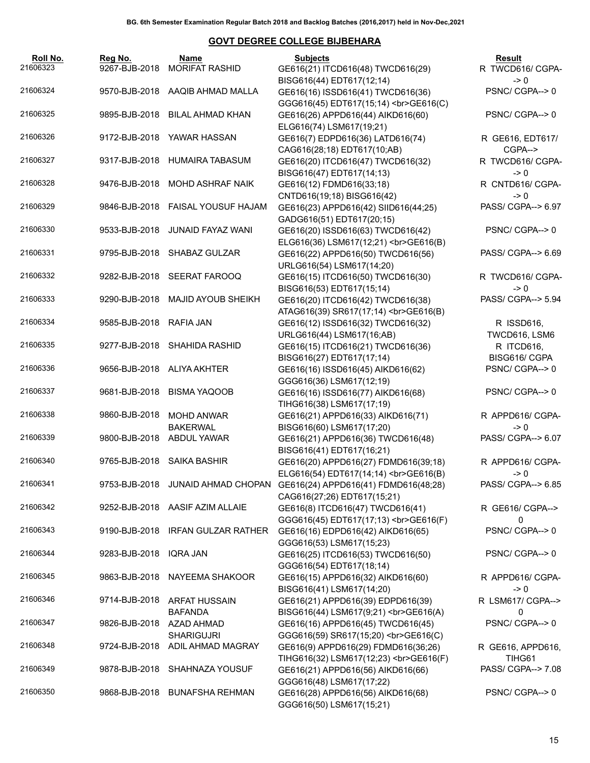| Roll No.<br>21606323 | Reg No.<br>9267-BJB-2018 | Name<br><b>MORIFAT RASHID</b>          | <b>Subjects</b><br>GE616(21) ITCD616(48) TWCD616(29)                                                  | Result<br>R TWCD616/ CGPA-          |
|----------------------|--------------------------|----------------------------------------|-------------------------------------------------------------------------------------------------------|-------------------------------------|
| 21606324             | 9570-BJB-2018            | AAQIB AHMAD MALLA                      | BISG616(44) EDT617(12;14)<br>GE616(16) ISSD616(41) TWCD616(36)                                        | -> 0<br>PSNC/CGPA-->0               |
| 21606325             | 9895-BJB-2018            | <b>BILAL AHMAD KHAN</b>                | GGG616(45) EDT617(15;14)<br>><br>GGG616(C)<br>GE616(26) APPD616(44) AIKD616(60)                       | PSNC/CGPA-->0                       |
| 21606326             | 9172-BJB-2018            | YAWAR HASSAN                           | ELG616(74) LSM617(19;21)<br>GE616(7) EDPD616(36) LATD616(74)                                          | R GE616, EDT617/<br>CGPA-->         |
| 21606327             | 9317-BJB-2018            | <b>HUMAIRA TABASUM</b>                 | CAG616(28;18) EDT617(10;AB)<br>GE616(20) ITCD616(47) TWCD616(32)<br>BISG616(47) EDT617(14;13)         | R TWCD616/ CGPA-<br>-> 0            |
| 21606328             | 9476-BJB-2018            | <b>MOHD ASHRAF NAIK</b>                | GE616(12) FDMD616(33;18)<br>CNTD616(19;18) BISG616(42)                                                | R CNTD616/ CGPA-<br>-> 0            |
| 21606329             | 9846-BJB-2018            | FAISAL YOUSUF HAJAM                    | GE616(23) APPD616(42) SIID616(44;25)<br>GADG616(51) EDT617(20;15)                                     | PASS/ CGPA--> 6.97                  |
| 21606330             | 9533-BJB-2018            | <b>JUNAID FAYAZ WANI</b>               | GE616(20) ISSD616(63) TWCD616(42)<br>ELG616(36) LSM617(12;21)<br>GE616(B)                             | PSNC/CGPA-->0                       |
| 21606331             | 9795-BJB-2018            | SHABAZ GULZAR                          | GE616(22) APPD616(50) TWCD616(56)<br>URLG616(54) LSM617(14;20)                                        | PASS/ CGPA--> 6.69                  |
| 21606332             | 9282-BJB-2018            | <b>SEERAT FAROOQ</b>                   | GE616(15) ITCD616(50) TWCD616(30)<br>BISG616(53) EDT617(15;14)                                        | R TWCD616/ CGPA-<br>-> 0            |
| 21606333             | 9290-BJB-2018            | <b>MAJID AYOUB SHEIKH</b>              | GE616(20) ITCD616(42) TWCD616(38)<br>ATAG616(39) SR617(17;14)<br><br>GE616(B)                         | PASS/ CGPA--> 5.94                  |
| 21606334             | 9585-BJB-2018            | RAFIA JAN                              | GE616(12) ISSD616(32) TWCD616(32)<br>URLG616(44) LSM617(16;AB)                                        | R ISSD616,<br>TWCD616, LSM6         |
| 21606335             | 9277-BJB-2018            | <b>SHAHIDA RASHID</b>                  | GE616(15) ITCD616(21) TWCD616(36)<br>BISG616(27) EDT617(17;14)                                        | R ITCD616,<br>BISG616/ CGPA         |
| 21606336             |                          | 9656-BJB-2018 ALIYA AKHTER             | GE616(16) ISSD616(45) AIKD616(62)<br>GGG616(36) LSM617(12;19)                                         | PSNC/CGPA-->0                       |
| 21606337             | 9681-BJB-2018            | <b>BISMA YAQOOB</b>                    | GE616(16) ISSD616(77) AIKD616(68)<br>TIHG616(38) LSM617(17;19)                                        | PSNC/CGPA-->0                       |
| 21606338             | 9860-BJB-2018            | <b>MOHD ANWAR</b><br><b>BAKERWAL</b>   | GE616(21) APPD616(33) AIKD616(71)<br>BISG616(60) LSM617(17;20)                                        | R APPD616/ CGPA-<br>-> 0            |
| 21606339             |                          | 9800-BJB-2018 ABDUL YAWAR              | GE616(21) APPD616(36) TWCD616(48)<br>BISG616(41) EDT617(16;21)                                        | PASS/ CGPA--> 6.07                  |
| 21606340             |                          | 9765-BJB-2018 SAIKA BASHIR             | GE616(20) APPD616(27) FDMD616(39;18)<br>ELG616(54) EDT617(14;14)<br>><br>GE616(B)                     | R APPD616/ CGPA-<br>$\rightarrow 0$ |
| 21606341             |                          |                                        | 9753-BJB-2018 JUNAID AHMAD CHOPAN GE616(24) APPD616(41) FDMD616(48;28)<br>CAG616(27;26) EDT617(15;21) | PASS/ CGPA--> 6.85                  |
| 21606342             | 9252-BJB-2018            | AASIF AZIM ALLAIE                      | GE616(8) ITCD616(47) TWCD616(41)<br>GGG616(45) EDT617(17;13)<br>>br>GE616(F)                          | R GE616/ CGPA--><br>0               |
| 21606343             | 9190-BJB-2018            | <b>IRFAN GULZAR RATHER</b>             | GE616(16) EDPD616(42) AIKD616(65)<br>GGG616(53) LSM617(15;23)                                         | PSNC/CGPA-->0                       |
| 21606344             | 9283-BJB-2018            | <b>IQRA JAN</b>                        | GE616(25) ITCD616(53) TWCD616(50)<br>GGG616(54) EDT617(18;14)                                         | PSNC/CGPA-->0                       |
| 21606345             | 9863-BJB-2018            | NAYEEMA SHAKOOR                        | GE616(15) APPD616(32) AIKD616(60)<br>BISG616(41) LSM617(14;20)                                        | R APPD616/ CGPA-<br>-> 0            |
| 21606346             | 9714-BJB-2018            | <b>ARFAT HUSSAIN</b><br><b>BAFANDA</b> | GE616(21) APPD616(39) EDPD616(39)<br>BISG616(44) LSM617(9;21)<br>GE616(A)                             | R LSM617/ CGPA--><br>0              |
| 21606347             | 9826-BJB-2018            | AZAD AHMAD<br><b>SHARIGUJRI</b>        | GE616(16) APPD616(45) TWCD616(45)<br>GGG616(59) SR617(15;20)<br>GE616(C)                              | PSNC/CGPA-->0                       |
| 21606348             | 9724-BJB-2018            | ADIL AHMAD MAGRAY                      | GE616(9) APPD616(29) FDMD616(36;26)<br>TIHG616(32) LSM617(12;23)<br>GE616(F)                          | R GE616, APPD616,<br>TIHG61         |
| 21606349             | 9878-BJB-2018            | SHAHNAZA YOUSUF                        | GE616(21) APPD616(56) AIKD616(66)<br>GGG616(48) LSM617(17;22)                                         | PASS/ CGPA--> 7.08                  |
| 21606350             | 9868-BJB-2018            | <b>BUNAFSHA REHMAN</b>                 | GE616(28) APPD616(56) AIKD616(68)<br>GGG616(50) LSM617(15;21)                                         | PSNC/CGPA-->0                       |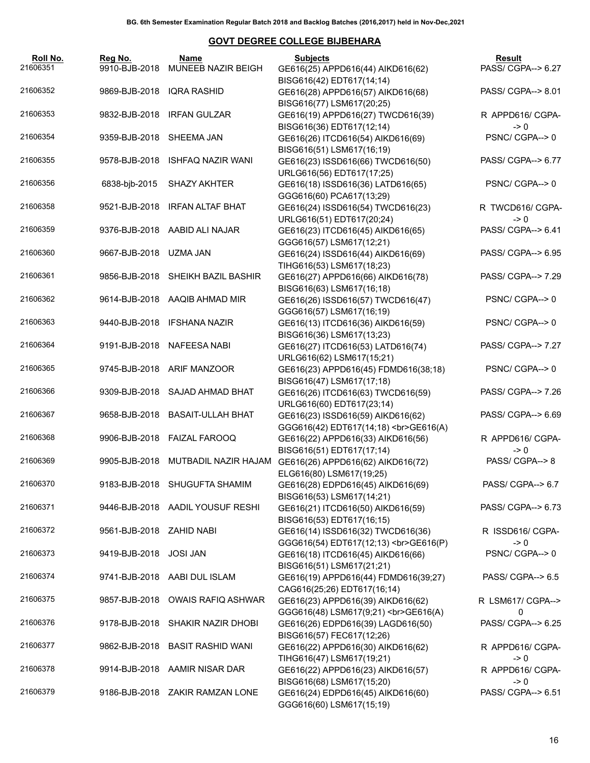| Roll No.<br>21606351 | Reg No.<br>9910-BJB-2018 | Name<br>MUNEEB NAZIR BEIGH        | <b>Subjects</b><br>GE616(25) APPD616(44) AIKD616(62)                                       | Result<br>PASS/ CGPA--> 6.27          |
|----------------------|--------------------------|-----------------------------------|--------------------------------------------------------------------------------------------|---------------------------------------|
| 21606352             | 9869-BJB-2018            | IQRA RASHID                       | BISG616(42) EDT617(14;14)<br>GE616(28) APPD616(57) AIKD616(68)                             | PASS/ CGPA--> 8.01                    |
| 21606353             |                          | 9832-BJB-2018 IRFAN GULZAR        | BISG616(77) LSM617(20;25)<br>GE616(19) APPD616(27) TWCD616(39)                             | R APPD616/ CGPA-                      |
| 21606354             | 9359-BJB-2018 SHEEMA JAN |                                   | BISG616(36) EDT617(12;14)<br>GE616(26) ITCD616(54) AIKD616(69)                             | $\rightarrow 0$<br>PSNC/CGPA-->0      |
|                      |                          |                                   | BISG616(51) LSM617(16;19)                                                                  |                                       |
| 21606355             | 9578-BJB-2018            | <b>ISHFAQ NAZIR WANI</b>          | GE616(23) ISSD616(66) TWCD616(50)<br>URLG616(56) EDT617(17;25)                             | PASS/ CGPA--> 6.77                    |
| 21606356             | 6838-bjb-2015            | SHAZY AKHTER                      | GE616(18) ISSD616(36) LATD616(65)<br>GGG616(60) PCA617(13;29)                              | PSNC/CGPA-->0                         |
| 21606358             | 9521-BJB-2018            | <b>IRFAN ALTAF BHAT</b>           | GE616(24) ISSD616(54) TWCD616(23)<br>URLG616(51) EDT617(20;24)                             | R TWCD616/ CGPA-<br>$\rightarrow 0$   |
| 21606359             |                          | 9376-BJB-2018 AABID ALI NAJAR     | GE616(23) ITCD616(45) AIKD616(65)<br>GGG616(57) LSM617(12;21)                              | PASS/ CGPA--> 6.41                    |
| 21606360             | 9667-BJB-2018 UZMA JAN   |                                   | GE616(24) ISSD616(44) AIKD616(69)<br>TIHG616(53) LSM617(18;23)                             | PASS/ CGPA--> 6.95                    |
| 21606361             |                          | 9856-BJB-2018 SHEIKH BAZIL BASHIR | GE616(27) APPD616(66) AIKD616(78)<br>BISG616(63) LSM617(16;18)                             | PASS/ CGPA--> 7.29                    |
| 21606362             |                          | 9614-BJB-2018 AAQIB AHMAD MIR     | GE616(26) ISSD616(57) TWCD616(47)<br>GGG616(57) LSM617(16;19)                              | PSNC/CGPA-->0                         |
| 21606363             |                          | 9440-BJB-2018 IFSHANA NAZIR       | GE616(13) ITCD616(36) AIKD616(59)<br>BISG616(36) LSM617(13;23)                             | PSNC/CGPA-->0                         |
| 21606364             |                          | 9191-BJB-2018 NAFEESA NABI        | GE616(27) ITCD616(53) LATD616(74)<br>URLG616(62) LSM617(15;21)                             | PASS/ CGPA--> 7.27                    |
| 21606365             |                          | 9745-BJB-2018 ARIF MANZOOR        | GE616(23) APPD616(45) FDMD616(38;18)<br>BISG616(47) LSM617(17;18)                          | PSNC/CGPA-->0                         |
| 21606366             |                          | 9309-BJB-2018 SAJAD AHMAD BHAT    | GE616(26) ITCD616(63) TWCD616(59)<br>URLG616(60) EDT617(23;14)                             | PASS/ CGPA--> 7.26                    |
| 21606367             |                          | 9658-BJB-2018 BASAIT-ULLAH BHAT   | GE616(23) ISSD616(59) AIKD616(62)<br>GGG616(42) EDT617(14;18)<br>><br>GE616(A)             | PASS/ CGPA--> 6.69                    |
| 21606368             |                          | 9906-BJB-2018 FAIZAL FAROOQ       | GE616(22) APPD616(33) AIKD616(56)<br>BISG616(51) EDT617(17;14)                             | R APPD616/ CGPA-<br>$\rightarrow 0$   |
| 21606369             | 9905-BJB-2018            | MUTBADIL NAZIR HAJAM              | GE616(26) APPD616(62) AIKD616(72)<br>ELG616(80) LSM617(19;25)                              | PASS/ CGPA--> 8                       |
| 21606370             |                          | 9183-BJB-2018 SHUGUFTA SHAMIM     | GE616(28) EDPD616(45) AIKD616(69)<br>BISG616(53) LSM617(14;21)                             | PASS/ CGPA--> 6.7                     |
| 21606371             |                          | 9446-BJB-2018 AADIL YOUSUF RESHI  | GE616(21) ITCD616(50) AIKD616(59)<br>BISG616(53) EDT617(16;15)                             | PASS/ CGPA--> 6.73                    |
| 21606372             | 9561-BJB-2018 ZAHID NABI |                                   | GE616(14) ISSD616(32) TWCD616(36)<br>GGG616(54) EDT617(12;13)<br>><br>GGG616(P)            | R ISSD616/ CGPA-<br>$\rightarrow 0$   |
| 21606373             | 9419-BJB-2018            | <b>JOSI JAN</b>                   | GE616(18) ITCD616(45) AIKD616(66)<br>BISG616(51) LSM617(21;21)                             | PSNC/CGPA-->0                         |
| 21606374             |                          | 9741-BJB-2018 AABI DUL ISLAM      | GE616(19) APPD616(44) FDMD616(39;27)<br>CAG616(25;26) EDT617(16;14)                        | PASS/ CGPA--> 6.5                     |
| 21606375             | 9857-BJB-2018            | <b>OWAIS RAFIQ ASHWAR</b>         | GE616(23) APPD616(39) AIKD616(62)                                                          | R LSM617/ CGPA-->                     |
| 21606376             | 9178-BJB-2018            | SHAKIR NAZIR DHOBI                | GGG616(48) LSM617(9;21)<br>><br>GGG616(A)<br>GE616(26) EDPD616(39) LAGD616(50)             | 0<br>PASS/ CGPA--> 6.25               |
| 21606377             | 9862-BJB-2018            | <b>BASIT RASHID WANI</b>          | BISG616(57) FEC617(12;26)<br>GE616(22) APPD616(30) AIKD616(62)                             | R APPD616/ CGPA-                      |
| 21606378             |                          | 9914-BJB-2018 AAMIR NISAR DAR     | TIHG616(47) LSM617(19;21)<br>GE616(22) APPD616(23) AIKD616(57)                             | $\rightarrow 0$<br>R APPD616/ CGPA-   |
| 21606379             |                          | 9186-BJB-2018 ZAKIR RAMZAN LONE   | BISG616(68) LSM617(15;20)<br>GE616(24) EDPD616(45) AIKD616(60)<br>GGG616(60) LSM617(15;19) | $\rightarrow 0$<br>PASS/ CGPA--> 6.51 |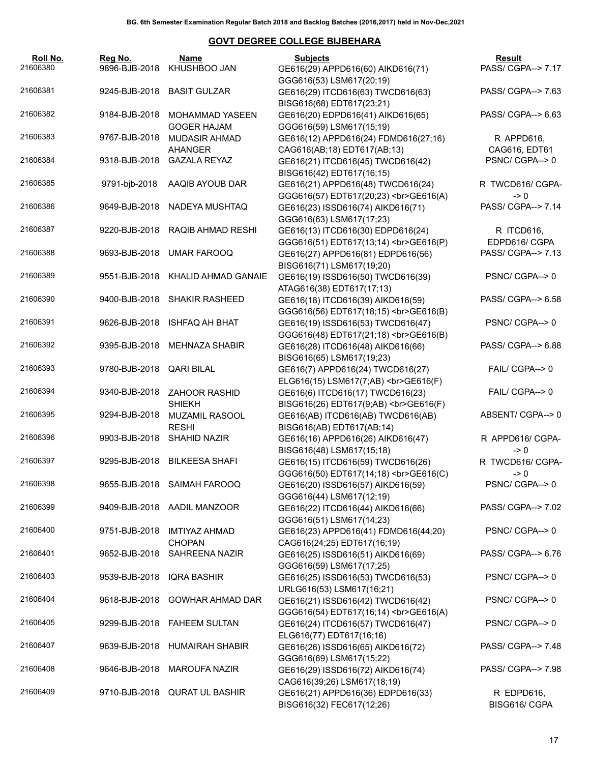| Roll No.<br>21606380 | Reg No.<br>9896-BJB-2018 | Name<br>KHUSHBOO JAN                         | <b>Subjects</b><br>GE616(29) APPD616(60) AIKD616(71)                                         | Result<br>PASS/ CGPA--> 7.17          |
|----------------------|--------------------------|----------------------------------------------|----------------------------------------------------------------------------------------------|---------------------------------------|
| 21606381             |                          | 9245-BJB-2018 BASIT GULZAR                   | GGG616(53) LSM617(20;19)<br>GE616(29) ITCD616(63) TWCD616(63)                                | PASS/ CGPA--> 7.63                    |
|                      |                          |                                              | BISG616(68) EDT617(23;21)                                                                    |                                       |
| 21606382             | 9184-BJB-2018            | <b>MOHAMMAD YASEEN</b><br><b>GOGER HAJAM</b> | GE616(20) EDPD616(41) AIKD616(65)<br>GGG616(59) LSM617(15;19)                                | PASS/ CGPA--> 6.63                    |
| 21606383             | 9767-BJB-2018            | MUDASIR AHMAD                                | GE616(12) APPD616(24) FDMD616(27;16)                                                         | R APPD616,                            |
| 21606384             | 9318-BJB-2018            | <b>AHANGER</b><br><b>GAZALA REYAZ</b>        | CAG616(AB;18) EDT617(AB;13)<br>GE616(21) ITCD616(45) TWCD616(42)                             | CAG616, EDT61<br>PSNC/CGPA-->0        |
| 21606385             | 9791-bjb-2018            | AAQIB AYOUB DAR                              | BISG616(42) EDT617(16;15)<br>GE616(21) APPD616(48) TWCD616(24)                               | R TWCD616/ CGPA-                      |
| 21606386             | 9649-BJB-2018            | NADEYA MUSHTAQ                               | GGG616(57) EDT617(20;23)<br>GE616(A)<br>GE616(23) ISSD616(74) AIKD616(71)                    | $\rightarrow 0$<br>PASS/ CGPA--> 7.14 |
| 21606387             |                          | 9220-BJB-2018 RAQIB AHMAD RESHI              | GGG616(63) LSM617(17;23)<br>GE616(13) ITCD616(30) EDPD616(24)                                | R ITCD616,                            |
|                      |                          |                                              | GGG616(51) EDT617(13;14)<br>><br>GE616(P)                                                    | EDPD616/ CGPA                         |
| 21606388             |                          | 9693-BJB-2018 UMAR FAROOQ                    | GE616(27) APPD616(81) EDPD616(56)<br>BISG616(71) LSM617(19;20)                               | PASS/ CGPA--> 7.13                    |
| 21606389             |                          | 9551-BJB-2018 KHALID AHMAD GANAIE            | GE616(19) ISSD616(50) TWCD616(39)<br>ATAG616(38) EDT617(17;13)                               | PSNC/CGPA-->0                         |
| 21606390             |                          | 9400-BJB-2018 SHAKIR RASHEED                 | GE616(18) ITCD616(39) AIKD616(59)                                                            | PASS/ CGPA--> 6.58                    |
| 21606391             | 9626-BJB-2018            | <b>ISHFAQ AH BHAT</b>                        | GE616(19) ISSD616(53) TWCD616(47)<br>GGG616(48) EDT617(21;18)<br>><br>GGG616(B)              | PSNC/CGPA-->0                         |
| 21606392             | 9395-BJB-2018            | MEHNAZA SHABIR                               | GE616(28) ITCD616(48) AIKD616(66)<br>BISG616(65) LSM617(19;23)                               | PASS/ CGPA--> 6.88                    |
| 21606393             | 9780-BJB-2018 QARI BILAL |                                              | GE616(7) APPD616(24) TWCD616(27)<br>ELG616(15) LSM617(7;AB)<br>GE616(F)                      | FAIL/ CGPA--> 0                       |
| 21606394             | 9340-BJB-2018            | <b>ZAHOOR RASHID</b><br><b>SHIEKH</b>        | GE616(6) ITCD616(17) TWCD616(23)<br>BISG616(26) EDT617(9;AB)<br>GE616(F)                     | FAIL/ CGPA--> 0                       |
| 21606395             | 9294-BJB-2018            | <b>MUZAMIL RASOOL</b>                        | GE616(AB) ITCD616(AB) TWCD616(AB)                                                            | ABSENT/CGPA--> 0                      |
| 21606396             | 9903-BJB-2018            | <b>RESHI</b><br><b>SHAHID NAZIR</b>          | BISG616(AB) EDT617(AB;14)<br>GE616(16) APPD616(26) AIKD616(47)                               | R APPD616/ CGPA-                      |
| 21606397             |                          | 9295-BJB-2018 BILKEESA SHAFI                 | BISG616(48) LSM617(15;18)<br>GE616(15) ITCD616(59) TWCD616(26)                               | $\rightarrow 0$<br>R TWCD616/ CGPA-   |
| 21606398             |                          | 9655-BJB-2018 SAIMAH FAROOQ                  | GGG616(50) EDT617(14;18)<br>><br>GE616(C)<br>GE616(20) ISSD616(57) AIKD616(59)               | $\geq 0$<br>PSNC/CGPA-->0             |
| 21606399             |                          | 9409-BJB-2018 AADIL MANZOOR                  | GGG616(44) LSM617(12;19)<br>GE616(22) ITCD616(44) AIKD616(66)                                | PASS/ CGPA--> 7.02                    |
| 21606400             | 9751-BJB-2018            | <b>IMTIYAZ AHMAD</b>                         | GGG616(51) LSM617(14;23)<br>GE616(23) APPD616(41) FDMD616(44;20)                             | PSNC/CGPA-->0                         |
| 21606401             | 9652-BJB-2018            | <b>CHOPAN</b><br><b>SAHREENA NAZIR</b>       | CAG616(24;25) EDT617(16;19)<br>GE616(25) ISSD616(51) AIKD616(69)                             | PASS/ CGPA--> 6.76                    |
| 21606403             | 9539-BJB-2018            | <b>IQRA BASHIR</b>                           | GGG616(59) LSM617(17;25)<br>GE616(25) ISSD616(53) TWCD616(53)                                | PSNC/CGPA-->0                         |
| 21606404             | 9618-BJB-2018            | <b>GOWHAR AHMAD DAR</b>                      | URLG616(53) LSM617(16;21)<br>GE616(21) ISSD616(42) TWCD616(42)                               | PSNC/CGPA-->0                         |
| 21606405             | 9299-BJB-2018            | <b>FAHEEM SULTAN</b>                         | GGG616(54) EDT617(16;14)<br>><br>GGG616(A)<br>GE616(24) ITCD616(57) TWCD616(47)              | PSNC/CGPA-->0                         |
| 21606407             | 9639-BJB-2018            | <b>HUMAIRAH SHABIR</b>                       | ELG616(77) EDT617(16;16)<br>GE616(26) ISSD616(65) AIKD616(72)                                | PASS/ CGPA--> 7.48                    |
| 21606408             | 9646-BJB-2018            | <b>MAROUFA NAZIR</b>                         | GGG616(69) LSM617(15;22)<br>GE616(29) ISSD616(72) AIKD616(74)<br>CAG616(39;26) LSM617(18;19) | PASS/ CGPA--> 7.98                    |
| 21606409             |                          |                                              |                                                                                              |                                       |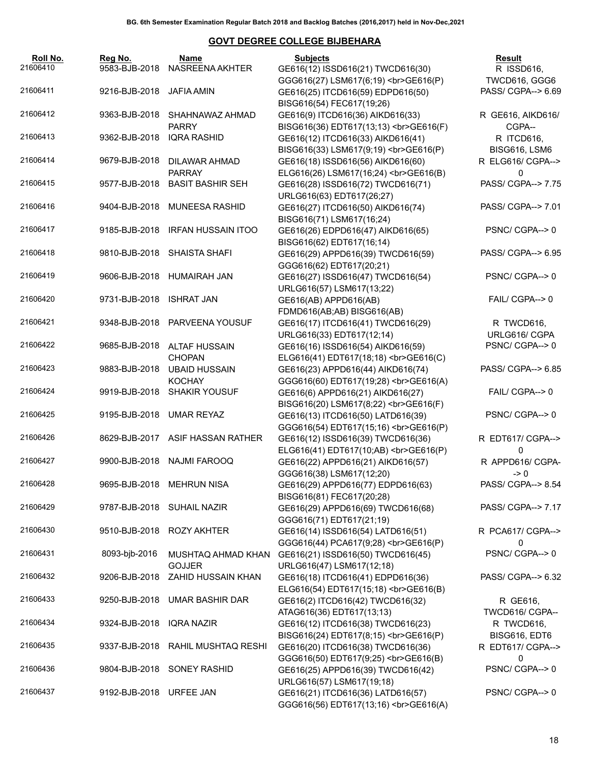| Roll No.<br>21606410 | Reg No.<br>9583-BJB-2018 | Name<br>NASREENA AKHTER                  | <b>Subjects</b><br>GE616(12) ISSD616(21) TWCD616(30)                           | Result<br>R ISSD616,                |
|----------------------|--------------------------|------------------------------------------|--------------------------------------------------------------------------------|-------------------------------------|
| 21606411             | 9216-BJB-2018            | JAFIA AMIN                               | GGG616(27) LSM617(6;19)<br>><br>GGG616(P)<br>GE616(25) ITCD616(59) EDPD616(50) | TWCD616, GGG6<br>PASS/ CGPA--> 6.69 |
|                      |                          |                                          | BISG616(54) FEC617(19;26)                                                      |                                     |
| 21606412             | 9363-BJB-2018            | SHAHNAWAZ AHMAD<br><b>PARRY</b>          | GE616(9) ITCD616(36) AIKD616(33)<br>BISG616(36) EDT617(13;13)<br>GE616(F)      | R GE616, AIKD616/                   |
| 21606413             | 9362-BJB-2018            | <b>IQRA RASHID</b>                       | GE616(12) ITCD616(33) AIKD616(41)                                              | CGPA--<br>R ITCD616,                |
|                      |                          |                                          | BISG616(33) LSM617(9;19)<br>GE616(P)                                           | BISG616, LSM6                       |
| 21606414             | 9679-BJB-2018            | DILAWAR AHMAD                            | GE616(18) ISSD616(56) AIKD616(60)                                              | R ELG616/ CGPA-->                   |
| 21606415             | 9577-BJB-2018            | <b>PARRAY</b><br><b>BASIT BASHIR SEH</b> | ELG616(26) LSM617(16;24)<br>GE616(B)<br>GE616(28) ISSD616(72) TWCD616(71)      | 0<br>PASS/ CGPA--> 7.75             |
|                      |                          |                                          | URLG616(63) EDT617(26;27)                                                      |                                     |
| 21606416             | 9404-BJB-2018            | <b>MUNEESA RASHID</b>                    | GE616(27) ITCD616(50) AIKD616(74)<br>BISG616(71) LSM617(16;24)                 | PASS/ CGPA--> 7.01                  |
| 21606417             | 9185-BJB-2018            | <b>IRFAN HUSSAIN ITOO</b>                | GE616(26) EDPD616(47) AIKD616(65)                                              | PSNC/CGPA-->0                       |
|                      |                          |                                          | BISG616(62) EDT617(16;14)                                                      |                                     |
| 21606418             |                          | 9810-BJB-2018 SHAISTA SHAFI              | GE616(29) APPD616(39) TWCD616(59)<br>GGG616(62) EDT617(20;21)                  | PASS/ CGPA--> 6.95                  |
| 21606419             |                          | 9606-BJB-2018 HUMAIRAH JAN               | GE616(27) ISSD616(47) TWCD616(54)                                              | PSNC/CGPA-->0                       |
| 21606420             | 9731-BJB-2018            | <b>ISHRAT JAN</b>                        | URLG616(57) LSM617(13;22)<br>GE616(AB) APPD616(AB)                             | FAIL/ CGPA--> 0                     |
|                      |                          |                                          | FDMD616(AB;AB) BISG616(AB)                                                     |                                     |
| 21606421             |                          | 9348-BJB-2018 PARVEENA YOUSUF            | GE616(17) ITCD616(41) TWCD616(29)                                              | R TWCD616,                          |
|                      |                          |                                          | URLG616(33) EDT617(12;14)                                                      | URLG616/ CGPA                       |
| 21606422             | 9685-BJB-2018            | <b>ALTAF HUSSAIN</b>                     | GE616(16) ISSD616(54) AIKD616(59)                                              | PSNC/CGPA-->0                       |
|                      |                          | <b>CHOPAN</b>                            | ELG616(41) EDT617(18;18)<br>GE616(C)                                           |                                     |
| 21606423             | 9883-BJB-2018            | <b>UBAID HUSSAIN</b>                     | GE616(23) APPD616(44) AIKD616(74)                                              | PASS/ CGPA--> 6.85                  |
|                      |                          | <b>KOCHAY</b>                            | GGG616(60) EDT617(19;28)<br>GE616(A)                                           |                                     |
| 21606424             | 9919-BJB-2018            | <b>SHAKIR YOUSUF</b>                     | GE616(6) APPD616(21) AIKD616(27)                                               | FAIL/ CGPA--> 0                     |
| 21606425             | 9195-BJB-2018            | <b>UMAR REYAZ</b>                        | BISG616(20) LSM617(8;22)<br>GE616(F)<br>GE616(13) ITCD616(50) LATD616(39)      | PSNC/CGPA-->0                       |
|                      |                          |                                          | GGG616(54) EDT617(15;16)<br>GE616(P)                                           |                                     |
| 21606426             |                          | 8629-BJB-2017 ASIF HASSAN RATHER         | GE616(12) ISSD616(39) TWCD616(36)                                              | R EDT617/ CGPA-->                   |
|                      |                          |                                          | ELG616(41) EDT617(10;AB)<br>GE616(P)                                           | 0                                   |
| 21606427             |                          | 9900-BJB-2018 NAJMI FAROOQ               | GE616(22) APPD616(21) AIKD616(57)                                              | R APPD616/ CGPA-                    |
|                      |                          |                                          | GGG616(38) LSM617(12;20)                                                       | $\rightarrow 0$                     |
| 21606428             |                          | 9695-BJB-2018 MEHRUN NISA                | GE616(29) APPD616(77) EDPD616(63)<br>BISG616(81) FEC617(20;28)                 | PASS/ CGPA--> 8.54                  |
| 21606429             |                          | 9787-BJB-2018 SUHAIL NAZIR               | GE616(29) APPD616(69) TWCD616(68)                                              | PASS/ CGPA--> 7.17                  |
|                      |                          |                                          | GGG616(71) EDT617(21;19)                                                       |                                     |
| 21606430             | 9510-BJB-2018            | <b>ROZY AKHTER</b>                       | GE616(14) ISSD616(54) LATD616(51)                                              | R PCA617/ CGPA-->                   |
|                      |                          |                                          | GGG616(44) PCA617(9;28)<br>GE616(P)                                            | 0                                   |
| 21606431             | 8093-bjb-2016            | MUSHTAQ AHMAD KHAN<br><b>GOJJER</b>      | GE616(21) ISSD616(50) TWCD616(45)<br>URLG616(47) LSM617(12;18)                 | PSNC/CGPA--> 0                      |
| 21606432             | 9206-BJB-2018            | ZAHID HUSSAIN KHAN                       | GE616(18) ITCD616(41) EDPD616(36)                                              | PASS/ CGPA--> 6.32                  |
|                      |                          |                                          | ELG616(54) EDT617(15;18)<br>GE616(B)                                           |                                     |
| 21606433             | 9250-BJB-2018            | UMAR BASHIR DAR                          | GE616(2) ITCD616(42) TWCD616(32)                                               | R GE616,                            |
|                      |                          |                                          | ATAG616(36) EDT617(13;13)                                                      | TWCD616/ CGPA--                     |
| 21606434             | 9324-BJB-2018            | <b>IQRA NAZIR</b>                        | GE616(12) ITCD616(38) TWCD616(23)                                              | R TWCD616,                          |
| 21606435             | 9337-BJB-2018            | RAHIL MUSHTAQ RESHI                      | BISG616(24) EDT617(8;15)<br>GE616(P)                                           | BISG616, EDT6                       |
|                      |                          |                                          | GE616(20) ITCD616(38) TWCD616(36)<br>GGG616(50) EDT617(9;25)<br>GE616(B)       | R EDT617/ CGPA--><br>0              |
| 21606436             | 9804-BJB-2018            | <b>SONEY RASHID</b>                      | GE616(25) APPD616(39) TWCD616(42)                                              | PSNC/CGPA-->0                       |
|                      |                          |                                          | URLG616(57) LSM617(19;18)                                                      |                                     |
| 21606437             | 9192-BJB-2018 URFEE JAN  |                                          | GE616(21) ITCD616(36) LATD616(57)                                              | PSNC/CGPA-->0                       |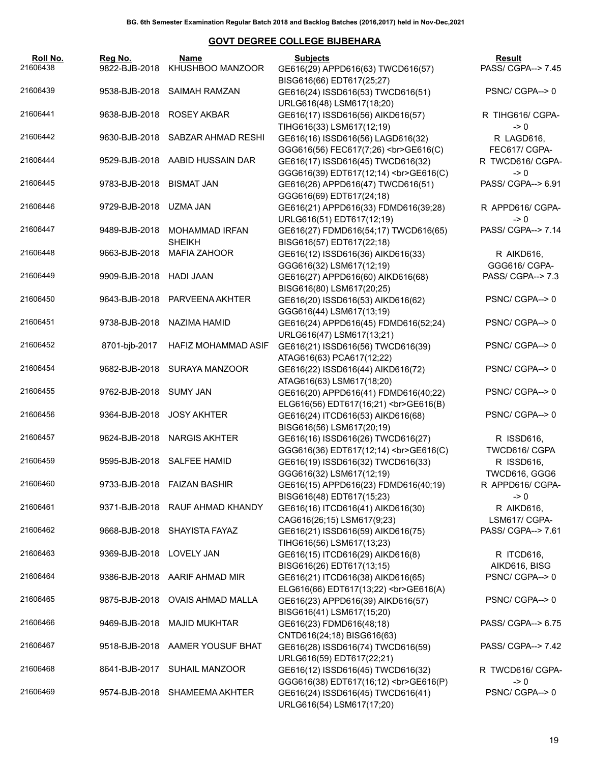| Roll No.<br>21606438 | Reg No.<br>9822-BJB-2018 | Name<br>KHUSHBOO MANZOOR        | <b>Subjects</b><br>GE616(29) APPD616(63) TWCD616(57)                                        | Result<br>PASS/ CGPA--> 7.45        |
|----------------------|--------------------------|---------------------------------|---------------------------------------------------------------------------------------------|-------------------------------------|
| 21606439             | 9538-BJB-2018            | SAIMAH RAMZAN                   | BISG616(66) EDT617(25;27)<br>GE616(24) ISSD616(53) TWCD616(51)<br>URLG616(48) LSM617(18;20) | PSNC/CGPA-->0                       |
| 21606441             |                          | 9638-BJB-2018 ROSEY AKBAR       | GE616(17) ISSD616(56) AIKD616(57)<br>TIHG616(33) LSM617(12;19)                              | R TIHG616/ CGPA-<br>$\rightarrow 0$ |
| 21606442             | 9630-BJB-2018            | SABZAR AHMAD RESHI              | GE616(16) ISSD616(56) LAGD616(32)<br>GGG616(56) FEC617(7;26)<br>GE616(C)                    | R LAGD616,<br>FEC617/ CGPA-         |
| 21606444             |                          | 9529-BJB-2018 AABID HUSSAIN DAR | GE616(17) ISSD616(45) TWCD616(32)<br>GGG616(39) EDT617(12;14)<br>><br>GE616(C)              | R TWCD616/ CGPA-<br>$\rightarrow 0$ |
| 21606445             | 9783-BJB-2018 BISMAT JAN |                                 | GE616(26) APPD616(47) TWCD616(51)<br>GGG616(69) EDT617(24;18)                               | PASS/ CGPA--> 6.91                  |
| 21606446             | 9729-BJB-2018 UZMA JAN   |                                 | GE616(21) APPD616(33) FDMD616(39;28)<br>URLG616(51) EDT617(12;19)                           | R APPD616/ CGPA-<br>$\rightarrow 0$ |
| 21606447             | 9489-BJB-2018            | MOHAMMAD IRFAN<br><b>SHEIKH</b> | GE616(27) FDMD616(54;17) TWCD616(65)<br>BISG616(57) EDT617(22;18)                           | PASS/ CGPA--> 7.14                  |
| 21606448             |                          | 9663-BJB-2018 MAFIA ZAHOOR      | GE616(12) ISSD616(36) AIKD616(33)<br>GGG616(32) LSM617(12;19)                               | R AIKD616,<br>GGG616/ CGPA-         |
| 21606449             | 9909-BJB-2018 HADI JAAN  |                                 | GE616(27) APPD616(60) AIKD616(68)<br>BISG616(80) LSM617(20;25)                              | PASS/ CGPA--> 7.3                   |
| 21606450             |                          | 9643-BJB-2018 PARVEENA AKHTER   | GE616(20) ISSD616(53) AIKD616(62)<br>GGG616(44) LSM617(13;19)                               | PSNC/CGPA-->0                       |
| 21606451             |                          | 9738-BJB-2018 NAZIMA HAMID      | GE616(24) APPD616(45) FDMD616(52;24)<br>URLG616(47) LSM617(13;21)                           | PSNC/CGPA-->0                       |
| 21606452             | 8701-bjb-2017            | HAFIZ MOHAMMAD ASIF             | GE616(21) ISSD616(56) TWCD616(39)<br>ATAG616(63) PCA617(12;22)                              | PSNC/CGPA-->0                       |
| 21606454             | 9682-BJB-2018            | SURAYA MANZOOR                  | GE616(22) ISSD616(44) AIKD616(72)<br>ATAG616(63) LSM617(18;20)                              | PSNC/CGPA-->0                       |
| 21606455             | 9762-BJB-2018 SUMY JAN   |                                 | GE616(20) APPD616(41) FDMD616(40;22)<br>ELG616(56) EDT617(16;21)<br>GE616(B)                | PSNC/CGPA-->0                       |
| 21606456             | 9364-BJB-2018            | JOSY AKHTER                     | GE616(24) ITCD616(53) AIKD616(68)<br>BISG616(56) LSM617(20;19)                              | PSNC/CGPA-->0                       |
| 21606457             |                          | 9624-BJB-2018 NARGIS AKHTER     | GE616(16) ISSD616(26) TWCD616(27)<br>GGG616(36) EDT617(12;14)<br>><br>GE616(C)              | R ISSD616,<br>TWCD616/ CGPA         |
| 21606459             |                          | 9595-BJB-2018 SALFEE HAMID      | GE616(19) ISSD616(32) TWCD616(33)<br>GGG616(32) LSM617(12;19)                               | R ISSD616,<br>TWCD616, GGG6         |
| 21606460             |                          | 9733-BJB-2018 FAIZAN BASHIR     | GE616(15) APPD616(23) FDMD616(40;19)<br>BISG616(48) EDT617(15;23)                           | R APPD616/ CGPA-<br>-> 0            |
| 21606461             |                          | 9371-BJB-2018 RAUF AHMAD KHANDY | GE616(16) ITCD616(41) AIKD616(30)<br>CAG616(26;15) LSM617(9;23)                             | R AIKD616,<br>LSM617/ CGPA-         |
| 21606462             |                          | 9668-BJB-2018 SHAYISTA FAYAZ    | GE616(21) ISSD616(59) AIKD616(75)<br>TIHG616(56) LSM617(13;23)                              | PASS/ CGPA--> 7.61                  |
| 21606463             | 9369-BJB-2018 LOVELY JAN |                                 | GE616(15) ITCD616(29) AIKD616(8)<br>BISG616(26) EDT617(13;15)                               | R ITCD616,<br>AIKD616, BISG         |
| 21606464             |                          | 9386-BJB-2018 AARIF AHMAD MIR   | GE616(21) ITCD616(38) AIKD616(65)<br>ELG616(66) EDT617(13;22)<br>GE616(A)                   | PSNC/CGPA-->0                       |
| 21606465             |                          | 9875-BJB-2018 OVAIS AHMAD MALLA | GE616(23) APPD616(39) AIKD616(57)<br>BISG616(41) LSM617(15;20)                              | PSNC/CGPA-->0                       |
| 21606466             |                          | 9469-BJB-2018 MAJID MUKHTAR     | GE616(23) FDMD616(48;18)<br>CNTD616(24;18) BISG616(63)                                      | PASS/ CGPA--> 6.75                  |
| 21606467             |                          | 9518-BJB-2018 AAMER YOUSUF BHAT | GE616(28) ISSD616(74) TWCD616(59)<br>URLG616(59) EDT617(22;21)                              | PASS/ CGPA--> 7.42                  |
| 21606468             |                          | 8641-BJB-2017 SUHAIL MANZOOR    | GE616(12) ISSD616(45) TWCD616(32)<br>GGG616(38) EDT617(16;12)<br>><br>GGG616(P)             | R TWCD616/ CGPA-<br>$\rightarrow 0$ |
| 21606469             |                          | 9574-BJB-2018 SHAMEEMA AKHTER   | GE616(24) ISSD616(45) TWCD616(41)<br>URLG616(54) LSM617(17;20)                              | PSNC/CGPA-->0                       |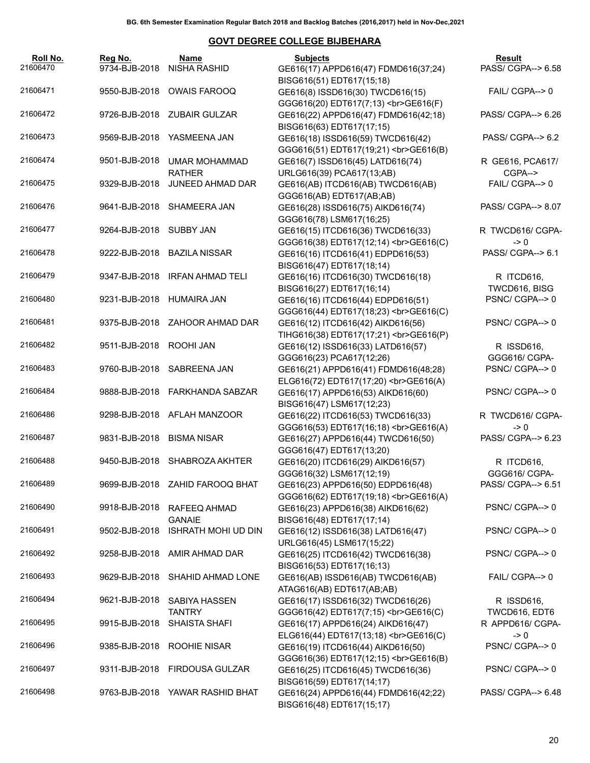| Roll No.<br>21606470 | Reg No.                   | Name<br>9734-BJB-2018 NISHA RASHID           | <b>Subjects</b><br>GE616(17) APPD616(47) FDMD616(37;24)                                                    | <b>Result</b><br>PASS/ CGPA--> 6.58 |
|----------------------|---------------------------|----------------------------------------------|------------------------------------------------------------------------------------------------------------|-------------------------------------|
| 21606471             |                           | 9550-BJB-2018 OWAIS FAROOQ                   | BISG616(51) EDT617(15;18)<br>GE616(8) ISSD616(30) TWCD616(15)<br>GGG616(20) EDT617(7;13)<br>><br>GGG616(F) | FAIL/ CGPA--> 0                     |
| 21606472             |                           | 9726-BJB-2018 ZUBAIR GULZAR                  | GE616(22) APPD616(47) FDMD616(42;18)<br>BISG616(63) EDT617(17;15)                                          | PASS/ CGPA--> 6.26                  |
| 21606473             |                           | 9569-BJB-2018 YASMEENA JAN                   | GE616(18) ISSD616(59) TWCD616(42)<br>GGG616(51) EDT617(19;21)<br>><br>GE616(B)                             | PASS/ CGPA--> 6.2                   |
| 21606474             |                           | 9501-BJB-2018 UMAR MOHAMMAD<br><b>RATHER</b> | GE616(7) ISSD616(45) LATD616(74)<br>URLG616(39) PCA617(13;AB)                                              | R GE616, PCA617/<br>CGPA-->         |
| 21606475             |                           | 9329-BJB-2018 JUNEED AHMAD DAR               | GE616(AB) ITCD616(AB) TWCD616(AB)<br>GGG616(AB) EDT617(AB;AB)                                              | FAIL/ CGPA--> 0                     |
| 21606476             |                           | 9641-BJB-2018 SHAMEERA JAN                   | GE616(28) ISSD616(75) AIKD616(74)<br>GGG616(78) LSM617(16;25)                                              | PASS/ CGPA--> 8.07                  |
| 21606477             | 9264-BJB-2018 SUBBY JAN   |                                              | GE616(15) ITCD616(36) TWCD616(33)<br>GGG616(38) EDT617(12;14)<br>GE616(C)                                  | R TWCD616/ CGPA-<br>$\rightarrow 0$ |
| 21606478             |                           | 9222-BJB-2018 BAZILA NISSAR                  | GE616(16) ITCD616(41) EDPD616(53)<br>BISG616(47) EDT617(18;14)                                             | PASS/ CGPA--> 6.1                   |
| 21606479             |                           | 9347-BJB-2018 IRFAN AHMAD TELI               | GE616(16) ITCD616(30) TWCD616(18)<br>BISG616(27) EDT617(16;14)                                             | R ITCD616,<br>TWCD616, BISG         |
| 21606480             | 9231-BJB-2018 HUMAIRA JAN |                                              | GE616(16) ITCD616(44) EDPD616(51)<br>GGG616(44) EDT617(18;23)<br>GE616(C)                                  | PSNC/CGPA-->0                       |
| 21606481             |                           | 9375-BJB-2018 ZAHOOR AHMAD DAR               | GE616(12) ITCD616(42) AIKD616(56)<br>TIHG616(38) EDT617(17;21)<br>GE616(P)                                 | PSNC/CGPA-->0                       |
| 21606482             | 9511-BJB-2018 ROOHI JAN   |                                              | GE616(12) ISSD616(33) LATD616(57)<br>GGG616(23) PCA617(12;26)                                              | R ISSD616,<br>GGG616/ CGPA-         |
| 21606483             |                           | 9760-BJB-2018 SABREENA JAN                   | GE616(21) APPD616(41) FDMD616(48;28)<br>ELG616(72) EDT617(17;20)<br>GE616(A)                               | PSNC/ CGPA--> 0                     |
| 21606484             |                           | 9888-BJB-2018 FARKHANDA SABZAR               | GE616(17) APPD616(53) AIKD616(60)<br>BISG616(47) LSM617(12;23)                                             | PSNC/CGPA-->0                       |
| 21606486             |                           | 9298-BJB-2018 AFLAH MANZOOR                  | GE616(22) ITCD616(53) TWCD616(33)<br>GGG616(53) EDT617(16;18)<br>>br>GE616(A)                              | R TWCD616/ CGPA-<br>$\rightarrow 0$ |
| 21606487             | 9831-BJB-2018 BISMA NISAR |                                              | GE616(27) APPD616(44) TWCD616(50)<br>GGG616(47) EDT617(13;20)                                              | PASS/ CGPA--> 6.23                  |
| 21606488             |                           | 9450-BJB-2018 SHABROZA AKHTER                | GE616(20) ITCD616(29) AIKD616(57)<br>GGG616(32) LSM617(12;19)                                              | R ITCD616,<br>GGG616/ CGPA-         |
| 21606489             |                           | 9699-BJB-2018 ZAHID FAROOQ BHAT              | GE616(23) APPD616(50) EDPD616(48)<br>GGG616(62) EDT617(19;18)<br>><br>GGG616(A)                            | PASS/ CGPA--> 6.51                  |
| 21606490             |                           | 9918-BJB-2018 RAFEEQ AHMAD<br><b>GANAIE</b>  | GE616(23) APPD616(38) AIKD616(62)<br>BISG616(48) EDT617(17;14)                                             | PSNC/CGPA-->0                       |
| 21606491             |                           | 9502-BJB-2018 ISHRATH MOHI UD DIN            | GE616(12) ISSD616(38) LATD616(47)<br>URLG616(45) LSM617(15;22)                                             | PSNC/CGPA-->0                       |
| 21606492             |                           | 9258-BJB-2018 AMIR AHMAD DAR                 | GE616(25) ITCD616(42) TWCD616(38)<br>BISG616(53) EDT617(16;13)                                             | PSNC/CGPA-->0                       |
| 21606493             |                           | 9629-BJB-2018 SHAHID AHMAD LONE              | GE616(AB) ISSD616(AB) TWCD616(AB)<br>ATAG616(AB) EDT617(AB;AB)                                             | FAIL/ CGPA--> 0                     |
| 21606494             | 9621-BJB-2018             | SABIYA HASSEN<br><b>TANTRY</b>               | GE616(17) ISSD616(32) TWCD616(26)<br>GGG616(42) EDT617(7;15)<br>GE616(C)                                   | R ISSD616,<br>TWCD616, EDT6         |
| 21606495             | 9915-BJB-2018             | SHAISTA SHAFI                                | GE616(17) APPD616(24) AIKD616(47)<br>ELG616(44) EDT617(13;18)<br>GE616(C)                                  | R APPD616/ CGPA-<br>$\rightarrow 0$ |
| 21606496             |                           | 9385-BJB-2018 ROOHIE NISAR                   | GE616(19) ITCD616(44) AIKD616(50)<br>GGG616(36) EDT617(12;15)<br>>br>GE616(B)                              | PSNC/CGPA-->0                       |
| 21606497             |                           | 9311-BJB-2018 FIRDOUSA GULZAR                | GE616(25) ITCD616(45) TWCD616(36)<br>BISG616(59) EDT617(14;17)                                             | PSNC/CGPA-->0                       |
| 21606498             |                           | 9763-BJB-2018 YAWAR RASHID BHAT              | GE616(24) APPD616(44) FDMD616(42;22)<br>BISG616(48) EDT617(15;17)                                          | PASS/ CGPA--> 6.48                  |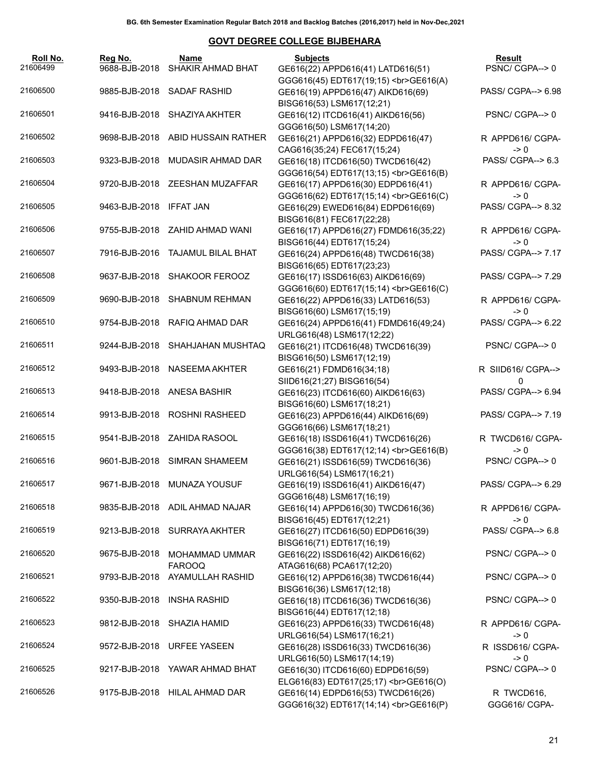| Roll No.<br>21606499 | Reg No.<br>9688-BJB-2018 | Name<br>SHAKIR AHMAD BHAT                        | <b>Subjects</b><br>GE616(22) APPD616(41) LATD616(51)                                                | Result<br>PSNC/CGPA-->0                                  |
|----------------------|--------------------------|--------------------------------------------------|-----------------------------------------------------------------------------------------------------|----------------------------------------------------------|
| 21606500             |                          | 9885-BJB-2018 SADAF RASHID                       | GGG616(45) EDT617(19;15)<br>><br>GGG616(A)<br>GE616(19) APPD616(47) AIKD616(69)                     | PASS/ CGPA--> 6.98                                       |
| 21606501             |                          | 9416-BJB-2018 SHAZIYA AKHTER                     | BISG616(53) LSM617(12;21)<br>GE616(12) ITCD616(41) AIKD616(56)                                      | PSNC/CGPA-->0                                            |
| 21606502             |                          | 9698-BJB-2018 ABID HUSSAIN RATHER                | GGG616(50) LSM617(14;20)<br>GE616(21) APPD616(32) EDPD616(47)<br>CAG616(35;24) FEC617(15;24)        | R APPD616/ CGPA-<br>$\rightarrow 0$                      |
| 21606503             | 9323-BJB-2018            | MUDASIR AHMAD DAR                                | GE616(18) ITCD616(50) TWCD616(42)<br>GGG616(54) EDT617(13;15)<br>><br>GE616(B)                      | PASS/ CGPA--> 6.3                                        |
| 21606504             |                          | 9720-BJB-2018 ZEESHAN MUZAFFAR                   | GE616(17) APPD616(30) EDPD616(41)<br>GGG616(62) EDT617(15;14)<br>><br>GE616(C)                      | R APPD616/ CGPA-<br>$\rightarrow 0$                      |
| 21606505             | 9463-BJB-2018            | IFFAT JAN                                        | GE616(29) EWED616(84) EDPD616(69)<br>BISG616(81) FEC617(22;28)                                      | PASS/ CGPA--> 8.32                                       |
| 21606506             |                          | 9755-BJB-2018 ZAHID AHMAD WANI                   | GE616(17) APPD616(27) FDMD616(35;22)<br>BISG616(44) EDT617(15;24)                                   | R APPD616/ CGPA-<br>$\rightarrow 0$                      |
| 21606507             |                          | 7916-BJB-2016 TAJAMUL BILAL BHAT                 | GE616(24) APPD616(48) TWCD616(38)<br>BISG616(65) EDT617(23;23)                                      | PASS/ CGPA--> 7.17                                       |
| 21606508             | 9637-BJB-2018            | <b>SHAKOOR FEROOZ</b>                            | GE616(17) ISSD616(63) AIKD616(69)<br>GGG616(60) EDT617(15;14)<br>><br>GGG616(C)                     | PASS/ CGPA--> 7.29                                       |
| 21606509             | 9690-BJB-2018            | <b>SHABNUM REHMAN</b>                            | GE616(22) APPD616(33) LATD616(53)<br>BISG616(60) LSM617(15;19)                                      | R APPD616/ CGPA-<br>$\rightarrow 0$                      |
| 21606510             | 9754-BJB-2018            | RAFIQ AHMAD DAR                                  | GE616(24) APPD616(41) FDMD616(49;24)<br>URLG616(48) LSM617(12;22)                                   | PASS/ CGPA--> 6.22                                       |
| 21606511             | 9244-BJB-2018            | SHAHJAHAN MUSHTAQ                                | GE616(21) ITCD616(48) TWCD616(39)<br>BISG616(50) LSM617(12;19)                                      | PSNC/CGPA-->0                                            |
| 21606512             | 9493-BJB-2018            | NASEEMA AKHTER                                   | GE616(21) FDMD616(34;18)<br>SIID616(21;27) BISG616(54)                                              | R SIID616/ CGPA--><br>$\Omega$                           |
| 21606513             |                          | 9418-BJB-2018 ANESA BASHIR                       | GE616(23) ITCD616(60) AIKD616(63)<br>BISG616(60) LSM617(18;21)                                      | PASS/ CGPA--> 6.94                                       |
| 21606514             |                          | 9913-BJB-2018 ROSHNI RASHEED                     | GE616(23) APPD616(44) AIKD616(69)<br>GGG616(66) LSM617(18;21)                                       | PASS/ CGPA--> 7.19                                       |
| 21606515             |                          | 9541-BJB-2018 ZAHIDA RASOOL                      | GE616(18) ISSD616(41) TWCD616(26)<br>GGG616(38) EDT617(12;14)<br>><br>GGG616(B)                     | R TWCD616/ CGPA-<br>$\rightarrow 0$                      |
| 21606516             |                          | 9601-BJB-2018 SIMRAN SHAMEEM                     | GE616(21) ISSD616(59) TWCD616(36)<br>URLG616(54) LSM617(16;21)                                      | PSNC/CGPA-->0                                            |
| 21606517<br>21606518 |                          | 9671-BJB-2018 MUNAZA YOUSUF                      | GE616(19) ISSD616(41) AIKD616(47)<br>GGG616(48) LSM617(16;19)                                       | PASS/ CGPA--> 6.29                                       |
| 21606519             | 9213-BJB-2018            | 9835-BJB-2018 ADIL AHMAD NAJAR<br>SURRAYA AKHTER | GE616(14) APPD616(30) TWCD616(36)<br>BISG616(45) EDT617(12;21)<br>GE616(27) ITCD616(50) EDPD616(39) | R APPD616/ CGPA-<br>$\rightarrow 0$<br>PASS/ CGPA--> 6.8 |
| 21606520             | 9675-BJB-2018            | MOHAMMAD UMMAR                                   | BISG616(71) EDT617(16;19)<br>GE616(22) ISSD616(42) AIKD616(62)                                      | PSNC/CGPA-->0                                            |
| 21606521             | 9793-BJB-2018            | <b>FAROOQ</b><br>AYAMULLAH RASHID                | ATAG616(68) PCA617(12;20)<br>GE616(12) APPD616(38) TWCD616(44)                                      | PSNC/CGPA-->0                                            |
| 21606522             | 9350-BJB-2018            | <b>INSHA RASHID</b>                              | BISG616(36) LSM617(12;18)<br>GE616(18) ITCD616(36) TWCD616(36)                                      | PSNC/CGPA-->0                                            |
| 21606523             | 9812-BJB-2018            | SHAZIA HAMID                                     | BISG616(44) EDT617(12;18)<br>GE616(23) APPD616(33) TWCD616(48)                                      | R APPD616/ CGPA-                                         |
| 21606524             | 9572-BJB-2018            | <b>URFEE YASEEN</b>                              | URLG616(54) LSM617(16;21)<br>GE616(28) ISSD616(33) TWCD616(36)                                      | $\rightarrow 0$<br>R ISSD616/ CGPA-                      |
| 21606525             | 9217-BJB-2018            | YAWAR AHMAD BHAT                                 | URLG616(50) LSM617(14;19)<br>GE616(30) ITCD616(60) EDPD616(59)                                      | $\rightarrow 0$<br>PSNC/CGPA-->0                         |
| 21606526             |                          | 9175-BJB-2018 HILAL AHMAD DAR                    | ELG616(83) EDT617(25;17)<br>GE616(O)<br>GE616(14) EDPD616(53) TWCD616(26)                           | R TWCD616,                                               |
|                      |                          |                                                  | GGG616(32) EDT617(14;14)<br>GE616(P)                                                                | GGG616/ CGPA-                                            |
|                      |                          |                                                  |                                                                                                     | 21                                                       |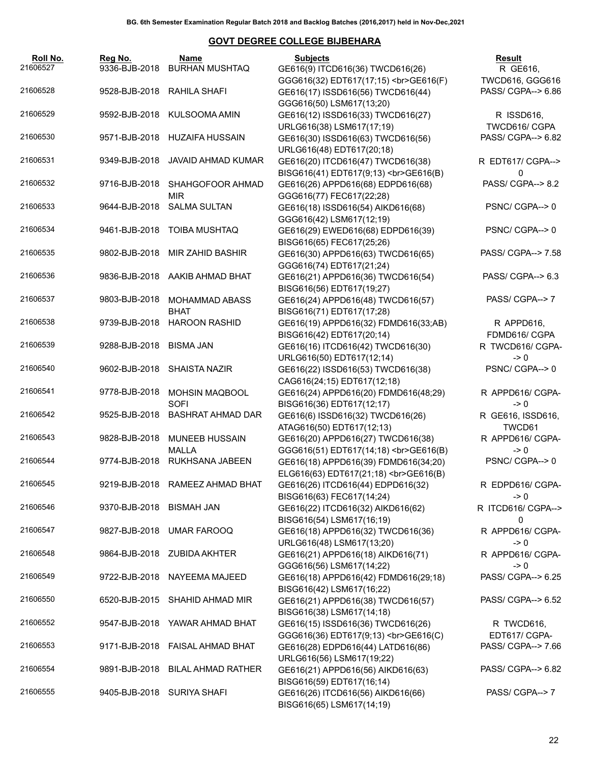| Roll No.<br>21606527 | Reg No.<br>9336-BJB-2018   | Name<br><b>BURHAN MUSHTAQ</b>                 | <b>Subjects</b><br>GE616(9) ITCD616(36) TWCD616(26)                                         | <b>Result</b><br>R GE616,             |
|----------------------|----------------------------|-----------------------------------------------|---------------------------------------------------------------------------------------------|---------------------------------------|
| 21606528             | 9528-BJB-2018 RAHILA SHAFI |                                               | GGG616(32) EDT617(17;15)<br>><br>GGG616(F)<br>GE616(17) ISSD616(56) TWCD616(44)             | TWCD616, GGG616<br>PASS/ CGPA--> 6.86 |
|                      |                            |                                               | GGG616(50) LSM617(13;20)                                                                    |                                       |
| 21606529             |                            | 9592-BJB-2018 KULSOOMA AMIN                   | GE616(12) ISSD616(33) TWCD616(27)                                                           | R ISSD616,                            |
| 21606530             |                            | 9571-BJB-2018 HUZAIFA HUSSAIN                 | URLG616(38) LSM617(17;19)<br>GE616(30) ISSD616(63) TWCD616(56)                              | TWCD616/ CGPA<br>PASS/ CGPA--> 6.82   |
| 21606531             | 9349-BJB-2018              | <b>JAVAID AHMAD KUMAR</b>                     | URLG616(48) EDT617(20;18)<br>GE616(20) ITCD616(47) TWCD616(38)                              | R EDT617/ CGPA-->                     |
| 21606532             |                            | 9716-BJB-2018 SHAHGOFOOR AHMAD                | BISG616(41) EDT617(9;13)<br>GE616(B)<br>GE616(26) APPD616(68) EDPD616(68)                   | 0<br>PASS/ CGPA--> 8.2                |
| 21606533             |                            | <b>MIR</b><br>9644-BJB-2018 SALMA SULTAN      | GGG616(77) FEC617(22;28)<br>GE616(18) ISSD616(54) AIKD616(68)                               | PSNC/CGPA-->0                         |
| 21606534             |                            | 9461-BJB-2018 TOIBA MUSHTAQ                   | GGG616(42) LSM617(12;19)<br>GE616(29) EWED616(68) EDPD616(39)                               | PSNC/CGPA-->0                         |
| 21606535             |                            | 9802-BJB-2018 MIR ZAHID BASHIR                | BISG616(65) FEC617(25;26)<br>GE616(30) APPD616(63) TWCD616(65)                              | PASS/ CGPA--> 7.58                    |
| 21606536             |                            | 9836-BJB-2018 AAKIB AHMAD BHAT                | GGG616(74) EDT617(21;24)<br>GE616(21) APPD616(36) TWCD616(54)                               | PASS/ CGPA--> 6.3                     |
| 21606537             | 9803-BJB-2018              | <b>MOHAMMAD ABASS</b>                         | BISG616(56) EDT617(19;27)<br>GE616(24) APPD616(48) TWCD616(57)                              | PASS/ CGPA--> 7                       |
| 21606538             |                            | <b>BHAT</b><br>9739-BJB-2018 HAROON RASHID    | BISG616(71) EDT617(17;28)<br>GE616(19) APPD616(32) FDMD616(33;AB)                           | R APPD616,                            |
| 21606539             | 9288-BJB-2018              | <b>BISMA JAN</b>                              | BISG616(42) EDT617(20;14)<br>GE616(16) ITCD616(42) TWCD616(30)                              | FDMD616/ CGPA<br>R TWCD616/ CGPA-     |
| 21606540             |                            | 9602-BJB-2018 SHAISTA NAZIR                   | URLG616(50) EDT617(12;14)<br>GE616(22) ISSD616(53) TWCD616(38)                              | $\geq 0$<br>PSNC/CGPA-->0             |
| 21606541             | 9778-BJB-2018              | <b>MOHSIN MAQBOOL</b>                         | CAG616(24;15) EDT617(12;18)<br>GE616(24) APPD616(20) FDMD616(48;29)                         | R APPD616/ CGPA-                      |
| 21606542             | 9525-BJB-2018              | <b>SOFI</b><br><b>BASHRAT AHMAD DAR</b>       | BISG616(36) EDT617(12;17)<br>GE616(6) ISSD616(32) TWCD616(26)                               | $\geq 0$<br>R GE616, ISSD616,         |
| 21606543             |                            | 9828-BJB-2018 MUNEEB HUSSAIN                  | ATAG616(50) EDT617(12;13)<br>GE616(20) APPD616(27) TWCD616(38)                              | TWCD61<br>R APPD616/ CGPA-            |
| 21606544             |                            | <b>MALLA</b><br>9774-BJB-2018 RUKHSANA JABEEN | GGG616(51) EDT617(14;18)<br>><br>GGG616(B)<br>GE616(18) APPD616(39) FDMD616(34;20)          | $\geq 0$<br>PSNC/CGPA-->0             |
| 21606545             |                            | 9219-BJB-2018 RAMEEZ AHMAD BHAT               | ELG616(63) EDT617(21;18)<br>GE616(B)<br>GE616(26) ITCD616(44) EDPD616(32)                   | R EDPD616/ CGPA-                      |
| 21606546             | 9370-BJB-2018 BISMAH JAN   |                                               | BISG616(63) FEC617(14;24)<br>GE616(22) ITCD616(32) AIKD616(62)                              | -> 0<br>R ITCD616/ CGPA-->            |
| 21606547             |                            | 9827-BJB-2018 UMAR FAROOQ                     | BISG616(54) LSM617(16;19)<br>GE616(18) APPD616(32) TWCD616(36)                              | 0<br>R APPD616/ CGPA-                 |
| 21606548             |                            | 9864-BJB-2018 ZUBIDA AKHTER                   | URLG616(48) LSM617(13;20)<br>GE616(21) APPD616(18) AIKD616(71)                              | -> 0<br>R APPD616/ CGPA-              |
| 21606549             |                            | 9722-BJB-2018 NAYEEMA MAJEED                  | GGG616(56) LSM617(14;22)<br>GE616(18) APPD616(42) FDMD616(29;18)                            | -> 0<br>PASS/ CGPA--> 6.25            |
| 21606550             |                            | 6520-BJB-2015 SHAHID AHMAD MIR                | BISG616(42) LSM617(16;22)<br>GE616(21) APPD616(38) TWCD616(57)                              | PASS/ CGPA--> 6.52                    |
| 21606552             |                            | 9547-BJB-2018 YAWAR AHMAD BHAT                | BISG616(38) LSM617(14;18)<br>GE616(15) ISSD616(36) TWCD616(26)                              | R TWCD616,                            |
| 21606553             | 9171-BJB-2018              | FAISAL AHMAD BHAT                             | GGG616(36) EDT617(9;13)<br>GE616(C)<br>GE616(28) EDPD616(44) LATD616(86)                    | EDT617/ CGPA-<br>PASS/ CGPA--> 7.66   |
| 21606554             |                            | 9891-BJB-2018 BILAL AHMAD RATHER              | URLG616(56) LSM617(19;22)<br>GE616(21) APPD616(56) AIKD616(63)<br>BISG616(59) EDT617(16;14) | PASS/ CGPA--> 6.82                    |
| 21606555             |                            | 9405-BJB-2018 SURIYA SHAFI                    | GE616(26) ITCD616(56) AIKD616(66)<br>BISG616(65) LSM617(14;19)                              | PASS/ CGPA--> 7                       |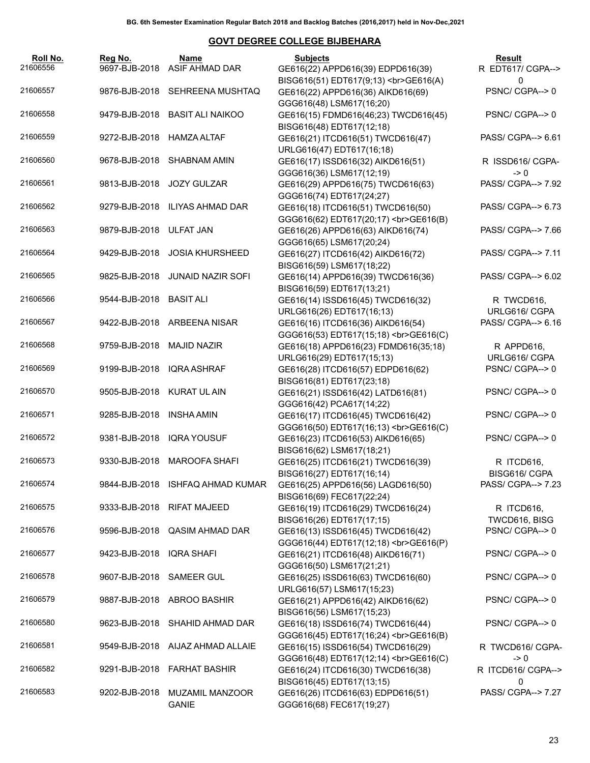| Roll No.<br>21606556 | Reg No.<br>9697-BJB-2018       | Name<br>ASIF AHMAD DAR           | <b>Subjects</b><br>GE616(22) APPD616(39) EDPD616(39)                                                  | Result<br>R EDT617/ CGPA-->                   |
|----------------------|--------------------------------|----------------------------------|-------------------------------------------------------------------------------------------------------|-----------------------------------------------|
| 21606557             | 9876-BJB-2018                  | SEHREENA MUSHTAQ                 | BISG616(51) EDT617(9;13)<br>GE616(A)<br>GE616(22) APPD616(36) AIKD616(69)<br>GGG616(48) LSM617(16;20) | $\mathbf{0}$<br>PSNC/CGPA-->0                 |
| 21606558             | 9479-BJB-2018                  | <b>BASIT ALI NAIKOO</b>          | GE616(15) FDMD616(46;23) TWCD616(45)<br>BISG616(48) EDT617(12;18)                                     | PSNC/CGPA-->0                                 |
| 21606559             | 9272-BJB-2018                  | HAMZA ALTAF                      | GE616(21) ITCD616(51) TWCD616(47)<br>URLG616(47) EDT617(16;18)                                        | PASS/ CGPA--> 6.61                            |
| 21606560             | 9678-BJB-2018                  | <b>SHABNAM AMIN</b>              | GE616(17) ISSD616(32) AIKD616(51)<br>GGG616(36) LSM617(12;19)                                         | R ISSD616/ CGPA-<br>$\rightarrow 0$           |
| 21606561             | 9813-BJB-2018                  | <b>JOZY GULZAR</b>               | GE616(29) APPD616(75) TWCD616(63)<br>GGG616(74) EDT617(24;27)                                         | PASS/ CGPA--> 7.92                            |
| 21606562             | 9279-BJB-2018                  | ILIYAS AHMAD DAR                 | GE616(18) ITCD616(51) TWCD616(50)<br>GGG616(62) EDT617(20;17)<br>><br>GGG616(B)                       | PASS/ CGPA--> 6.73                            |
| 21606563             | 9879-BJB-2018 ULFAT JAN        |                                  | GE616(26) APPD616(63) AIKD616(74)<br>GGG616(65) LSM617(20;24)                                         | PASS/ CGPA--> 7.66                            |
| 21606564             | 9429-BJB-2018                  | <b>JOSIA KHURSHEED</b>           | GE616(27) ITCD616(42) AIKD616(72)<br>BISG616(59) LSM617(18;22)                                        | PASS/ CGPA--> 7.11                            |
| 21606565             | 9825-BJB-2018                  | <b>JUNAID NAZIR SOFI</b>         | GE616(14) APPD616(39) TWCD616(36)<br>BISG616(59) EDT617(13;21)                                        | PASS/ CGPA--> 6.02                            |
| 21606566             | 9544-BJB-2018                  | <b>BASIT ALI</b>                 | GE616(14) ISSD616(45) TWCD616(32)<br>URLG616(26) EDT617(16;13)                                        | R TWCD616,<br>URLG616/ CGPA                   |
| 21606567             |                                | 9422-BJB-2018 ARBEENA NISAR      | GE616(16) ITCD616(36) AIKD616(54)<br>GGG616(53) EDT617(15;18)<br>GE616(C)                             | PASS/ CGPA--> 6.16                            |
| 21606568             | 9759-BJB-2018                  | <b>MAJID NAZIR</b>               | GE616(18) APPD616(23) FDMD616(35;18)<br>URLG616(29) EDT617(15;13)                                     | R APPD616,<br>URLG616/ CGPA                   |
| 21606569             | 9199-BJB-2018                  | <b>IQRA ASHRAF</b>               | GE616(28) ITCD616(57) EDPD616(62)<br>BISG616(81) EDT617(23;18)                                        | PSNC/CGPA-->0                                 |
| 21606570             | 9505-BJB-2018                  | KURAT UL AIN                     | GE616(21) ISSD616(42) LATD616(81)<br>GGG616(42) PCA617(14;22)                                         | PSNC/CGPA-->0                                 |
| 21606571             | 9285-BJB-2018                  | <b>INSHA AMIN</b>                | GE616(17) ITCD616(45) TWCD616(42)<br>GGG616(50) EDT617(16;13)<br>GE616(C)                             | PSNC/CGPA-->0                                 |
| 21606572             | 9381-BJB-2018                  | <b>IQRA YOUSUF</b>               | GE616(23) ITCD616(53) AIKD616(65)<br>BISG616(62) LSM617(18;21)                                        | PSNC/CGPA-->0                                 |
| 21606573             |                                | 9330-BJB-2018 MAROOFA SHAFI      | GE616(25) ITCD616(21) TWCD616(39)<br>BISG616(27) EDT617(16;14)                                        | R ITCD616,<br>BISG616/ CGPA                   |
| 21606574             |                                | 9844-BJB-2018 ISHFAQ AHMAD KUMAR | GE616(25) APPD616(56) LAGD616(50)<br>BISG616(69) FEC617(22;24)                                        | PASS/ CGPA--> 7.23                            |
| 21606575             | 9333-BJB-2018                  | <b>RIFAT MAJEED</b>              | GE616(19) ITCD616(29) TWCD616(24)<br>BISG616(26) EDT617(17;15)                                        | R ITCD616,<br>TWCD616, BISG                   |
| 21606576             | 9596-BJB-2018                  | QASIM AHMAD DAR                  | GE616(13) ISSD616(45) TWCD616(42)<br>GGG616(44) EDT617(12;18)<br>GE616(P)                             | PSNC/CGPA-->0                                 |
| 21606577             | 9423-BJB-2018                  | <b>IQRA SHAFI</b>                | GE616(21) ITCD616(48) AIKD616(71)<br>GGG616(50) LSM617(21;21)                                         | PSNC/CGPA-->0                                 |
| 21606578             | 9607-BJB-2018                  | <b>SAMEER GUL</b>                | GE616(25) ISSD616(63) TWCD616(60)<br>URLG616(57) LSM617(15;23)                                        | PSNC/CGPA-->0                                 |
| 21606579             | 9887-BJB-2018                  | ABROO BASHIR                     | GE616(21) APPD616(42) AIKD616(62)<br>BISG616(56) LSM617(15;23)                                        | PSNC/CGPA-->0                                 |
| 21606580             | 9623-BJB-2018                  | SHAHID AHMAD DAR                 | GE616(18) ISSD616(74) TWCD616(44)<br>GGG616(45) EDT617(16;24)<br>GE616(B)                             | PSNC/CGPA-->0                                 |
| 21606581             | 9549-BJB-2018                  | AIJAZ AHMAD ALLAIE               | GE616(15) ISSD616(54) TWCD616(29)<br>GGG616(48) EDT617(12;14)<br>GE616(C)                             | R TWCD616/ CGPA-<br>$\rightarrow 0$           |
| 21606582<br>21606583 | 9291-BJB-2018<br>9202-BJB-2018 | <b>FARHAT BASHIR</b>             | GE616(24) ITCD616(30) TWCD616(38)<br>BISG616(45) EDT617(13;15)                                        | R ITCD616/ CGPA--><br>0<br>PASS/ CGPA--> 7.27 |
|                      |                                | MUZAMIL MANZOOR<br><b>GANIE</b>  | GE616(26) ITCD616(63) EDPD616(51)<br>GGG616(68) FEC617(19;27)                                         |                                               |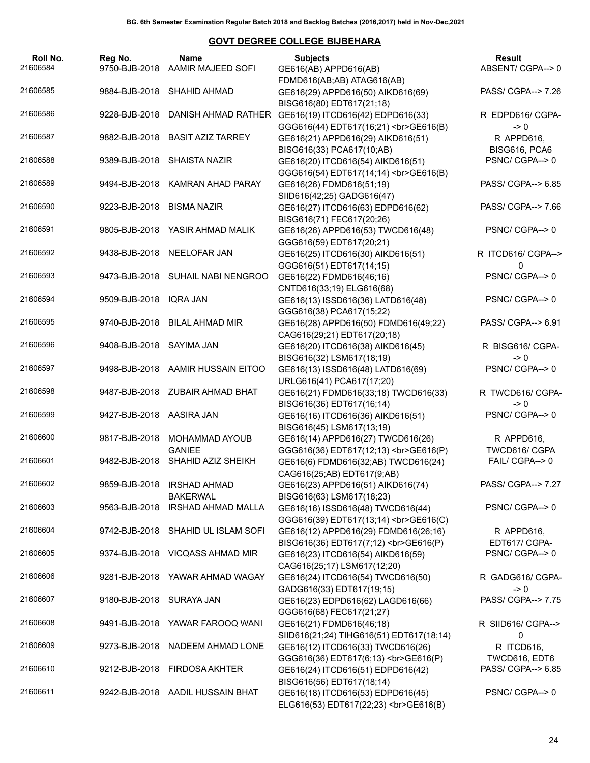| Roll No.<br>21606584 | Reg No.<br>9750-BJB-2018 | Name<br><b>AAMIR MAJEED SOFI</b>       | <b>Subjects</b><br>GE616(AB) APPD616(AB)                                                  | Result<br>ABSENT/CGPA-->0           |
|----------------------|--------------------------|----------------------------------------|-------------------------------------------------------------------------------------------|-------------------------------------|
| 21606585             | 9884-BJB-2018            | SHAHID AHMAD                           | FDMD616(AB;AB) ATAG616(AB)<br>GE616(29) APPD616(50) AIKD616(69)                           | PASS/ CGPA--> 7.26                  |
|                      |                          |                                        | BISG616(80) EDT617(21;18)                                                                 |                                     |
| 21606586             | 9228-BJB-2018            | DANISH AHMAD RATHER                    | GE616(19) ITCD616(42) EDPD616(33)<br>GGG616(44) EDT617(16;21)<br>><br>GE616(B)            | R EDPD616/ CGPA-<br>$\geq 0$        |
| 21606587             | 9882-BJB-2018            | <b>BASIT AZIZ TARREY</b>               | GE616(21) APPD616(29) AIKD616(51)<br>BISG616(33) PCA617(10;AB)                            | R APPD616,<br>BISG616, PCA6         |
| 21606588             | 9389-BJB-2018            | <b>SHAISTA NAZIR</b>                   | GE616(20) ITCD616(54) AIKD616(51)<br>GGG616(54) EDT617(14;14)<br>><br>GE616(B)            | PSNC/CGPA-->0                       |
| 21606589             |                          | 9494-BJB-2018 KAMRAN AHAD PARAY        | GE616(26) FDMD616(51;19)                                                                  | PASS/ CGPA--> 6.85                  |
| 21606590             | 9223-BJB-2018            | <b>BISMA NAZIR</b>                     | SIID616(42;25) GADG616(47)<br>GE616(27) ITCD616(63) EDPD616(62)                           | PASS/ CGPA--> 7.66                  |
| 21606591             | 9805-BJB-2018            | YASIR AHMAD MALIK                      | BISG616(71) FEC617(20;26)<br>GE616(26) APPD616(53) TWCD616(48)                            | PSNC/CGPA-->0                       |
| 21606592             | 9438-BJB-2018            | NEELOFAR JAN                           | GGG616(59) EDT617(20;21)<br>GE616(25) ITCD616(30) AIKD616(51)<br>GGG616(51) EDT617(14;15) | R ITCD616/ CGPA--><br>0             |
| 21606593             |                          | 9473-BJB-2018 SUHAIL NABI NENGROO      | GE616(22) FDMD616(46;16)<br>CNTD616(33;19) ELG616(68)                                     | PSNC/CGPA-->0                       |
| 21606594             | 9509-BJB-2018            | <b>IQRA JAN</b>                        | GE616(13) ISSD616(36) LATD616(48)<br>GGG616(38) PCA617(15;22)                             | PSNC/CGPA-->0                       |
| 21606595             | 9740-BJB-2018            | <b>BILAL AHMAD MIR</b>                 | GE616(28) APPD616(50) FDMD616(49;22)<br>CAG616(29;21) EDT617(20;18)                       | PASS/ CGPA--> 6.91                  |
| 21606596             | 9408-BJB-2018            | SAYIMA JAN                             | GE616(20) ITCD616(38) AIKD616(45)<br>BISG616(32) LSM617(18;19)                            | R BISG616/ CGPA-<br>$\rightarrow 0$ |
| 21606597             | 9498-BJB-2018            | AAMIR HUSSAIN EITOO                    | GE616(13) ISSD616(48) LATD616(69)<br>URLG616(41) PCA617(17;20)                            | PSNC/CGPA-->0                       |
| 21606598             | 9487-BJB-2018            | ZUBAIR AHMAD BHAT                      | GE616(21) FDMD616(33;18) TWCD616(33)<br>BISG616(36) EDT617(16;14)                         | R TWCD616/ CGPA-<br>$\rightarrow 0$ |
| 21606599             | 9427-BJB-2018            | AASIRA JAN                             | GE616(16) ITCD616(36) AIKD616(51)<br>BISG616(45) LSM617(13;19)                            | PSNC/CGPA-->0                       |
| 21606600             | 9817-BJB-2018            | MOHAMMAD AYOUB<br><b>GANIEE</b>        | GE616(14) APPD616(27) TWCD616(26)<br>GGG616(36) EDT617(12;13)<br>><br>GE616(P)            | R APPD616,<br>TWCD616/ CGPA         |
| 21606601             |                          | 9482-BJB-2018 SHAHID AZIZ SHEIKH       | GE616(6) FDMD616(32;AB) TWCD616(24)<br>CAG616(25;AB) EDT617(9;AB)                         | FAIL/ CGPA--> 0                     |
| 21606602             | 9859-BJB-2018            | <b>IRSHAD AHMAD</b><br><b>BAKERWAL</b> | GE616(23) APPD616(51) AIKD616(74)<br>BISG616(63) LSM617(18;23)                            | PASS/ CGPA--> 7.27                  |
| 21606603             | 9563-BJB-2018            | <b>IRSHAD AHMAD MALLA</b>              | GE616(16) ISSD616(48) TWCD616(44)<br>GGG616(39) EDT617(13;14)<br>><br>GGG616(C)           | PSNC/CGPA-->0                       |
| 21606604             | 9742-BJB-2018            | SHAHID UL ISLAM SOFI                   | GE616(12) APPD616(29) FDMD616(26;16)<br>BISG616(36) EDT617(7;12)<br>GE616(P)              | R APPD616,<br>EDT617/ CGPA-         |
| 21606605             |                          | 9374-BJB-2018 VICQASS AHMAD MIR        | GE616(23) ITCD616(54) AIKD616(59)<br>CAG616(25;17) LSM617(12;20)                          | PSNC/CGPA-->0                       |
| 21606606             |                          | 9281-BJB-2018 YAWAR AHMAD WAGAY        | GE616(24) ITCD616(54) TWCD616(50)<br>GADG616(33) EDT617(19;15)                            | R GADG616/ CGPA-<br>$\rightarrow 0$ |
| 21606607             | 9180-BJB-2018            | SURAYA JAN                             | GE616(23) EDPD616(62) LAGD616(66)<br>GGG616(68) FEC617(21;27)                             | PASS/ CGPA--> 7.75                  |
| 21606608             | 9491-BJB-2018            | YAWAR FAROOQ WANI                      | GE616(21) FDMD616(46;18)<br>SIID616(21;24) TIHG616(51) EDT617(18;14)                      | R SIID616/ CGPA--><br>0             |
| 21606609             | 9273-BJB-2018            | NADEEM AHMAD LONE                      | GE616(12) ITCD616(33) TWCD616(26)<br>GGG616(36) EDT617(6;13)<br>GE616(P)                  | R ITCD616,<br>TWCD616, EDT6         |
| 21606610             | 9212-BJB-2018            | <b>FIRDOSA AKHTER</b>                  | GE616(24) ITCD616(51) EDPD616(42)<br>BISG616(56) EDT617(18;14)                            | PASS/ CGPA--> 6.85                  |
| 21606611             | 9242-BJB-2018            | AADIL HUSSAIN BHAT                     | GE616(18) ITCD616(53) EDPD616(45)<br>ELG616(53) EDT617(22;23)<br>GE616(B)                 | PSNC/CGPA-->0                       |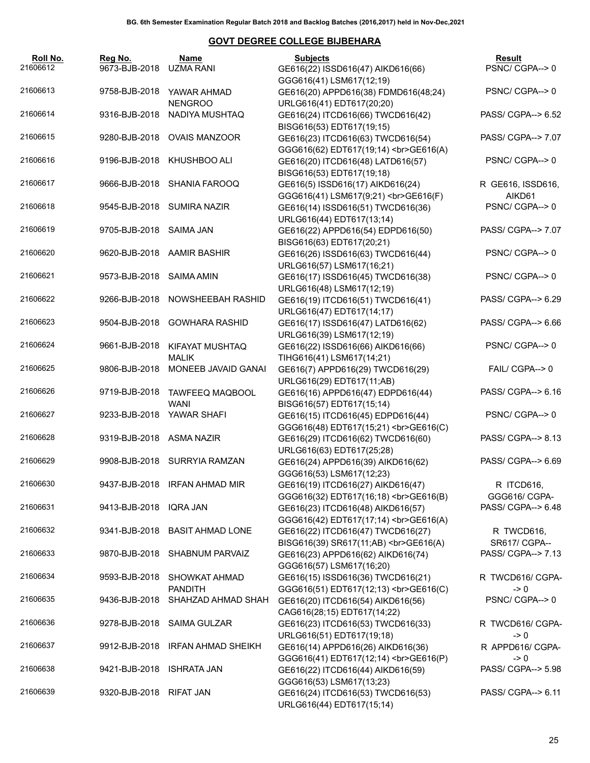| Roll No.<br>21606612 | Reg No.<br>9673-BJB-2018  | Name<br>UZMA RANI                     | <b>Subjects</b><br>GE616(22) ISSD616(47) AIKD616(66)                                        | Result<br>PSNC/CGPA-->0             |
|----------------------|---------------------------|---------------------------------------|---------------------------------------------------------------------------------------------|-------------------------------------|
| 21606613             | 9758-BJB-2018             | YAWAR AHMAD<br><b>NENGROO</b>         | GGG616(41) LSM617(12;19)<br>GE616(20) APPD616(38) FDMD616(48;24)                            | PSNC/CGPA-->0                       |
| 21606614             | 9316-BJB-2018             | NADIYA MUSHTAQ                        | URLG616(41) EDT617(20;20)<br>GE616(24) ITCD616(66) TWCD616(42)<br>BISG616(53) EDT617(19;15) | PASS/ CGPA--> 6.52                  |
| 21606615             |                           | 9280-BJB-2018 OVAIS MANZOOR           | GE616(23) ITCD616(63) TWCD616(54)<br>GGG616(62) EDT617(19;14)<br>><br>GE616(A)              | PASS/ CGPA--> 7.07                  |
| 21606616             |                           | 9196-BJB-2018 KHUSHBOO ALI            | GE616(20) ITCD616(48) LATD616(57)<br>BISG616(53) EDT617(19;18)                              | PSNC/CGPA-->0                       |
| 21606617             |                           | 9666-BJB-2018 SHANIA FAROOQ           | GE616(5) ISSD616(17) AIKD616(24)<br>GGG616(41) LSM617(9;21)<br>GE616(F)                     | R GE616, ISSD616,<br>AIKD61         |
| 21606618             |                           | 9545-BJB-2018 SUMIRA NAZIR            | GE616(14) ISSD616(51) TWCD616(36)<br>URLG616(44) EDT617(13;14)                              | PSNC/CGPA-->0                       |
| 21606619             | 9705-BJB-2018 SAIMA JAN   |                                       | GE616(22) APPD616(54) EDPD616(50)<br>BISG616(63) EDT617(20;21)                              | PASS/ CGPA--> 7.07                  |
| 21606620             |                           | 9620-BJB-2018 AAMIR BASHIR            | GE616(26) ISSD616(63) TWCD616(44)<br>URLG616(57) LSM617(16;21)                              | PSNC/CGPA-->0                       |
| 21606621             | 9573-BJB-2018 SAIMA AMIN  |                                       | GE616(17) ISSD616(45) TWCD616(38)<br>URLG616(48) LSM617(12;19)                              | PSNC/CGPA-->0                       |
| 21606622             |                           | 9266-BJB-2018 NOWSHEEBAH RASHID       | GE616(19) ITCD616(51) TWCD616(41)<br>URLG616(47) EDT617(14;17)                              | PASS/ CGPA--> 6.29                  |
| 21606623             |                           | 9504-BJB-2018 GOWHARA RASHID          | GE616(17) ISSD616(47) LATD616(62)<br>URLG616(39) LSM617(12;19)                              | PASS/ CGPA--> 6.66                  |
| 21606624             | 9661-BJB-2018             | KIFAYAT MUSHTAQ<br><b>MALIK</b>       | GE616(22) ISSD616(66) AIKD616(66)<br>TIHG616(41) LSM617(14;21)                              | PSNC/CGPA-->0                       |
| 21606625             | 9806-BJB-2018             | MONEEB JAVAID GANAI                   | GE616(7) APPD616(29) TWCD616(29)<br>URLG616(29) EDT617(11;AB)                               | FAIL/ CGPA--> 0                     |
| 21606626             | 9719-BJB-2018             | <b>TAWFEEQ MAQBOOL</b><br><b>WANI</b> | GE616(16) APPD616(47) EDPD616(44)<br>BISG616(57) EDT617(15;14)                              | PASS/ CGPA--> 6.16                  |
| 21606627             | 9233-BJB-2018 YAWAR SHAFI |                                       | GE616(15) ITCD616(45) EDPD616(44)<br>GGG616(48) EDT617(15;21)<br>GE616(C)                   | PSNC/CGPA-->0                       |
| 21606628             | 9319-BJB-2018 ASMA NAZIR  |                                       | GE616(29) ITCD616(62) TWCD616(60)<br>URLG616(63) EDT617(25;28)                              | PASS/ CGPA--> 8.13                  |
| 21606629             |                           | 9908-BJB-2018 SURRYIA RAMZAN          | GE616(24) APPD616(39) AIKD616(62)<br>GGG616(53) LSM617(12;23)                               | PASS/ CGPA--> 6.69                  |
| 21606630             |                           | 9437-BJB-2018 IRFAN AHMAD MIR         | GE616(19) ITCD616(27) AIKD616(47)<br>GGG616(32) EDT617(16;18)<br>><br>GGG616(B)             | R ITCD616,<br>GGG616/ CGPA-         |
| 21606631             | 9413-BJB-2018 IQRA JAN    |                                       | GE616(23) ITCD616(48) AIKD616(57)<br>GGG616(42) EDT617(17;14)<br>><br>GGG616(A)             | PASS/ CGPA--> 6.48                  |
| 21606632             | 9341-BJB-2018             | <b>BASIT AHMAD LONE</b>               | GE616(22) ITCD616(47) TWCD616(27)<br>BISG616(39) SR617(11;AB)<br>><br>GE616(A)              | R TWCD616,<br>SR617/ CGPA--         |
| 21606633             | 9870-BJB-2018             | <b>SHABNUM PARVAIZ</b>                | GE616(23) APPD616(62) AIKD616(74)<br>GGG616(57) LSM617(16;20)                               | PASS/ CGPA--> 7.13                  |
| 21606634             | 9593-BJB-2018             | SHOWKAT AHMAD<br><b>PANDITH</b>       | GE616(15) ISSD616(36) TWCD616(21)<br>GGG616(51) EDT617(12;13)<br>GE616(C)                   | R TWCD616/ CGPA-<br>$\rightarrow 0$ |
| 21606635             | 9436-BJB-2018             | SHAHZAD AHMAD SHAH                    | GE616(20) ITCD616(54) AIKD616(56)<br>CAG616(28;15) EDT617(14;22)                            | PSNC/CGPA-->0                       |
| 21606636             | 9278-BJB-2018             | <b>SAIMA GULZAR</b>                   | GE616(23) ITCD616(53) TWCD616(33)<br>URLG616(51) EDT617(19;18)                              | R TWCD616/ CGPA-<br>$\rightarrow 0$ |
| 21606637             | 9912-BJB-2018             | IRFAN AHMAD SHEIKH                    | GE616(14) APPD616(26) AIKD616(36)<br>GGG616(41) EDT617(12;14)<br>><br>GGG616(P)             | R APPD616/ CGPA-<br>$\rightarrow 0$ |
| 21606638             | 9421-BJB-2018             | <b>ISHRATA JAN</b>                    | GE616(22) ITCD616(44) AIKD616(59)<br>GGG616(53) LSM617(13;23)                               | PASS/ CGPA--> 5.98                  |
| 21606639             | 9320-BJB-2018             | <b>RIFAT JAN</b>                      | GE616(24) ITCD616(53) TWCD616(53)<br>URLG616(44) EDT617(15;14)                              | PASS/ CGPA--> 6.11                  |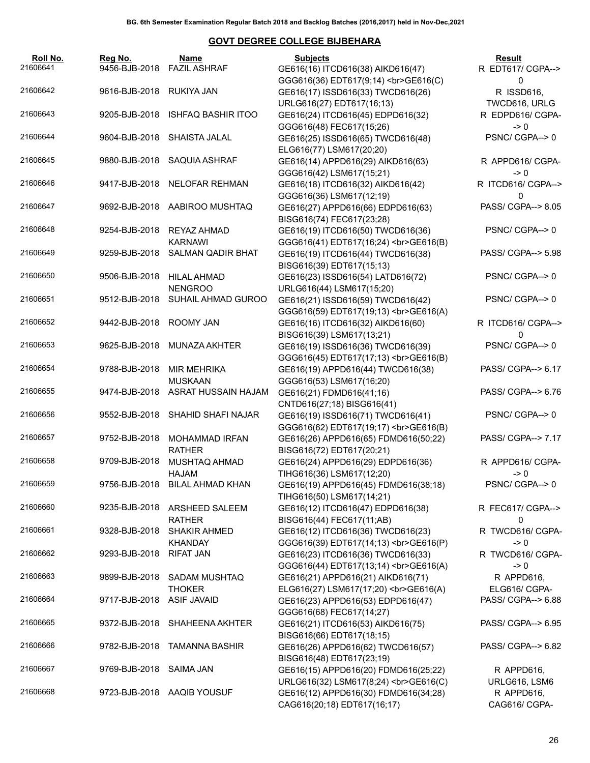| Roll No.<br>21606641 | Rea No.<br>9456-BJB-2018 | Name<br><b>FAZIL ASHRAF</b>                                   | <b>Subjects</b><br>GE616(16) ITCD616(38) AIKD616(47)                                                      | Result<br>R EDT617/ CGPA-->                |
|----------------------|--------------------------|---------------------------------------------------------------|-----------------------------------------------------------------------------------------------------------|--------------------------------------------|
| 21606642             | 9616-BJB-2018 RUKIYA JAN |                                                               | GGG616(36) EDT617(9;14)<br>GE616(C)<br>GE616(17) ISSD616(33) TWCD616(26)                                  | 0<br>R ISSD616,                            |
| 21606643             | 9205-BJB-2018            | <b>ISHFAQ BASHIR ITOO</b>                                     | URLG616(27) EDT617(16;13)<br>GE616(24) ITCD616(45) EDPD616(32)                                            | TWCD616, URLG<br>R EDPD616/ CGPA-          |
| 21606644             | 9604-BJB-2018            | SHAISTA JALAL                                                 | GGG616(48) FEC617(15;26)<br>GE616(25) ISSD616(65) TWCD616(48)                                             | $\geq 0$<br>PSNC/CGPA-->0                  |
| 21606645             | 9880-BJB-2018            | SAQUIA ASHRAF                                                 | ELG616(77) LSM617(20;20)<br>GE616(14) APPD616(29) AIKD616(63)                                             | R APPD616/ CGPA-                           |
| 21606646             |                          | 9417-BJB-2018 NELOFAR REHMAN                                  | GGG616(42) LSM617(15;21)<br>GE616(18) ITCD616(32) AIKD616(42)<br>GGG616(36) LSM617(12;19)                 | $\rightarrow 0$<br>R ITCD616/ CGPA--><br>O |
| 21606647             | 9692-BJB-2018            | AABIROO MUSHTAQ                                               | GE616(27) APPD616(66) EDPD616(63)<br>BISG616(74) FEC617(23;28)                                            | PASS/ CGPA--> 8.05                         |
| 21606648             | 9254-BJB-2018            | REYAZ AHMAD<br><b>KARNAWI</b>                                 | GE616(19) ITCD616(50) TWCD616(36)<br>GGG616(41) EDT617(16;24)<br>><br>GGG616(B)                           | PSNC/CGPA-->0                              |
| 21606649             | 9259-BJB-2018            | <b>SALMAN QADIR BHAT</b>                                      | GE616(19) ITCD616(44) TWCD616(38)<br>BISG616(39) EDT617(15;13)                                            | PASS/ CGPA--> 5.98                         |
| 21606650             | 9506-BJB-2018            | <b>HILAL AHMAD</b><br><b>NENGROO</b>                          | GE616(23) ISSD616(54) LATD616(72)<br>URLG616(44) LSM617(15;20)                                            | PSNC/CGPA-->0                              |
| 21606651             | 9512-BJB-2018            | SUHAIL AHMAD GUROO                                            | GE616(21) ISSD616(59) TWCD616(42)<br>GGG616(59) EDT617(19;13)<br>><br>GE616(A)                            | PSNC/CGPA-->0                              |
| 21606652             | 9442-BJB-2018            | ROOMY JAN                                                     | GE616(16) ITCD616(32) AIKD616(60)<br>BISG616(39) LSM617(13;21)                                            | R ITCD616/ CGPA--><br>O                    |
| 21606653             | 9625-BJB-2018            | MUNAZA AKHTER                                                 | GE616(19) ISSD616(36) TWCD616(39)<br>GGG616(45) EDT617(17;13)<br>GE616(B)                                 | PSNC/CGPA-->0                              |
| 21606654             | 9788-BJB-2018            | <b>MIR MEHRIKA</b><br><b>MUSKAAN</b>                          | GE616(19) APPD616(44) TWCD616(38)<br>GGG616(53) LSM617(16;20)                                             | PASS/ CGPA--> 6.17                         |
| 21606655             | 9474-BJB-2018            | ASRAT HUSSAIN HAJAM                                           | GE616(21) FDMD616(41;16)<br>CNTD616(27;18) BISG616(41)                                                    | PASS/ CGPA--> 6.76                         |
| 21606656             | 9552-BJB-2018            | <b>SHAHID SHAFI NAJAR</b>                                     | GE616(19) ISSD616(71) TWCD616(41)<br>GGG616(62) EDT617(19;17)<br>GE616(B)                                 | PSNC/CGPA-->0                              |
| 21606657             | 9752-BJB-2018            | <b>MOHAMMAD IRFAN</b><br><b>RATHER</b>                        | GE616(26) APPD616(65) FDMD616(50;22)<br>BISG616(72) EDT617(20;21)                                         | PASS/ CGPA--> 7.17                         |
| 21606658             | 9709-BJB-2018            | MUSHTAQ AHMAD<br>HAJAM                                        | GE616(24) APPD616(29) EDPD616(36)<br>TIHG616(36) LSM617(12;20)                                            | R APPD616/ CGPA-<br>$\geq 0$               |
| 21606659<br>21606660 | 9235-BJB-2018            | 9756-BJB-2018 BILAL AHMAD KHAN                                | GE616(19) APPD616(45) FDMD616(38;18)<br>TIHG616(50) LSM617(14;21)                                         | PSNC/ CGPA--> 0                            |
| 21606661             | 9328-BJB-2018            | <b>ARSHEED SALEEM</b><br><b>RATHER</b><br><b>SHAKIR AHMED</b> | GE616(12) ITCD616(47) EDPD616(38)<br>BISG616(44) FEC617(11;AB)<br>GE616(12) ITCD616(36) TWCD616(23)       | R FEC617/ CGPA--><br>0<br>R TWCD616/ CGPA- |
| 21606662             | 9293-BJB-2018            | KHANDAY<br><b>RIFAT JAN</b>                                   | GGG616(39) EDT617(14;13)<br>GE616(P)<br>GE616(23) ITCD616(36) TWCD616(33)                                 | $\geq 0$<br>R TWCD616/ CGPA-               |
| 21606663             | 9899-BJB-2018            | <b>SADAM MUSHTAQ</b>                                          | GGG616(44) EDT617(13;14)<br>><br>GGG616(A)<br>GE616(21) APPD616(21) AIKD616(71)                           | $\geq 0$<br>R APPD616,                     |
| 21606664             | 9717-BJB-2018            | <b>THOKER</b><br><b>ASIF JAVAID</b>                           | ELG616(27) LSM617(17;20)<br>GE616(A)<br>GE616(23) APPD616(53) EDPD616(47)                                 | ELG616/ CGPA-<br>PASS/ CGPA--> 6.88        |
| 21606665             | 9372-BJB-2018            | SHAHEENA AKHTER                                               | GGG616(68) FEC617(14;27)<br>GE616(21) ITCD616(53) AIKD616(75)                                             | PASS/ CGPA--> 6.95                         |
| 21606666             | 9782-BJB-2018            | <b>TAMANNA BASHIR</b>                                         | BISG616(66) EDT617(18;15)<br>GE616(26) APPD616(62) TWCD616(57)                                            | PASS/ CGPA--> 6.82                         |
| 21606667             | 9769-BJB-2018            | <b>SAIMA JAN</b>                                              | BISG616(48) EDT617(23;19)<br>GE616(15) APPD616(20) FDMD616(25;22)<br>URLG616(32) LSM617(8;24)<br>GE616(C) | R APPD616,<br>URLG616, LSM6                |
| 21606668             | 9723-BJB-2018            | AAQIB YOUSUF                                                  | GE616(12) APPD616(30) FDMD616(34;28)<br>CAG616(20;18) EDT617(16;17)                                       | R APPD616,<br>CAG616/ CGPA-                |
|                      |                          |                                                               |                                                                                                           | 26                                         |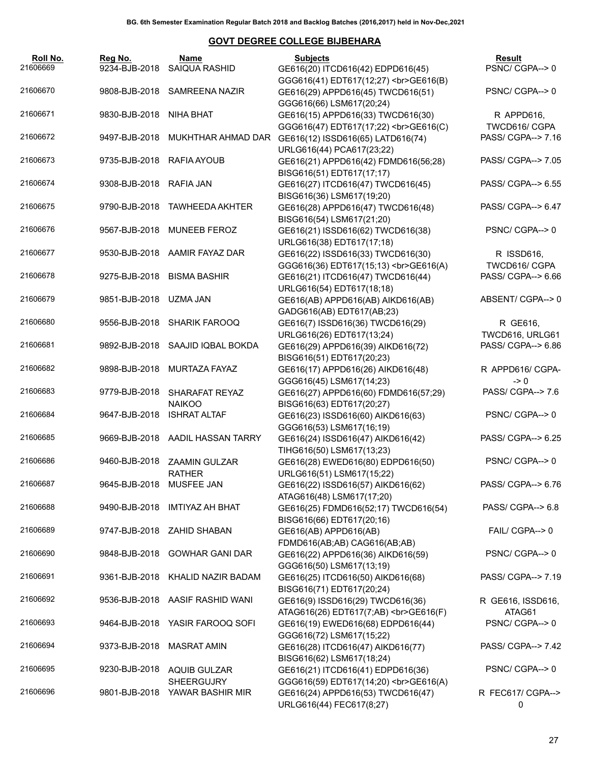| Roll No.<br>21606669 | Reg No.<br>9234-BJB-2018 | Name<br><b>SAIQUA RASHID</b>             | <b>Subjects</b><br>GE616(20) ITCD616(42) EDPD616(45)                            | Result<br>PSNC/CGPA-->0       |
|----------------------|--------------------------|------------------------------------------|---------------------------------------------------------------------------------|-------------------------------|
| 21606670             | 9808-BJB-2018            | SAMREENA NAZIR                           | GGG616(41) EDT617(12;27)<br>><br>GGG616(B)<br>GE616(29) APPD616(45) TWCD616(51) | PSNC/CGPA-->0                 |
| 21606671             | 9830-BJB-2018            | NIHA BHAT                                | GGG616(66) LSM617(20;24)<br>GE616(15) APPD616(33) TWCD616(30)                   | R APPD616,                    |
|                      |                          |                                          | GGG616(47) EDT617(17;22)<br>GE616(C)                                            | TWCD616/ CGPA                 |
| 21606672             | 9497-BJB-2018            | MUKHTHAR AHMAD DAR                       | GE616(12) ISSD616(65) LATD616(74)<br>URLG616(44) PCA617(23;22)                  | PASS/ CGPA--> 7.16            |
| 21606673             | 9735-BJB-2018            | RAFIA AYOUB                              | GE616(21) APPD616(42) FDMD616(56;28)<br>BISG616(51) EDT617(17;17)               | PASS/ CGPA--> 7.05            |
| 21606674             | 9308-BJB-2018            | RAFIA JAN                                | GE616(27) ITCD616(47) TWCD616(45)<br>BISG616(36) LSM617(19;20)                  | PASS/ CGPA--> 6.55            |
| 21606675             | 9790-BJB-2018            | <b>TAWHEEDA AKHTER</b>                   | GE616(28) APPD616(47) TWCD616(48)<br>BISG616(54) LSM617(21;20)                  | PASS/ CGPA--> 6.47            |
| 21606676             | 9567-BJB-2018            | <b>MUNEEB FEROZ</b>                      | GE616(21) ISSD616(62) TWCD616(38)<br>URLG616(38) EDT617(17;18)                  | PSNC/CGPA-->0                 |
| 21606677             |                          | 9530-BJB-2018 AAMIR FAYAZ DAR            | GE616(22) ISSD616(33) TWCD616(30)<br>GGG616(36) EDT617(15;13)<br>><br>GGG616(A) | R ISSD616,<br>TWCD616/ CGPA   |
| 21606678             | 9275-BJB-2018            | <b>BISMA BASHIR</b>                      | GE616(21) ITCD616(47) TWCD616(44)<br>URLG616(54) EDT617(18;18)                  | PASS/ CGPA--> 6.66            |
| 21606679             | 9851-BJB-2018            | UZMA JAN                                 | GE616(AB) APPD616(AB) AIKD616(AB)<br>GADG616(AB) EDT617(AB;23)                  | ABSENT/CGPA--> 0              |
| 21606680             |                          | 9556-BJB-2018 SHARIK FAROOQ              | GE616(7) ISSD616(36) TWCD616(29)<br>URLG616(26) EDT617(13;24)                   | R GE616,<br>TWCD616, URLG61   |
| 21606681             |                          | 9892-BJB-2018 SAAJID IQBAL BOKDA         | GE616(29) APPD616(39) AIKD616(72)                                               | PASS/ CGPA--> 6.86            |
| 21606682             | 9898-BJB-2018            | MURTAZA FAYAZ                            | BISG616(51) EDT617(20;23)<br>GE616(17) APPD616(26) AIKD616(48)                  | R APPD616/ CGPA-              |
| 21606683             | 9779-BJB-2018            | SHARAFAT REYAZ                           | GGG616(45) LSM617(14;23)<br>GE616(27) APPD616(60) FDMD616(57;29)                | $\geq 0$<br>PASS/ CGPA--> 7.6 |
| 21606684             | 9647-BJB-2018            | <b>NAIKOO</b><br><b>ISHRAT ALTAF</b>     | BISG616(63) EDT617(20;27)<br>GE616(23) ISSD616(60) AIKD616(63)                  | PSNC/CGPA-->0                 |
| 21606685             |                          | 9669-BJB-2018 AADIL HASSAN TARRY         | GGG616(53) LSM617(16;19)<br>GE616(24) ISSD616(47) AIKD616(42)                   | PASS/ CGPA--> 6.25            |
| 21606686             | 9460-BJB-2018            | <b>ZAAMIN GULZAR</b>                     | TIHG616(50) LSM617(13;23)<br>GE616(28) EWED616(80) EDPD616(50)                  | PSNC/CGPA-->0                 |
| 21606687             | 9645-BJB-2018 MUSFEE JAN | <b>RATHER</b>                            | URLG616(51) LSM617(15;22)<br>GE616(22) ISSD616(57) AIKD616(62)                  | PASS/ CGPA--> 6.76            |
| 21606688             | 9490-BJB-2018            | <b>IMTIYAZ AH BHAT</b>                   | ATAG616(48) LSM617(17;20)<br>GE616(25) FDMD616(52;17) TWCD616(54)               | PASS/ CGPA--> 6.8             |
| 21606689             | 9747-BJB-2018            | <b>ZAHID SHABAN</b>                      | BISG616(66) EDT617(20;16)<br>GE616(AB) APPD616(AB)                              | FAIL/ CGPA--> 0               |
| 21606690             | 9848-BJB-2018            | <b>GOWHAR GANI DAR</b>                   | FDMD616(AB;AB) CAG616(AB;AB)<br>GE616(22) APPD616(36) AIKD616(59)               | PSNC/CGPA-->0                 |
| 21606691             | 9361-BJB-2018            | KHALID NAZIR BADAM                       | GGG616(50) LSM617(13;19)<br>GE616(25) ITCD616(50) AIKD616(68)                   | PASS/ CGPA--> 7.19            |
| 21606692             |                          | 9536-BJB-2018 AASIF RASHID WANI          | BISG616(71) EDT617(20;24)<br>GE616(9) ISSD616(29) TWCD616(36)                   | R GE616, ISSD616,             |
| 21606693             | 9464-BJB-2018            | YASIR FAROOQ SOFI                        | ATAG616(26) EDT617(7;AB)<br>>br>GE616(F)                                        | ATAG61<br>PSNC/CGPA-->0       |
|                      |                          |                                          | GE616(19) EWED616(68) EDPD616(44)<br>GGG616(72) LSM617(15;22)                   |                               |
| 21606694             | 9373-BJB-2018            | <b>MASRAT AMIN</b>                       | GE616(28) ITCD616(47) AIKD616(77)<br>BISG616(62) LSM617(18;24)                  | PASS/ CGPA--> 7.42            |
| 21606695             | 9230-BJB-2018            | <b>AQUIB GULZAR</b><br><b>SHEERGUJRY</b> | GE616(21) ITCD616(41) EDPD616(36)<br>GGG616(59) EDT617(14;20)<br>>br>GE616(A)   | PSNC/CGPA-->0                 |
| 21606696             | 9801-BJB-2018            | YAWAR BASHIR MIR                         | GE616(24) APPD616(53) TWCD616(47)<br>URLG616(44) FEC617(8;27)                   | R FEC617/ CGPA--><br>0        |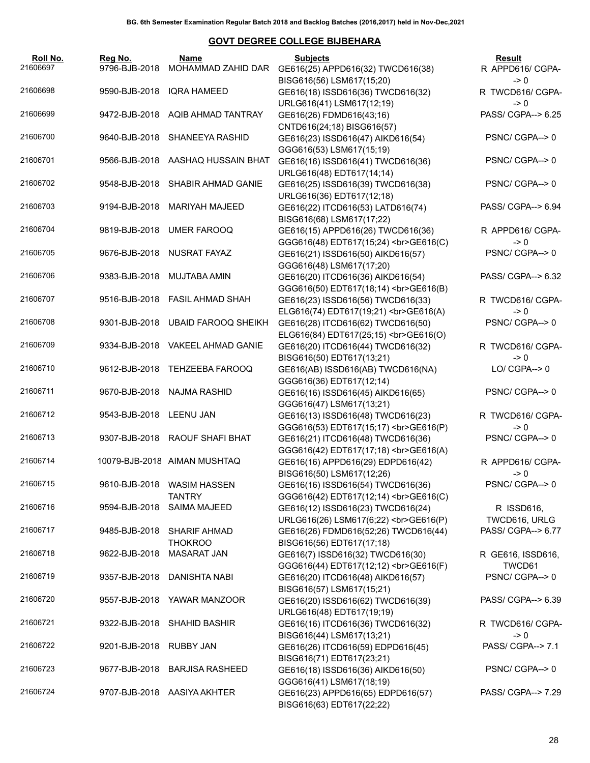| Roll No.<br>21606697 | Reg No.<br>9796-BJB-2018 | Name<br>MOHAMMAD ZAHID DAR                  | <b>Subjects</b><br>GE616(25) APPD616(32) TWCD616(38)                                        | Result<br>R APPD616/ CGPA-          |
|----------------------|--------------------------|---------------------------------------------|---------------------------------------------------------------------------------------------|-------------------------------------|
| 21606698             | 9590-BJB-2018            | <b>IQRA HAMEED</b>                          | BISG616(56) LSM617(15;20)<br>GE616(18) ISSD616(36) TWCD616(32)                              | -> 0<br>R TWCD616/ CGPA-            |
|                      |                          |                                             | URLG616(41) LSM617(12;19)                                                                   | -> 0                                |
| 21606699             | 9472-BJB-2018            | AQIB AHMAD TANTRAY                          | GE616(26) FDMD616(43;16)<br>CNTD616(24;18) BISG616(57)                                      | PASS/ CGPA--> 6.25                  |
| 21606700             | 9640-BJB-2018            | SHANEEYA RASHID                             | GE616(23) ISSD616(47) AIKD616(54)<br>GGG616(53) LSM617(15;19)                               | PSNC/CGPA-->0                       |
| 21606701             | 9566-BJB-2018            | AASHAQ HUSSAIN BHAT                         | GE616(16) ISSD616(41) TWCD616(36)<br>URLG616(48) EDT617(14;14)                              | PSNC/CGPA-->0                       |
| 21606702             | 9548-BJB-2018            | SHABIR AHMAD GANIE                          | GE616(25) ISSD616(39) TWCD616(38)                                                           | PSNC/CGPA-->0                       |
| 21606703             | 9194-BJB-2018            | <b>MARIYAH MAJEED</b>                       | URLG616(36) EDT617(12;18)<br>GE616(22) ITCD616(53) LATD616(74)<br>BISG616(68) LSM617(17;22) | PASS/ CGPA--> 6.94                  |
| 21606704             | 9819-BJB-2018            | <b>UMER FAROOQ</b>                          | GE616(15) APPD616(26) TWCD616(36)<br>GGG616(48) EDT617(15;24)<br>><br>GE616(C)              | R APPD616/ CGPA-<br>$\rightarrow 0$ |
| 21606705             | 9676-BJB-2018            | <b>NUSRAT FAYAZ</b>                         | GE616(21) ISSD616(50) AIKD616(57)<br>GGG616(48) LSM617(17;20)                               | PSNC/CGPA-->0                       |
| 21606706             | 9383-BJB-2018            | <b>MUJTABA AMIN</b>                         | GE616(20) ITCD616(36) AIKD616(54)<br>GGG616(50) EDT617(18;14)<br>><br>GGG616(B)             | PASS/ CGPA--> 6.32                  |
| 21606707             | 9516-BJB-2018            | <b>FASIL AHMAD SHAH</b>                     | GE616(23) ISSD616(56) TWCD616(33)<br>ELG616(74) EDT617(19;21)<br>GE616(A)                   | R TWCD616/ CGPA-<br>-> 0            |
| 21606708             | 9301-BJB-2018            | <b>UBAID FAROOQ SHEIKH</b>                  | GE616(28) ITCD616(62) TWCD616(50)<br>ELG616(84) EDT617(25;15)<br>GE616(O)                   | PSNC/CGPA-->0                       |
| 21606709             | 9334-BJB-2018            | <b>VAKEEL AHMAD GANIE</b>                   | GE616(20) ITCD616(44) TWCD616(32)<br>BISG616(50) EDT617(13;21)                              | R TWCD616/ CGPA-<br>$\geq 0$        |
| 21606710             | 9612-BJB-2018            | <b>TEHZEEBA FAROOQ</b>                      | GE616(AB) ISSD616(AB) TWCD616(NA)<br>GGG616(36) EDT617(12;14)                               | $LO/$ CGPA--> $0$                   |
| 21606711             | 9670-BJB-2018            | NAJMA RASHID                                | GE616(16) ISSD616(45) AIKD616(65)<br>GGG616(47) LSM617(13;21)                               | PSNC/CGPA-->0                       |
| 21606712             | 9543-BJB-2018 LEENU JAN  |                                             | GE616(13) ISSD616(48) TWCD616(23)<br>GGG616(53) EDT617(15;17)<br>GE616(P)                   | R TWCD616/ CGPA-<br>$\geq 0$        |
| 21606713             | 9307-BJB-2018            | RAOUF SHAFI BHAT                            | GE616(21) ITCD616(48) TWCD616(36)<br>GGG616(42) EDT617(17;18)<br>><br>GGG616(A)             | PSNC/CGPA-->0                       |
| 21606714             |                          | 10079-BJB-2018 AIMAN MUSHTAQ                | GE616(16) APPD616(29) EDPD616(42)<br>BISG616(50) LSM617(12;26)                              | R APPD616/ CGPA-<br>$\rightarrow 0$ |
| 21606715             |                          | 9610-BJB-2018 WASIM HASSEN<br><b>TANTRY</b> | GE616(16) ISSD616(54) TWCD616(36)<br>GGG616(42) EDT617(12;14)<br>><br>GGG616(C)             | PSNC/CGPA-->0                       |
| 21606716             | 9594-BJB-2018            | <b>SAIMA MAJEED</b>                         | GE616(12) ISSD616(23) TWCD616(24)<br>URLG616(26) LSM617(6;22)<br>GE616(P)                   | R ISSD616,<br>TWCD616, URLG         |
| 21606717             | 9485-BJB-2018            | <b>SHARIF AHMAD</b><br><b>THOKROO</b>       | GE616(26) FDMD616(52;26) TWCD616(44)<br>BISG616(56) EDT617(17;18)                           | PASS/ CGPA--> 6.77                  |
| 21606718             | 9622-BJB-2018            | <b>MASARAT JAN</b>                          | GE616(7) ISSD616(32) TWCD616(30)<br>GGG616(44) EDT617(12;12)<br>GE616(F)                    | R GE616, ISSD616,<br>TWCD61         |
| 21606719             | 9357-BJB-2018            | DANISHTA NABI                               | GE616(20) ITCD616(48) AIKD616(57)<br>BISG616(57) LSM617(15;21)                              | PSNC/CGPA-->0                       |
| 21606720             | 9557-BJB-2018            | YAWAR MANZOOR                               | GE616(20) ISSD616(62) TWCD616(39)<br>URLG616(48) EDT617(19;19)                              | PASS/ CGPA--> 6.39                  |
| 21606721             | 9322-BJB-2018            | <b>SHAHID BASHIR</b>                        | GE616(16) ITCD616(36) TWCD616(32)<br>BISG616(44) LSM617(13;21)                              | R TWCD616/ CGPA-<br>$\geq 0$        |
| 21606722             | 9201-BJB-2018            | RUBBY JAN                                   | GE616(26) ITCD616(59) EDPD616(45)<br>BISG616(71) EDT617(23;21)                              | PASS/ CGPA--> 7.1                   |
| 21606723             | 9677-BJB-2018            | <b>BARJISA RASHEED</b>                      | GE616(18) ISSD616(36) AIKD616(50)<br>GGG616(41) LSM617(18;19)                               | PSNC/CGPA-->0                       |
| 21606724             | 9707-BJB-2018            | AASIYA AKHTER                               | GE616(23) APPD616(65) EDPD616(57)<br>BISG616(63) EDT617(22;22)                              | PASS/ CGPA--> 7.29                  |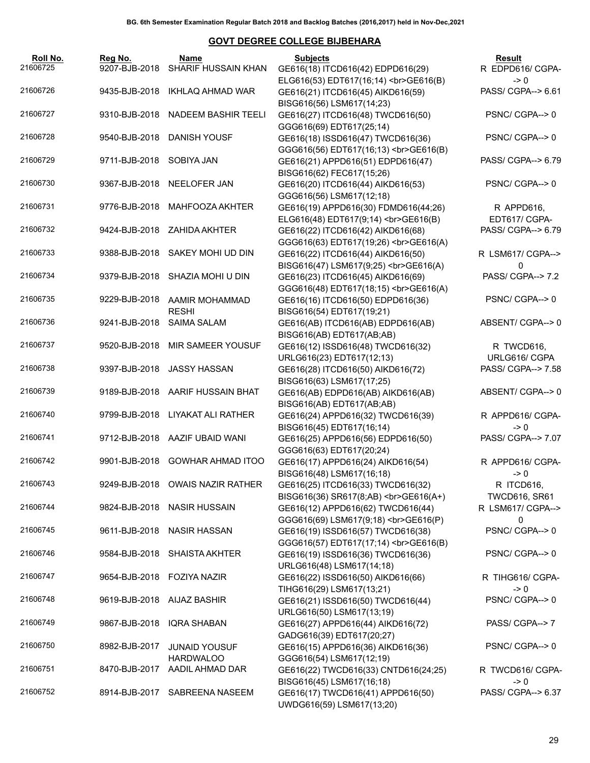| Roll No.<br>21606725 | Reg No.<br>9207-BJB-2018 | Name<br>SHARIF HUSSAIN KHAN              | <b>Subjects</b><br>GE616(18) ITCD616(42) EDPD616(29)                           | Result<br>R EDPD616/ CGPA-            |
|----------------------|--------------------------|------------------------------------------|--------------------------------------------------------------------------------|---------------------------------------|
| 21606726             | 9435-BJB-2018            | IKHLAQ AHMAD WAR                         | ELG616(53) EDT617(16;14)<br>><br>GE616(B)<br>GE616(21) ITCD616(45) AIKD616(59) | $\rightarrow 0$<br>PASS/ CGPA--> 6.61 |
|                      |                          |                                          | BISG616(56) LSM617(14;23)                                                      |                                       |
| 21606727             | 9310-BJB-2018            | NADEEM BASHIR TEELI                      | GE616(27) ITCD616(48) TWCD616(50)<br>GGG616(69) EDT617(25;14)                  | PSNC/CGPA-->0                         |
| 21606728             | 9540-BJB-2018            | DANISH YOUSF                             | GE616(18) ISSD616(47) TWCD616(36)<br>GGG616(56) EDT617(16;13)<br>><br>GE616(B) | PSNC/CGPA-->0                         |
| 21606729             | 9711-BJB-2018            | SOBIYA JAN                               | GE616(21) APPD616(51) EDPD616(47)<br>BISG616(62) FEC617(15;26)                 | PASS/ CGPA--> 6.79                    |
| 21606730             |                          | 9367-BJB-2018 NEELOFER JAN               | GE616(20) ITCD616(44) AIKD616(53)<br>GGG616(56) LSM617(12;18)                  | PSNC/CGPA-->0                         |
| 21606731             | 9776-BJB-2018            | MAHFOOZA AKHTER                          | GE616(19) APPD616(30) FDMD616(44;26)<br>ELG616(48) EDT617(9;14)<br>GE616(B)    | R APPD616,<br>EDT617/ CGPA-           |
| 21606732             |                          | 9424-BJB-2018 ZAHIDA AKHTER              | GE616(22) ITCD616(42) AIKD616(68)<br>GGG616(63) EDT617(19;26)<br>GE616(A)      | PASS/ CGPA--> 6.79                    |
| 21606733             | 9388-BJB-2018            | SAKEY MOHI UD DIN                        | GE616(22) ITCD616(44) AIKD616(50)<br>BISG616(47) LSM617(9;25)<br>GE616(A)      | R LSM617/ CGPA--><br>0                |
| 21606734             | 9379-BJB-2018            | SHAZIA MOHI U DIN                        | GE616(23) ITCD616(45) AIKD616(69)<br>GGG616(48) EDT617(18;15)<br>><br>GE616(A) | PASS/ CGPA--> 7.2                     |
| 21606735             | 9229-BJB-2018            | AAMIR MOHAMMAD<br><b>RESHI</b>           | GE616(16) ITCD616(50) EDPD616(36)<br>BISG616(54) EDT617(19;21)                 | PSNC/CGPA-->0                         |
| 21606736             | 9241-BJB-2018            | <b>SAIMA SALAM</b>                       | GE616(AB) ITCD616(AB) EDPD616(AB)<br>BISG616(AB) EDT617(AB;AB)                 | ABSENT/ CGPA--> 0                     |
| 21606737             | 9520-BJB-2018            | MIR SAMEER YOUSUF                        | GE616(12) ISSD616(48) TWCD616(32)<br>URLG616(23) EDT617(12;13)                 | R TWCD616,<br>URLG616/ CGPA           |
| 21606738             | 9397-BJB-2018            | JASSY HASSAN                             | GE616(28) ITCD616(50) AIKD616(72)<br>BISG616(63) LSM617(17;25)                 | PASS/ CGPA--> 7.58                    |
| 21606739             |                          | 9189-BJB-2018 AARIF HUSSAIN BHAT         | GE616(AB) EDPD616(AB) AIKD616(AB)<br>BISG616(AB) EDT617(AB;AB)                 | ABSENT/ CGPA--> 0                     |
| 21606740             |                          | 9799-BJB-2018 LIYAKAT ALI RATHER         | GE616(24) APPD616(32) TWCD616(39)<br>BISG616(45) EDT617(16;14)                 | R APPD616/ CGPA-<br>$\rightarrow 0$   |
| 21606741             |                          | 9712-BJB-2018 AAZIF UBAID WANI           | GE616(25) APPD616(56) EDPD616(50)<br>GGG616(63) EDT617(20;24)                  | PASS/ CGPA--> 7.07                    |
| 21606742             |                          | 9901-BJB-2018 GOWHAR AHMAD ITOO          | GE616(17) APPD616(24) AIKD616(54)<br>BISG616(48) LSM617(16;18)                 | R APPD616/ CGPA-<br>$\rightarrow 0$   |
| 21606743             |                          | 9249-BJB-2018 OWAIS NAZIR RATHER         | GE616(25) ITCD616(33) TWCD616(32)<br>BISG616(36) SR617(8;AB)<br>GE616(A+)      | R ITCD616,<br><b>TWCD616, SR61</b>    |
| 21606744             |                          | 9824-BJB-2018 NASIR HUSSAIN              | GE616(12) APPD616(62) TWCD616(44)<br>GGG616(69) LSM617(9;18)<br>GE616(P)       | R LSM617/ CGPA--><br>0                |
| 21606745             | 9611-BJB-2018            | <b>NASIR HASSAN</b>                      | GE616(19) ISSD616(57) TWCD616(38)<br>GGG616(57) EDT617(17;14)<br>GE616(B)      | PSNC/CGPA--> 0                        |
| 21606746             | 9584-BJB-2018            | <b>SHAISTA AKHTER</b>                    | GE616(19) ISSD616(36) TWCD616(36)<br>URLG616(48) LSM617(14;18)                 | PSNC/CGPA-->0                         |
| 21606747             | 9654-BJB-2018            | <b>FOZIYA NAZIR</b>                      | GE616(22) ISSD616(50) AIKD616(66)<br>TIHG616(29) LSM617(13;21)                 | R TIHG616/ CGPA-<br>$\geq 0$          |
| 21606748             | 9619-BJB-2018            | AIJAZ BASHIR                             | GE616(21) ISSD616(50) TWCD616(44)<br>URLG616(50) LSM617(13;19)                 | PSNC/CGPA--> 0                        |
| 21606749             | 9867-BJB-2018            | IQRA SHABAN                              | GE616(27) APPD616(44) AIKD616(72)<br>GADG616(39) EDT617(20;27)                 | PASS/ CGPA--> 7                       |
| 21606750             | 8982-BJB-2017            | <b>JUNAID YOUSUF</b><br><b>HARDWALOO</b> | GE616(15) APPD616(36) AIKD616(36)<br>GGG616(54) LSM617(12;19)                  | PSNC/CGPA-->0                         |
| 21606751             | 8470-BJB-2017            | AADIL AHMAD DAR                          | GE616(22) TWCD616(33) CNTD616(24;25)<br>BISG616(45) LSM617(16;18)              | R TWCD616/ CGPA-<br>$\rightarrow 0$   |
| 21606752             | 8914-BJB-2017            | SABREENA NASEEM                          | GE616(17) TWCD616(41) APPD616(50)<br>UWDG616(59) LSM617(13;20)                 | PASS/ CGPA--> 6.37                    |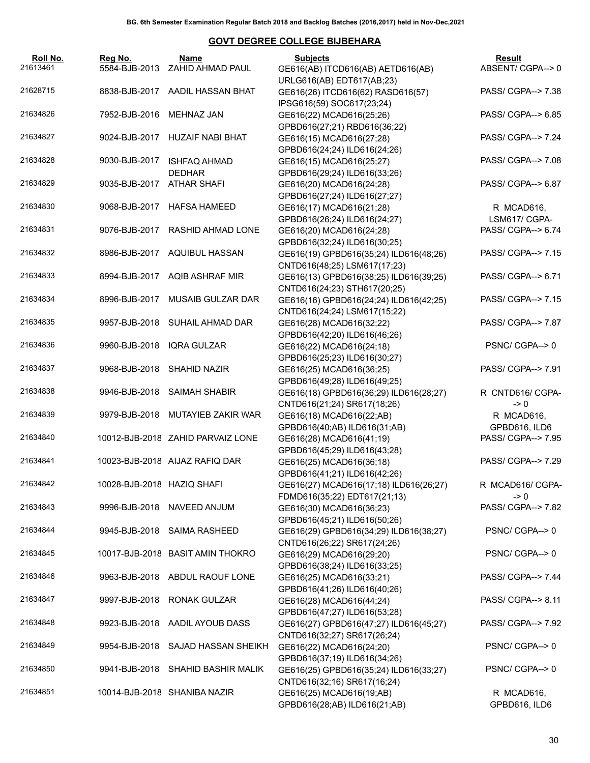| Roll No.<br>21613461 | Reg No.<br>5584-BJB-2013   | Name<br>ZAHID AHMAD PAUL             | <b>Subjects</b><br>GE616(AB) ITCD616(AB) AETD616(AB)                                                   | Result<br>ABSENT/CGPA-->0             |
|----------------------|----------------------------|--------------------------------------|--------------------------------------------------------------------------------------------------------|---------------------------------------|
| 21628715             |                            | 8838-BJB-2017 AADIL HASSAN BHAT      | URLG616(AB) EDT617(AB;23)<br>GE616(26) ITCD616(62) RASD616(57)                                         | PASS/ CGPA--> 7.38                    |
|                      |                            |                                      | IPSG616(59) SOC617(23;24)                                                                              |                                       |
| 21634826             | 7952-BJB-2016              | MEHNAZ JAN                           | GE616(22) MCAD616(25;26)<br>GPBD616(27;21) RBD616(36;22)                                               | PASS/ CGPA--> 6.85                    |
| 21634827             |                            | 9024-BJB-2017 HUZAIF NABI BHAT       | GE616(15) MCAD616(27;28)<br>GPBD616(24;24) ILD616(24;26)                                               | PASS/ CGPA--> 7.24                    |
| 21634828             | 9030-BJB-2017              | <b>ISHFAQ AHMAD</b><br><b>DEDHAR</b> | GE616(15) MCAD616(25;27)<br>GPBD616(29;24) ILD616(33;26)                                               | PASS/ CGPA--> 7.08                    |
| 21634829             | 9035-BJB-2017              | ATHAR SHAFI                          | GE616(20) MCAD616(24;28)<br>GPBD616(27;24) ILD616(27;27)                                               | PASS/ CGPA--> 6.87                    |
| 21634830             |                            | 9068-BJB-2017 HAFSA HAMEED           | GE616(17) MCAD616(21;28)                                                                               | R MCAD616,                            |
| 21634831             |                            | 9076-BJB-2017 RASHID AHMAD LONE      | GPBD616(26;24) ILD616(24;27)<br>GE616(20) MCAD616(24;28)                                               | LSM617/ CGPA-<br>PASS/ CGPA--> 6.74   |
| 21634832             |                            | 8986-BJB-2017 AQUIBUL HASSAN         | GPBD616(32;24) ILD616(30;25)<br>GE616(19) GPBD616(35;24) ILD616(48;26)                                 | PASS/ CGPA--> 7.15                    |
| 21634833             |                            | 8994-BJB-2017 AQIB ASHRAF MIR        | CNTD616(48;25) LSM617(17;23)<br>GE616(13) GPBD616(38;25) ILD616(39;25)<br>CNTD616(24;23) STH617(20;25) | PASS/ CGPA--> 6.71                    |
| 21634834             | 8996-BJB-2017              | <b>MUSAIB GULZAR DAR</b>             | GE616(16) GPBD616(24;24) ILD616(42;25)<br>CNTD616(24;24) LSM617(15;22)                                 | PASS/ CGPA--> 7.15                    |
| 21634835             |                            | 9957-BJB-2018 SUHAIL AHMAD DAR       | GE616(28) MCAD616(32;22)<br>GPBD616(42;20) ILD616(46;26)                                               | PASS/ CGPA--> 7.87                    |
| 21634836             |                            | 9960-BJB-2018 IQRA GULZAR            | GE616(22) MCAD616(24;18)<br>GPBD616(25;23) ILD616(30;27)                                               | PSNC/CGPA-->0                         |
| 21634837             | 9968-BJB-2018              | SHAHID NAZIR                         | GE616(25) MCAD616(36;25)<br>GPBD616(49;28) ILD616(49;25)                                               | PASS/ CGPA--> 7.91                    |
| 21634838             |                            | 9946-BJB-2018 SAIMAH SHABIR          | GE616(18) GPBD616(36;29) ILD616(28;27)<br>CNTD616(21;24) SR617(18;26)                                  | R CNTD616/ CGPA-<br>$\rightarrow 0$   |
| 21634839             | 9979-BJB-2018              | MUTAYIEB ZAKIR WAR                   | GE616(18) MCAD616(22;AB)                                                                               | R MCAD616,                            |
| 21634840             |                            | 10012-BJB-2018 ZAHID PARVAIZ LONE    | GPBD616(40;AB) ILD616(31;AB)<br>GE616(28) MCAD616(41;19)                                               | GPBD616, ILD6<br>PASS/ CGPA--> 7.95   |
| 21634841             |                            | 10023-BJB-2018 AIJAZ RAFIQ DAR       | GPBD616(45;29) ILD616(43;28)<br>GE616(25) MCAD616(36;18)                                               | PASS/ CGPA--> 7.29                    |
| 21634842             | 10028-BJB-2018 HAZIQ SHAFI |                                      | GPBD616(41;21) ILD616(42;26)<br>GE616(27) MCAD616(17;18) ILD616(26;27)                                 | R MCAD616/ CGPA-                      |
| 21634843             | 9996-BJB-2018              | NAVEED ANJUM                         | FDMD616(35;22) EDT617(21;13)<br>GE616(30) MCAD616(36;23)<br>GPBD616(45;21) ILD616(50;26)               | $\rightarrow 0$<br>PASS/ CGPA--> 7.82 |
| 21634844             | 9945-BJB-2018              | SAIMA RASHEED                        | GE616(29) GPBD616(34;29) ILD616(38;27)<br>CNTD616(26;22) SR617(24;26)                                  | PSNC/CGPA-->0                         |
| 21634845             |                            | 10017-BJB-2018 BASIT AMIN THOKRO     | GE616(29) MCAD616(29;20)<br>GPBD616(38;24) ILD616(33;25)                                               | PSNC/CGPA-->0                         |
| 21634846             |                            | 9963-BJB-2018 ABDUL RAOUF LONE       | GE616(25) MCAD616(33;21)<br>GPBD616(41;26) ILD616(40;26)                                               | PASS/ CGPA--> 7.44                    |
| 21634847             | 9997-BJB-2018              | <b>RONAK GULZAR</b>                  | GE616(28) MCAD616(44;24)<br>GPBD616(47;27) ILD616(53;28)                                               | PASS/ CGPA--> 8.11                    |
| 21634848             |                            | 9923-BJB-2018 AADIL AYOUB DASS       | GE616(27) GPBD616(47;27) ILD616(45;27)<br>CNTD616(32;27) SR617(26;24)                                  | PASS/ CGPA--> 7.92                    |
| 21634849             | 9954-BJB-2018              | SAJAD HASSAN SHEIKH                  | GE616(22) MCAD616(24;20)<br>GPBD616(37;19) ILD616(34;26)                                               | PSNC/CGPA-->0                         |
| 21634850             | 9941-BJB-2018              | SHAHID BASHIR MALIK                  | GE616(25) GPBD616(35;24) ILD616(33;27)<br>CNTD616(32;16) SR617(16;24)                                  | PSNC/CGPA-->0                         |
| 21634851             |                            | 10014-BJB-2018 SHANIBA NAZIR         | GE616(25) MCAD616(19;AB)<br>GPBD616(28;AB) ILD616(21;AB)                                               | R MCAD616,<br>GPBD616, ILD6           |
|                      |                            |                                      |                                                                                                        |                                       |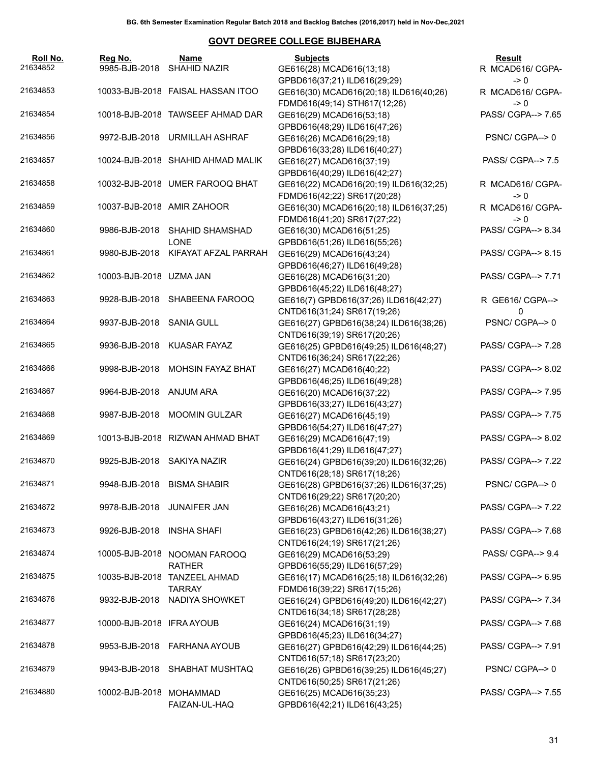| GPBD616(37;21) ILD616(29;29)<br>$\rightarrow 0$<br>10033-BJB-2018 FAISAL HASSAN ITOO<br>GE616(30) MCAD616(20;18) ILD616(40;26)<br>R MCAD616/ CGPA-<br>FDMD616(49;14) STH617(12;26)<br>$\rightarrow 0$<br>PASS/ CGPA--> 7.65<br>10018-BJB-2018 TAWSEEF AHMAD DAR<br>GE616(29) MCAD616(53;18)<br>GPBD616(48;29) ILD616(47;26)<br>9972-BJB-2018 URMILLAH ASHRAF<br>PSNC/CGPA-->0<br>GE616(26) MCAD616(29;18)<br>GPBD616(33;28) ILD616(40;27)<br>PASS/ CGPA--> 7.5<br>10024-BJB-2018 SHAHID AHMAD MALIK<br>GE616(27) MCAD616(37;19)<br>GPBD616(40;29) ILD616(42;27)<br>10032-BJB-2018 UMER FAROOQ BHAT<br>GE616(22) MCAD616(20;19) ILD616(32;25)<br>R MCAD616/ CGPA-<br>FDMD616(42;22) SR617(20;28)<br>$\rightarrow 0$<br>10037-BJB-2018 AMIR ZAHOOR<br>GE616(30) MCAD616(20;18) ILD616(37;25)<br>R MCAD616/ CGPA-<br>FDMD616(41;20) SR617(27;22)<br>$\rightarrow 0$<br>PASS/ CGPA--> 8.34<br>9986-BJB-2018<br>SHAHID SHAMSHAD<br>GE616(30) MCAD616(51;25)<br><b>LONE</b><br>GPBD616(51;26) ILD616(55;26)<br>9980-BJB-2018<br>KIFAYAT AFZAL PARRAH<br>PASS/ CGPA--> 8.15<br>GE616(29) MCAD616(43;24)<br>GPBD616(46;27) ILD616(49;28)<br>PASS/ CGPA--> 7.71<br>10003-BJB-2018 UZMA JAN<br>GE616(28) MCAD616(31;20)<br>GPBD616(45;22) ILD616(48;27)<br>9928-BJB-2018 SHABEENA FAROOQ<br>GE616(7) GPBD616(37;26) ILD616(42;27)<br>R GE616/ CGPA--><br>CNTD616(31;24) SR617(19;26)<br>0<br>PSNC/CGPA-->0<br>9937-BJB-2018 SANIA GULL<br>GE616(27) GPBD616(38;24) ILD616(38;26)<br>CNTD616(39;19) SR617(20;26)<br>9936-BJB-2018 KUASAR FAYAZ<br>PASS/ CGPA--> 7.28<br>GE616(25) GPBD616(49;25) ILD616(48;27)<br>CNTD616(36;24) SR617(22;26)<br>MOHSIN FAYAZ BHAT<br>PASS/ CGPA--> 8.02<br>9998-BJB-2018<br>GE616(27) MCAD616(40;22)<br>GPBD616(46;25) ILD616(49;28)<br>PASS/ CGPA--> 7.95<br>9964-BJB-2018 ANJUM ARA<br>GE616(20) MCAD616(37;22)<br>GPBD616(33;27) ILD616(43;27)<br>9987-BJB-2018 MOOMIN GULZAR<br>PASS/ CGPA--> 7.75<br>GE616(27) MCAD616(45;19)<br>GPBD616(54;27) ILD616(47;27)<br>PASS/ CGPA--> 8.02<br>10013-BJB-2018 RIZWAN AHMAD BHAT<br>GE616(29) MCAD616(47;19)<br>GPBD616(41;29) ILD616(47;27)<br>9925-BJB-2018 SAKIYA NAZIR<br>PASS/ CGPA--> 7.22<br>GE616(24) GPBD616(39;20) ILD616(32;26)<br>CNTD616(28;18) SR617(18;26)<br>PSNC/CGPA-->0<br>9948-BJB-2018 BISMA SHABIR<br>GE616(28) GPBD616(37;26) ILD616(37;25)<br>CNTD616(29;22) SR617(20;20)<br>PASS/ CGPA--> 7.22<br>9978-BJB-2018<br><b>JUNAIFER JAN</b><br>GE616(26) MCAD616(43;21)<br>GPBD616(43;27) ILD616(31;26)<br>PASS/ CGPA--> 7.68<br>9926-BJB-2018<br>INSHA SHAFI<br>GE616(23) GPBD616(42;26) ILD616(38;27)<br>CNTD616(24;19) SR617(21;26)<br>PASS/ CGPA--> 9.4<br>10005-BJB-2018<br>NOOMAN FAROOQ<br>GE616(29) MCAD616(53;29)<br>GPBD616(55;29) ILD616(57;29)<br><b>RATHER</b><br>PASS/ CGPA--> 6.95<br>10035-BJB-2018<br><b>TANZEEL AHMAD</b><br>GE616(17) MCAD616(25;18) ILD616(32;26)<br><b>TARRAY</b><br>FDMD616(39;22) SR617(15;26)<br>PASS/ CGPA--> 7.34<br>9932-BJB-2018<br>NADIYA SHOWKET<br>GE616(24) GPBD616(49;20) ILD616(42;27)<br>CNTD616(34;18) SR617(28;28)<br>PASS/ CGPA--> 7.68<br>10000-BJB-2018 IFRA AYOUB<br>GE616(24) MCAD616(31;19)<br>GPBD616(45;23) ILD616(34;27)<br>PASS/ CGPA--> 7.91<br>9953-BJB-2018<br>FARHANA AYOUB<br>GE616(27) GPBD616(42;29) ILD616(44;25)<br>CNTD616(57;18) SR617(23;20)<br>PSNC/CGPA-->0<br>9943-BJB-2018<br>SHABHAT MUSHTAQ<br>GE616(26) GPBD616(39;25) ILD616(45;27)<br>CNTD616(50;25) SR617(21;26)<br>PASS/ CGPA--> 7.55<br>10002-BJB-2018<br>MOHAMMAD<br>GE616(25) MCAD616(35;23)<br>GPBD616(42;21) ILD616(43;25)<br>FAIZAN-UL-HAQ | Roll No.<br>21634852 | Reg No.<br>9985-BJB-2018 | Name<br>SHAHID NAZIR | <b>Subjects</b><br>GE616(28) MCAD616(13;18) | Result<br>R MCAD616/ CGPA- |
|------------------------------------------------------------------------------------------------------------------------------------------------------------------------------------------------------------------------------------------------------------------------------------------------------------------------------------------------------------------------------------------------------------------------------------------------------------------------------------------------------------------------------------------------------------------------------------------------------------------------------------------------------------------------------------------------------------------------------------------------------------------------------------------------------------------------------------------------------------------------------------------------------------------------------------------------------------------------------------------------------------------------------------------------------------------------------------------------------------------------------------------------------------------------------------------------------------------------------------------------------------------------------------------------------------------------------------------------------------------------------------------------------------------------------------------------------------------------------------------------------------------------------------------------------------------------------------------------------------------------------------------------------------------------------------------------------------------------------------------------------------------------------------------------------------------------------------------------------------------------------------------------------------------------------------------------------------------------------------------------------------------------------------------------------------------------------------------------------------------------------------------------------------------------------------------------------------------------------------------------------------------------------------------------------------------------------------------------------------------------------------------------------------------------------------------------------------------------------------------------------------------------------------------------------------------------------------------------------------------------------------------------------------------------------------------------------------------------------------------------------------------------------------------------------------------------------------------------------------------------------------------------------------------------------------------------------------------------------------------------------------------------------------------------------------------------------------------------------------------------------------------------------------------------------------------------------------------------------------------------------------------------------------------------------------------------------------------------------------------------------------------------------------------------------------------------------------------------------------------------------------------------------------------------------------------------------|----------------------|--------------------------|----------------------|---------------------------------------------|----------------------------|
|                                                                                                                                                                                                                                                                                                                                                                                                                                                                                                                                                                                                                                                                                                                                                                                                                                                                                                                                                                                                                                                                                                                                                                                                                                                                                                                                                                                                                                                                                                                                                                                                                                                                                                                                                                                                                                                                                                                                                                                                                                                                                                                                                                                                                                                                                                                                                                                                                                                                                                                                                                                                                                                                                                                                                                                                                                                                                                                                                                                                                                                                                                                                                                                                                                                                                                                                                                                                                                                                                                                                                                              |                      |                          |                      |                                             |                            |
|                                                                                                                                                                                                                                                                                                                                                                                                                                                                                                                                                                                                                                                                                                                                                                                                                                                                                                                                                                                                                                                                                                                                                                                                                                                                                                                                                                                                                                                                                                                                                                                                                                                                                                                                                                                                                                                                                                                                                                                                                                                                                                                                                                                                                                                                                                                                                                                                                                                                                                                                                                                                                                                                                                                                                                                                                                                                                                                                                                                                                                                                                                                                                                                                                                                                                                                                                                                                                                                                                                                                                                              | 21634853             |                          |                      |                                             |                            |
|                                                                                                                                                                                                                                                                                                                                                                                                                                                                                                                                                                                                                                                                                                                                                                                                                                                                                                                                                                                                                                                                                                                                                                                                                                                                                                                                                                                                                                                                                                                                                                                                                                                                                                                                                                                                                                                                                                                                                                                                                                                                                                                                                                                                                                                                                                                                                                                                                                                                                                                                                                                                                                                                                                                                                                                                                                                                                                                                                                                                                                                                                                                                                                                                                                                                                                                                                                                                                                                                                                                                                                              | 21634854             |                          |                      |                                             |                            |
|                                                                                                                                                                                                                                                                                                                                                                                                                                                                                                                                                                                                                                                                                                                                                                                                                                                                                                                                                                                                                                                                                                                                                                                                                                                                                                                                                                                                                                                                                                                                                                                                                                                                                                                                                                                                                                                                                                                                                                                                                                                                                                                                                                                                                                                                                                                                                                                                                                                                                                                                                                                                                                                                                                                                                                                                                                                                                                                                                                                                                                                                                                                                                                                                                                                                                                                                                                                                                                                                                                                                                                              | 21634856             |                          |                      |                                             |                            |
|                                                                                                                                                                                                                                                                                                                                                                                                                                                                                                                                                                                                                                                                                                                                                                                                                                                                                                                                                                                                                                                                                                                                                                                                                                                                                                                                                                                                                                                                                                                                                                                                                                                                                                                                                                                                                                                                                                                                                                                                                                                                                                                                                                                                                                                                                                                                                                                                                                                                                                                                                                                                                                                                                                                                                                                                                                                                                                                                                                                                                                                                                                                                                                                                                                                                                                                                                                                                                                                                                                                                                                              | 21634857             |                          |                      |                                             |                            |
|                                                                                                                                                                                                                                                                                                                                                                                                                                                                                                                                                                                                                                                                                                                                                                                                                                                                                                                                                                                                                                                                                                                                                                                                                                                                                                                                                                                                                                                                                                                                                                                                                                                                                                                                                                                                                                                                                                                                                                                                                                                                                                                                                                                                                                                                                                                                                                                                                                                                                                                                                                                                                                                                                                                                                                                                                                                                                                                                                                                                                                                                                                                                                                                                                                                                                                                                                                                                                                                                                                                                                                              | 21634858             |                          |                      |                                             |                            |
|                                                                                                                                                                                                                                                                                                                                                                                                                                                                                                                                                                                                                                                                                                                                                                                                                                                                                                                                                                                                                                                                                                                                                                                                                                                                                                                                                                                                                                                                                                                                                                                                                                                                                                                                                                                                                                                                                                                                                                                                                                                                                                                                                                                                                                                                                                                                                                                                                                                                                                                                                                                                                                                                                                                                                                                                                                                                                                                                                                                                                                                                                                                                                                                                                                                                                                                                                                                                                                                                                                                                                                              | 21634859             |                          |                      |                                             |                            |
|                                                                                                                                                                                                                                                                                                                                                                                                                                                                                                                                                                                                                                                                                                                                                                                                                                                                                                                                                                                                                                                                                                                                                                                                                                                                                                                                                                                                                                                                                                                                                                                                                                                                                                                                                                                                                                                                                                                                                                                                                                                                                                                                                                                                                                                                                                                                                                                                                                                                                                                                                                                                                                                                                                                                                                                                                                                                                                                                                                                                                                                                                                                                                                                                                                                                                                                                                                                                                                                                                                                                                                              | 21634860             |                          |                      |                                             |                            |
|                                                                                                                                                                                                                                                                                                                                                                                                                                                                                                                                                                                                                                                                                                                                                                                                                                                                                                                                                                                                                                                                                                                                                                                                                                                                                                                                                                                                                                                                                                                                                                                                                                                                                                                                                                                                                                                                                                                                                                                                                                                                                                                                                                                                                                                                                                                                                                                                                                                                                                                                                                                                                                                                                                                                                                                                                                                                                                                                                                                                                                                                                                                                                                                                                                                                                                                                                                                                                                                                                                                                                                              | 21634861             |                          |                      |                                             |                            |
|                                                                                                                                                                                                                                                                                                                                                                                                                                                                                                                                                                                                                                                                                                                                                                                                                                                                                                                                                                                                                                                                                                                                                                                                                                                                                                                                                                                                                                                                                                                                                                                                                                                                                                                                                                                                                                                                                                                                                                                                                                                                                                                                                                                                                                                                                                                                                                                                                                                                                                                                                                                                                                                                                                                                                                                                                                                                                                                                                                                                                                                                                                                                                                                                                                                                                                                                                                                                                                                                                                                                                                              | 21634862             |                          |                      |                                             |                            |
|                                                                                                                                                                                                                                                                                                                                                                                                                                                                                                                                                                                                                                                                                                                                                                                                                                                                                                                                                                                                                                                                                                                                                                                                                                                                                                                                                                                                                                                                                                                                                                                                                                                                                                                                                                                                                                                                                                                                                                                                                                                                                                                                                                                                                                                                                                                                                                                                                                                                                                                                                                                                                                                                                                                                                                                                                                                                                                                                                                                                                                                                                                                                                                                                                                                                                                                                                                                                                                                                                                                                                                              | 21634863             |                          |                      |                                             |                            |
|                                                                                                                                                                                                                                                                                                                                                                                                                                                                                                                                                                                                                                                                                                                                                                                                                                                                                                                                                                                                                                                                                                                                                                                                                                                                                                                                                                                                                                                                                                                                                                                                                                                                                                                                                                                                                                                                                                                                                                                                                                                                                                                                                                                                                                                                                                                                                                                                                                                                                                                                                                                                                                                                                                                                                                                                                                                                                                                                                                                                                                                                                                                                                                                                                                                                                                                                                                                                                                                                                                                                                                              | 21634864             |                          |                      |                                             |                            |
|                                                                                                                                                                                                                                                                                                                                                                                                                                                                                                                                                                                                                                                                                                                                                                                                                                                                                                                                                                                                                                                                                                                                                                                                                                                                                                                                                                                                                                                                                                                                                                                                                                                                                                                                                                                                                                                                                                                                                                                                                                                                                                                                                                                                                                                                                                                                                                                                                                                                                                                                                                                                                                                                                                                                                                                                                                                                                                                                                                                                                                                                                                                                                                                                                                                                                                                                                                                                                                                                                                                                                                              | 21634865             |                          |                      |                                             |                            |
|                                                                                                                                                                                                                                                                                                                                                                                                                                                                                                                                                                                                                                                                                                                                                                                                                                                                                                                                                                                                                                                                                                                                                                                                                                                                                                                                                                                                                                                                                                                                                                                                                                                                                                                                                                                                                                                                                                                                                                                                                                                                                                                                                                                                                                                                                                                                                                                                                                                                                                                                                                                                                                                                                                                                                                                                                                                                                                                                                                                                                                                                                                                                                                                                                                                                                                                                                                                                                                                                                                                                                                              | 21634866             |                          |                      |                                             |                            |
|                                                                                                                                                                                                                                                                                                                                                                                                                                                                                                                                                                                                                                                                                                                                                                                                                                                                                                                                                                                                                                                                                                                                                                                                                                                                                                                                                                                                                                                                                                                                                                                                                                                                                                                                                                                                                                                                                                                                                                                                                                                                                                                                                                                                                                                                                                                                                                                                                                                                                                                                                                                                                                                                                                                                                                                                                                                                                                                                                                                                                                                                                                                                                                                                                                                                                                                                                                                                                                                                                                                                                                              | 21634867             |                          |                      |                                             |                            |
|                                                                                                                                                                                                                                                                                                                                                                                                                                                                                                                                                                                                                                                                                                                                                                                                                                                                                                                                                                                                                                                                                                                                                                                                                                                                                                                                                                                                                                                                                                                                                                                                                                                                                                                                                                                                                                                                                                                                                                                                                                                                                                                                                                                                                                                                                                                                                                                                                                                                                                                                                                                                                                                                                                                                                                                                                                                                                                                                                                                                                                                                                                                                                                                                                                                                                                                                                                                                                                                                                                                                                                              | 21634868             |                          |                      |                                             |                            |
|                                                                                                                                                                                                                                                                                                                                                                                                                                                                                                                                                                                                                                                                                                                                                                                                                                                                                                                                                                                                                                                                                                                                                                                                                                                                                                                                                                                                                                                                                                                                                                                                                                                                                                                                                                                                                                                                                                                                                                                                                                                                                                                                                                                                                                                                                                                                                                                                                                                                                                                                                                                                                                                                                                                                                                                                                                                                                                                                                                                                                                                                                                                                                                                                                                                                                                                                                                                                                                                                                                                                                                              | 21634869             |                          |                      |                                             |                            |
|                                                                                                                                                                                                                                                                                                                                                                                                                                                                                                                                                                                                                                                                                                                                                                                                                                                                                                                                                                                                                                                                                                                                                                                                                                                                                                                                                                                                                                                                                                                                                                                                                                                                                                                                                                                                                                                                                                                                                                                                                                                                                                                                                                                                                                                                                                                                                                                                                                                                                                                                                                                                                                                                                                                                                                                                                                                                                                                                                                                                                                                                                                                                                                                                                                                                                                                                                                                                                                                                                                                                                                              | 21634870             |                          |                      |                                             |                            |
|                                                                                                                                                                                                                                                                                                                                                                                                                                                                                                                                                                                                                                                                                                                                                                                                                                                                                                                                                                                                                                                                                                                                                                                                                                                                                                                                                                                                                                                                                                                                                                                                                                                                                                                                                                                                                                                                                                                                                                                                                                                                                                                                                                                                                                                                                                                                                                                                                                                                                                                                                                                                                                                                                                                                                                                                                                                                                                                                                                                                                                                                                                                                                                                                                                                                                                                                                                                                                                                                                                                                                                              | 21634871             |                          |                      |                                             |                            |
|                                                                                                                                                                                                                                                                                                                                                                                                                                                                                                                                                                                                                                                                                                                                                                                                                                                                                                                                                                                                                                                                                                                                                                                                                                                                                                                                                                                                                                                                                                                                                                                                                                                                                                                                                                                                                                                                                                                                                                                                                                                                                                                                                                                                                                                                                                                                                                                                                                                                                                                                                                                                                                                                                                                                                                                                                                                                                                                                                                                                                                                                                                                                                                                                                                                                                                                                                                                                                                                                                                                                                                              | 21634872             |                          |                      |                                             |                            |
|                                                                                                                                                                                                                                                                                                                                                                                                                                                                                                                                                                                                                                                                                                                                                                                                                                                                                                                                                                                                                                                                                                                                                                                                                                                                                                                                                                                                                                                                                                                                                                                                                                                                                                                                                                                                                                                                                                                                                                                                                                                                                                                                                                                                                                                                                                                                                                                                                                                                                                                                                                                                                                                                                                                                                                                                                                                                                                                                                                                                                                                                                                                                                                                                                                                                                                                                                                                                                                                                                                                                                                              | 21634873             |                          |                      |                                             |                            |
|                                                                                                                                                                                                                                                                                                                                                                                                                                                                                                                                                                                                                                                                                                                                                                                                                                                                                                                                                                                                                                                                                                                                                                                                                                                                                                                                                                                                                                                                                                                                                                                                                                                                                                                                                                                                                                                                                                                                                                                                                                                                                                                                                                                                                                                                                                                                                                                                                                                                                                                                                                                                                                                                                                                                                                                                                                                                                                                                                                                                                                                                                                                                                                                                                                                                                                                                                                                                                                                                                                                                                                              | 21634874             |                          |                      |                                             |                            |
|                                                                                                                                                                                                                                                                                                                                                                                                                                                                                                                                                                                                                                                                                                                                                                                                                                                                                                                                                                                                                                                                                                                                                                                                                                                                                                                                                                                                                                                                                                                                                                                                                                                                                                                                                                                                                                                                                                                                                                                                                                                                                                                                                                                                                                                                                                                                                                                                                                                                                                                                                                                                                                                                                                                                                                                                                                                                                                                                                                                                                                                                                                                                                                                                                                                                                                                                                                                                                                                                                                                                                                              | 21634875             |                          |                      |                                             |                            |
|                                                                                                                                                                                                                                                                                                                                                                                                                                                                                                                                                                                                                                                                                                                                                                                                                                                                                                                                                                                                                                                                                                                                                                                                                                                                                                                                                                                                                                                                                                                                                                                                                                                                                                                                                                                                                                                                                                                                                                                                                                                                                                                                                                                                                                                                                                                                                                                                                                                                                                                                                                                                                                                                                                                                                                                                                                                                                                                                                                                                                                                                                                                                                                                                                                                                                                                                                                                                                                                                                                                                                                              | 21634876             |                          |                      |                                             |                            |
|                                                                                                                                                                                                                                                                                                                                                                                                                                                                                                                                                                                                                                                                                                                                                                                                                                                                                                                                                                                                                                                                                                                                                                                                                                                                                                                                                                                                                                                                                                                                                                                                                                                                                                                                                                                                                                                                                                                                                                                                                                                                                                                                                                                                                                                                                                                                                                                                                                                                                                                                                                                                                                                                                                                                                                                                                                                                                                                                                                                                                                                                                                                                                                                                                                                                                                                                                                                                                                                                                                                                                                              | 21634877             |                          |                      |                                             |                            |
|                                                                                                                                                                                                                                                                                                                                                                                                                                                                                                                                                                                                                                                                                                                                                                                                                                                                                                                                                                                                                                                                                                                                                                                                                                                                                                                                                                                                                                                                                                                                                                                                                                                                                                                                                                                                                                                                                                                                                                                                                                                                                                                                                                                                                                                                                                                                                                                                                                                                                                                                                                                                                                                                                                                                                                                                                                                                                                                                                                                                                                                                                                                                                                                                                                                                                                                                                                                                                                                                                                                                                                              | 21634878             |                          |                      |                                             |                            |
|                                                                                                                                                                                                                                                                                                                                                                                                                                                                                                                                                                                                                                                                                                                                                                                                                                                                                                                                                                                                                                                                                                                                                                                                                                                                                                                                                                                                                                                                                                                                                                                                                                                                                                                                                                                                                                                                                                                                                                                                                                                                                                                                                                                                                                                                                                                                                                                                                                                                                                                                                                                                                                                                                                                                                                                                                                                                                                                                                                                                                                                                                                                                                                                                                                                                                                                                                                                                                                                                                                                                                                              | 21634879             |                          |                      |                                             |                            |
|                                                                                                                                                                                                                                                                                                                                                                                                                                                                                                                                                                                                                                                                                                                                                                                                                                                                                                                                                                                                                                                                                                                                                                                                                                                                                                                                                                                                                                                                                                                                                                                                                                                                                                                                                                                                                                                                                                                                                                                                                                                                                                                                                                                                                                                                                                                                                                                                                                                                                                                                                                                                                                                                                                                                                                                                                                                                                                                                                                                                                                                                                                                                                                                                                                                                                                                                                                                                                                                                                                                                                                              | 21634880             |                          |                      |                                             |                            |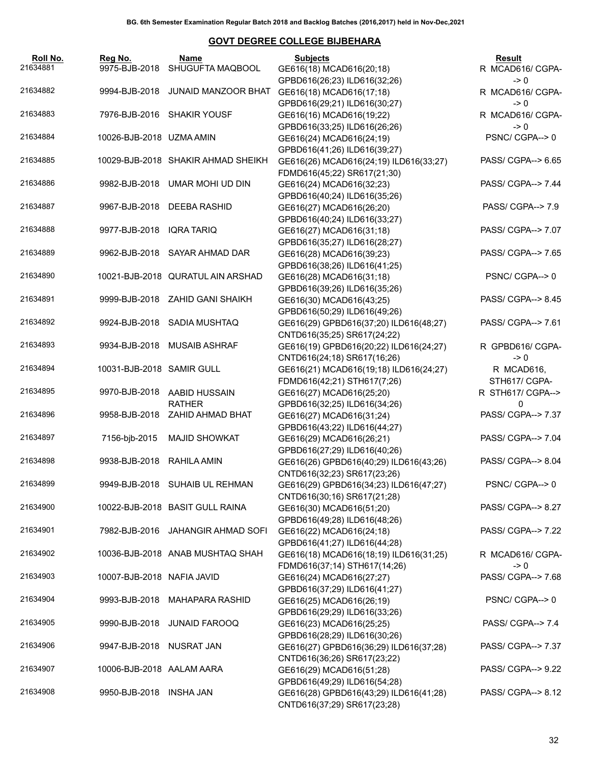| Roll No.<br>21634881 | Reg No.<br>9975-BJB-2018   | Name<br>SHUGUFTA MAQBOOL           | <b>Subjects</b><br>GE616(18) MCAD616(20;18) | <b>Result</b><br>R MCAD616/ CGPA- |
|----------------------|----------------------------|------------------------------------|---------------------------------------------|-----------------------------------|
|                      |                            |                                    | GPBD616(26;23) ILD616(32;26)                | $\rightarrow 0$                   |
| 21634882             |                            | 9994-BJB-2018 JUNAID MANZOOR BHAT  | GE616(18) MCAD616(17;18)                    | R MCAD616/ CGPA-                  |
|                      |                            |                                    | GPBD616(29;21) ILD616(30;27)                | $\rightarrow 0$                   |
| 21634883             |                            | 7976-BJB-2016 SHAKIR YOUSF         | GE616(16) MCAD616(19;22)                    | R MCAD616/ CGPA-                  |
|                      |                            |                                    | GPBD616(33;25) ILD616(26;26)                | $\rightarrow 0$                   |
| 21634884             | 10026-BJB-2018 UZMA AMIN   |                                    | GE616(24) MCAD616(24;19)                    | PSNC/CGPA--> 0                    |
|                      |                            |                                    | GPBD616(41;26) ILD616(39;27)                |                                   |
| 21634885             |                            | 10029-BJB-2018 SHAKIR AHMAD SHEIKH | GE616(26) MCAD616(24;19) ILD616(33;27)      | PASS/ CGPA--> 6.65                |
|                      |                            |                                    | FDMD616(45;22) SR617(21;30)                 |                                   |
| 21634886             |                            | 9982-BJB-2018 UMAR MOHI UD DIN     | GE616(24) MCAD616(32;23)                    | PASS/ CGPA--> 7.44                |
|                      |                            |                                    |                                             |                                   |
| 21634887             |                            |                                    | GPBD616(40;24) ILD616(35;26)                |                                   |
|                      |                            | 9967-BJB-2018 DEEBA RASHID         | GE616(27) MCAD616(26;20)                    | PASS/ CGPA--> 7.9                 |
|                      |                            |                                    | GPBD616(40;24) ILD616(33;27)                |                                   |
| 21634888             | 9977-BJB-2018 IQRA TARIQ   |                                    | GE616(27) MCAD616(31;18)                    | PASS/ CGPA--> 7.07                |
|                      |                            |                                    | GPBD616(35;27) ILD616(28;27)                |                                   |
| 21634889             |                            | 9962-BJB-2018 SAYAR AHMAD DAR      | GE616(28) MCAD616(39;23)                    | PASS/ CGPA--> 7.65                |
|                      |                            |                                    | GPBD616(38;26) ILD616(41;25)                |                                   |
| 21634890             |                            | 10021-BJB-2018 QURATUL AIN ARSHAD  | GE616(28) MCAD616(31;18)                    | PSNC/CGPA-->0                     |
|                      |                            |                                    | GPBD616(39;26) ILD616(35;26)                |                                   |
| 21634891             |                            | 9999-BJB-2018 ZAHID GANI SHAIKH    | GE616(30) MCAD616(43;25)                    | PASS/ CGPA--> 8.45                |
|                      |                            |                                    | GPBD616(50;29) ILD616(49;26)                |                                   |
| 21634892             |                            | 9924-BJB-2018 SADIA MUSHTAQ        | GE616(29) GPBD616(37;20) ILD616(48;27)      | PASS/ CGPA--> 7.61                |
|                      |                            |                                    | CNTD616(35;25) SR617(24;22)                 |                                   |
| 21634893             |                            | 9934-BJB-2018 MUSAIB ASHRAF        | GE616(19) GPBD616(20;22) ILD616(24;27)      | R GPBD616/ CGPA-                  |
|                      |                            |                                    | CNTD616(24;18) SR617(16;26)                 | $\rightarrow 0$                   |
| 21634894             | 10031-BJB-2018 SAMIR GULL  |                                    | GE616(21) MCAD616(19;18) ILD616(24;27)      | R MCAD616,                        |
|                      |                            |                                    | FDMD616(42;21) STH617(7;26)                 | STH617/ CGPA-                     |
| 21634895             | 9970-BJB-2018              | AABID HUSSAIN                      | GE616(27) MCAD616(25;20)                    | R STH617/ CGPA-->                 |
|                      |                            | <b>RATHER</b>                      | GPBD616(32;25) ILD616(34;26)                | 0                                 |
| 21634896             |                            | 9958-BJB-2018 ZAHID AHMAD BHAT     | GE616(27) MCAD616(31;24)                    | PASS/ CGPA--> 7.37                |
|                      |                            |                                    |                                             |                                   |
| 21634897             |                            | <b>MAJID SHOWKAT</b>               | GPBD616(43;22) ILD616(44;27)                |                                   |
|                      | 7156-bjb-2015              |                                    | GE616(29) MCAD616(26;21)                    | PASS/ CGPA--> 7.04                |
|                      |                            |                                    | GPBD616(27;29) ILD616(40;26)                |                                   |
| 21634898             | 9938-BJB-2018              | RAHILA AMIN                        | GE616(26) GPBD616(40;29) ILD616(43;26)      | PASS/ CGPA--> 8.04                |
|                      |                            |                                    | CNTD616(32;23) SR617(23;26)                 |                                   |
| 21634899             |                            | 9949-BJB-2018 SUHAIB UL REHMAN     | GE616(29) GPBD616(34;23) ILD616(47;27)      | PSNC/CGPA-->0                     |
|                      |                            |                                    | CNTD616(30;16) SR617(21;28)                 |                                   |
| 21634900             |                            | 10022-BJB-2018 BASIT GULL RAINA    | GE616(30) MCAD616(51;20)                    | PASS/ CGPA--> 8.27                |
|                      |                            |                                    | GPBD616(49;28) ILD616(48;26)                |                                   |
| 21634901             |                            | 7982-BJB-2016 JAHANGIR AHMAD SOFI  | GE616(22) MCAD616(24;18)                    | PASS/ CGPA--> 7.22                |
|                      |                            |                                    | GPBD616(41;27) ILD616(44;28)                |                                   |
| 21634902             |                            | 10036-BJB-2018 ANAB MUSHTAQ SHAH   | GE616(18) MCAD616(18;19) ILD616(31;25)      | R MCAD616/ CGPA-                  |
|                      |                            |                                    | FDMD616(37;14) STH617(14;26)                | $\geq 0$                          |
| 21634903             | 10007-BJB-2018 NAFIA JAVID |                                    | GE616(24) MCAD616(27;27)                    | PASS/ CGPA--> 7.68                |
|                      |                            |                                    | GPBD616(37;29) ILD616(41;27)                |                                   |
| 21634904             |                            | 9993-BJB-2018 MAHAPARA RASHID      | GE616(25) MCAD616(26;19)                    | PSNC/CGPA-->0                     |
|                      |                            |                                    | GPBD616(29;29) ILD616(33;26)                |                                   |
| 21634905             |                            | 9990-BJB-2018 JUNAID FAROOQ        | GE616(23) MCAD616(25;25)                    | PASS/ CGPA--> 7.4                 |
|                      |                            |                                    | GPBD616(28;29) ILD616(30;26)                |                                   |
| 21634906             | 9947-BJB-2018 NUSRAT JAN   |                                    | GE616(27) GPBD616(36;29) ILD616(37;28)      | PASS/ CGPA--> 7.37                |
|                      |                            |                                    |                                             |                                   |
|                      |                            |                                    | CNTD616(36;26) SR617(23;22)                 |                                   |
| 21634907             | 10006-BJB-2018 AALAM AARA  |                                    | GE616(29) MCAD616(51;28)                    | PASS/ CGPA--> 9.22                |
|                      |                            |                                    | GPBD616(49;29) ILD616(54;28)                |                                   |
| 21634908             | 9950-BJB-2018 INSHA JAN    |                                    | GE616(28) GPBD616(43;29) ILD616(41;28)      | PASS/ CGPA--> 8.12                |
|                      |                            |                                    | CNTD616(37;29) SR617(23;28)                 |                                   |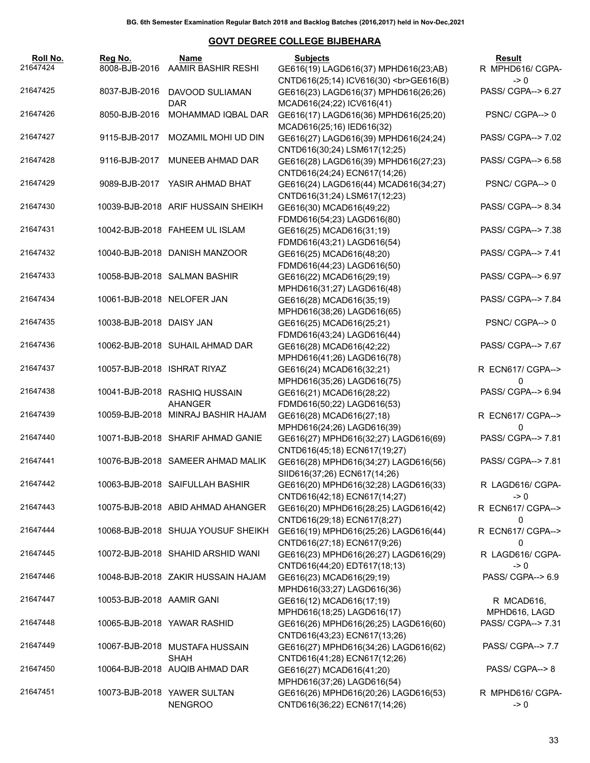| Roll No.<br>21647424 | Reg No.                     | Name<br>8008-BJB-2016 AAMIR BASHIR RESHI      | <b>Subjects</b><br>GE616(19) LAGD616(37) MPHD616(23;AB)                              | Result<br>R MPHD616/ CGPA-    |
|----------------------|-----------------------------|-----------------------------------------------|--------------------------------------------------------------------------------------|-------------------------------|
|                      |                             |                                               | CNTD616(25;14) ICV616(30)<br>GE616(B)                                                | $\rightarrow 0$               |
| 21647425             |                             | 8037-BJB-2016 DAVOOD SULIAMAN<br><b>DAR</b>   | GE616(23) LAGD616(37) MPHD616(26;26)<br>MCAD616(24;22) ICV616(41)                    | PASS/ CGPA--> 6.27            |
| 21647426             | 8050-BJB-2016               | MOHAMMAD IQBAL DAR                            | GE616(17) LAGD616(36) MPHD616(25;20)<br>MCAD616(25;16) IED616(32)                    | PSNC/CGPA-->0                 |
| 21647427             |                             | 9115-BJB-2017 MOZAMIL MOHI UD DIN             | GE616(27) LAGD616(39) MPHD616(24;24)<br>CNTD616(30;24) LSM617(12;25)                 | PASS/ CGPA--> 7.02            |
| 21647428             |                             | 9116-BJB-2017 MUNEEB AHMAD DAR                | GE616(28) LAGD616(39) MPHD616(27;23)                                                 | PASS/ CGPA--> 6.58            |
| 21647429             |                             | 9089-BJB-2017 YASIR AHMAD BHAT                | CNTD616(24;24) ECN617(14;26)<br>GE616(24) LAGD616(44) MCAD616(34;27)                 | PSNC/CGPA-->0                 |
| 21647430             |                             | 10039-BJB-2018 ARIF HUSSAIN SHEIKH            | CNTD616(31;24) LSM617(12;23)<br>GE616(30) MCAD616(49;22)                             | PASS/ CGPA--> 8.34            |
| 21647431             |                             | 10042-BJB-2018 FAHEEM UL ISLAM                | FDMD616(54;23) LAGD616(80)<br>GE616(25) MCAD616(31;19)<br>FDMD616(43;21) LAGD616(54) | PASS/ CGPA--> 7.38            |
| 21647432             |                             | 10040-BJB-2018 DANISH MANZOOR                 | GE616(25) MCAD616(48;20)<br>FDMD616(44;23) LAGD616(50)                               | PASS/ CGPA--> 7.41            |
| 21647433             |                             | 10058-BJB-2018 SALMAN BASHIR                  | GE616(22) MCAD616(29;19)<br>MPHD616(31;27) LAGD616(48)                               | PASS/ CGPA--> 6.97            |
| 21647434             | 10061-BJB-2018 NELOFER JAN  |                                               | GE616(28) MCAD616(35;19)<br>MPHD616(38;26) LAGD616(65)                               | PASS/ CGPA--> 7.84            |
| 21647435             | 10038-BJB-2018 DAISY JAN    |                                               | GE616(25) MCAD616(25;21)<br>FDMD616(43;24) LAGD616(44)                               | PSNC/CGPA-->0                 |
| 21647436             |                             | 10062-BJB-2018 SUHAIL AHMAD DAR               | GE616(28) MCAD616(42;22)<br>MPHD616(41;26) LAGD616(78)                               | PASS/ CGPA--> 7.67            |
| 21647437             | 10057-BJB-2018 ISHRAT RIYAZ |                                               | GE616(24) MCAD616(32;21)<br>MPHD616(35;26) LAGD616(75)                               | R ECN617/ CGPA--><br>$\Omega$ |
| 21647438             |                             | 10041-BJB-2018 RASHIQ HUSSAIN<br>AHANGER      | GE616(21) MCAD616(28;22)<br>FDMD616(50;22) LAGD616(53)                               | PASS/ CGPA--> 6.94            |
| 21647439             |                             | 10059-BJB-2018 MINRAJ BASHIR HAJAM            | GE616(28) MCAD616(27;18)<br>MPHD616(24;26) LAGD616(39)                               | R ECN617/ CGPA--><br>$\Omega$ |
| 21647440             |                             | 10071-BJB-2018 SHARIF AHMAD GANIE             | GE616(27) MPHD616(32;27) LAGD616(69)<br>CNTD616(45;18) ECN617(19;27)                 | PASS/ CGPA--> 7.81            |
| 21647441             |                             | 10076-BJB-2018 SAMEER AHMAD MALIK             | GE616(28) MPHD616(34;27) LAGD616(56)<br>SIID616(37;26) ECN617(14;26)                 | PASS/ CGPA--> 7.81            |
| 21647442             |                             | 10063-BJB-2018 SAIFULLAH BASHIR               | GE616(20) MPHD616(32;28) LAGD616(33)<br>CNTD616(42;18) ECN617(14;27)                 | R LAGD616/ CGPA-<br>-> 0      |
| 21647443             |                             | 10075-BJB-2018 ABID AHMAD AHANGER             | GE616(20) MPHD616(28;25) LAGD616(42)<br>CNTD616(29;18) ECN617(8;27)                  | R ECN617/ CGPA--><br>0        |
| 21647444             |                             | 10068-BJB-2018 SHUJA YOUSUF SHEIKH            | GE616(19) MPHD616(25;26) LAGD616(44)<br>CNTD616(27;18) ECN617(9;26)                  | R ECN617/ CGPA--><br>0        |
| 21647445             |                             | 10072-BJB-2018 SHAHID ARSHID WANI             | GE616(23) MPHD616(26;27) LAGD616(29)<br>CNTD616(44;20) EDT617(18;13)                 | R LAGD616/ CGPA-<br>-> 0      |
| 21647446             |                             | 10048-BJB-2018 ZAKIR HUSSAIN HAJAM            | GE616(23) MCAD616(29;19)<br>MPHD616(33;27) LAGD616(36)                               | PASS/ CGPA--> 6.9             |
| 21647447             | 10053-BJB-2018 AAMIR GANI   |                                               | GE616(12) MCAD616(17;19)<br>MPHD616(18;25) LAGD616(17)                               | R MCAD616,<br>MPHD616, LAGD   |
| 21647448             |                             | 10065-BJB-2018 YAWAR RASHID                   | GE616(26) MPHD616(26;25) LAGD616(60)<br>CNTD616(43;23) ECN617(13;26)                 | PASS/ CGPA--> 7.31            |
| 21647449             |                             | 10067-BJB-2018 MUSTAFA HUSSAIN<br><b>SHAH</b> | GE616(27) MPHD616(34;26) LAGD616(62)<br>CNTD616(41;28) ECN617(12;26)                 | PASS/ CGPA--> 7.7             |
| 21647450             |                             | 10064-BJB-2018 AUQIB AHMAD DAR                | GE616(27) MCAD616(41;20)<br>MPHD616(37;26) LAGD616(54)                               | PASS/ CGPA--> 8               |
| 21647451             |                             | 10073-BJB-2018 YAWER SULTAN<br><b>NENGROO</b> | GE616(26) MPHD616(20;26) LAGD616(53)<br>CNTD616(36;22) ECN617(14;26)                 | R MPHD616/ CGPA-<br>-> 0      |
|                      |                             |                                               |                                                                                      |                               |